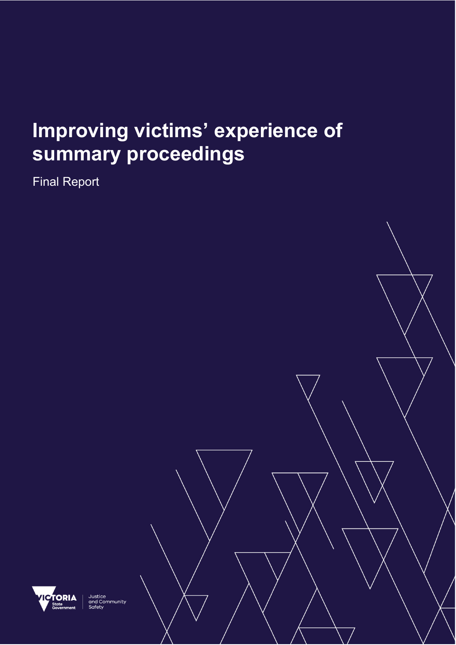# **Improving victims' experience of summary proceedings**

Final Report



Justice<br>and Community<br>Safety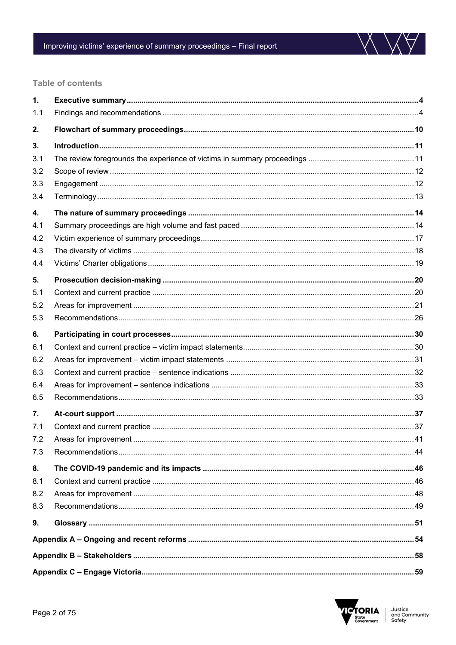

#### **Table of contents**

| 1.  |  |  |  |
|-----|--|--|--|
| 1.1 |  |  |  |
| 2.  |  |  |  |
| 3.  |  |  |  |
| 3.1 |  |  |  |
| 3.2 |  |  |  |
| 3.3 |  |  |  |
| 3.4 |  |  |  |
| 4.  |  |  |  |
| 4.1 |  |  |  |
| 4.2 |  |  |  |
| 4.3 |  |  |  |
| 4.4 |  |  |  |
| 5.  |  |  |  |
| 5.1 |  |  |  |
| 5.2 |  |  |  |
| 5.3 |  |  |  |
| 6.  |  |  |  |
| 6.1 |  |  |  |
| 6.2 |  |  |  |
| 6.3 |  |  |  |
| 6.4 |  |  |  |
| 6.5 |  |  |  |
| 7.  |  |  |  |
| 7.1 |  |  |  |
| 7.2 |  |  |  |
| 7.3 |  |  |  |
| 8.  |  |  |  |
| 8.1 |  |  |  |
| 8.2 |  |  |  |
| 8.3 |  |  |  |
| 9.  |  |  |  |
|     |  |  |  |
|     |  |  |  |
|     |  |  |  |

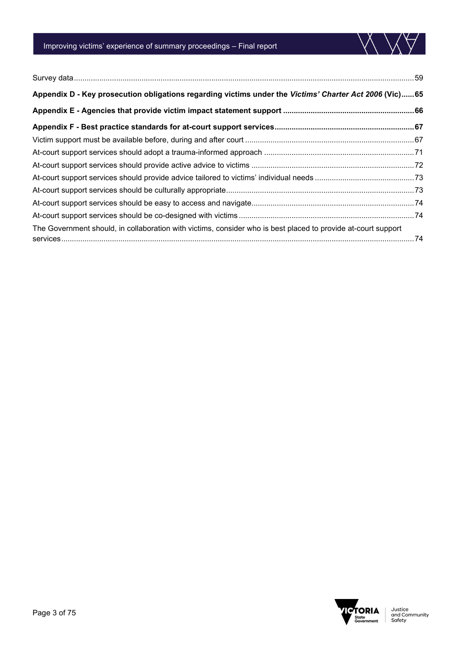

| Appendix D - Key prosecution obligations regarding victims under the Victims' Charter Act 2006 (Vic) 65       |  |  |  |
|---------------------------------------------------------------------------------------------------------------|--|--|--|
|                                                                                                               |  |  |  |
|                                                                                                               |  |  |  |
|                                                                                                               |  |  |  |
|                                                                                                               |  |  |  |
|                                                                                                               |  |  |  |
|                                                                                                               |  |  |  |
|                                                                                                               |  |  |  |
|                                                                                                               |  |  |  |
|                                                                                                               |  |  |  |
| The Government should, in collaboration with victims, consider who is best placed to provide at-court support |  |  |  |
|                                                                                                               |  |  |  |



 $\bigvee$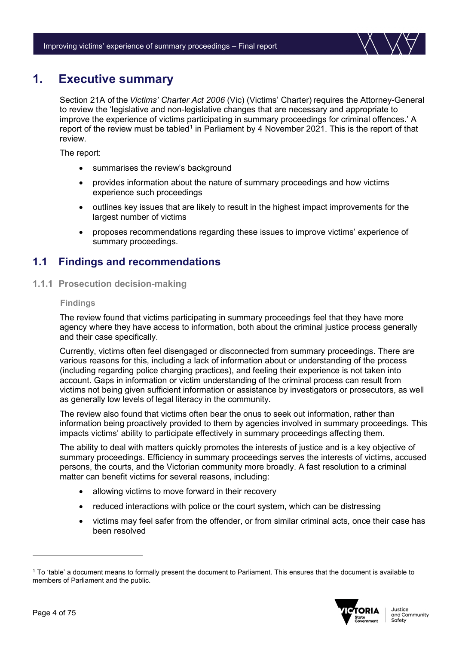

# <span id="page-3-0"></span>**1. Executive summary**

Section 21A of the *Victims' Charter Act 2006* (Vic) (Victims' Charter) requires the Attorney-General to review the 'legislative and non-legislative changes that are necessary and appropriate to improve the experience of victims participating in summary proceedings for criminal offences.' A report of the review must be tabled<sup>[1](#page-3-2)</sup> in Parliament by 4 November 2021. This is the report of that review.

The report:

- summarises the review's background
- provides information about the nature of summary proceedings and how victims experience such proceedings
- outlines key issues that are likely to result in the highest impact improvements for the largest number of victims
- proposes recommendations regarding these issues to improve victims' experience of summary proceedings.

# <span id="page-3-1"></span>**1.1 Findings and recommendations**

**1.1.1 Prosecution decision-making**

#### **Findings**

The review found that victims participating in summary proceedings feel that they have more agency where they have access to information, both about the criminal justice process generally and their case specifically.

Currently, victims often feel disengaged or disconnected from summary proceedings. There are various reasons for this, including a lack of information about or understanding of the process (including regarding police charging practices), and feeling their experience is not taken into account. Gaps in information or victim understanding of the criminal process can result from victims not being given sufficient information or assistance by investigators or prosecutors, as well as generally low levels of legal literacy in the community.

The review also found that victims often bear the onus to seek out information, rather than information being proactively provided to them by agencies involved in summary proceedings. This impacts victims' ability to participate effectively in summary proceedings affecting them.

The ability to deal with matters quickly promotes the interests of justice and is a key objective of summary proceedings. Efficiency in summary proceedings serves the interests of victims, accused persons, the courts, and the Victorian community more broadly. A fast resolution to a criminal matter can benefit victims for several reasons, including:

- allowing victims to move forward in their recovery
- reduced interactions with police or the court system, which can be distressing
- victims may feel safer from the offender, or from similar criminal acts, once their case has been resolved

<span id="page-3-2"></span><sup>1</sup> To 'table' a document means to formally present the document to Parliament. This ensures that the document is available to members of Parliament and the public.

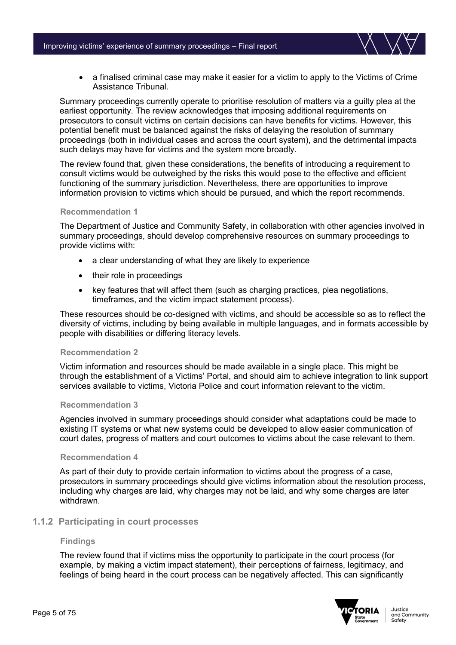• a finalised criminal case may make it easier for a victim to apply to the Victims of Crime Assistance Tribunal.

Summary proceedings currently operate to prioritise resolution of matters via a guilty plea at the earliest opportunity. The review acknowledges that imposing additional requirements on prosecutors to consult victims on certain decisions can have benefits for victims. However, this potential benefit must be balanced against the risks of delaying the resolution of summary proceedings (both in individual cases and across the court system), and the detrimental impacts such delays may have for victims and the system more broadly.

The review found that, given these considerations, the benefits of introducing a requirement to consult victims would be outweighed by the risks this would pose to the effective and efficient functioning of the summary jurisdiction. Nevertheless, there are opportunities to improve information provision to victims which should be pursued, and which the report recommends.

#### **Recommendation 1**

The Department of Justice and Community Safety, in collaboration with other agencies involved in summary proceedings, should develop comprehensive resources on summary proceedings to provide victims with:

- a clear understanding of what they are likely to experience
- their role in proceedings
- key features that will affect them (such as charging practices, plea negotiations, timeframes, and the victim impact statement process).

These resources should be co-designed with victims, and should be accessible so as to reflect the diversity of victims, including by being available in multiple languages, and in formats accessible by people with disabilities or differing literacy levels.

#### **Recommendation 2**

Victim information and resources should be made available in a single place. This might be through the establishment of a Victims' Portal, and should aim to achieve integration to link support services available to victims, Victoria Police and court information relevant to the victim.

#### **Recommendation 3**

Agencies involved in summary proceedings should consider what adaptations could be made to existing IT systems or what new systems could be developed to allow easier communication of court dates, progress of matters and court outcomes to victims about the case relevant to them.

#### **Recommendation 4**

As part of their duty to provide certain information to victims about the progress of a case, prosecutors in summary proceedings should give victims information about the resolution process, including why charges are laid, why charges may not be laid, and why some charges are later withdrawn.

#### **1.1.2 Participating in court processes**

#### **Findings**

The review found that if victims miss the opportunity to participate in the court process (for example, by making a victim impact statement), their perceptions of fairness, legitimacy, and feelings of being heard in the court process can be negatively affected. This can significantly

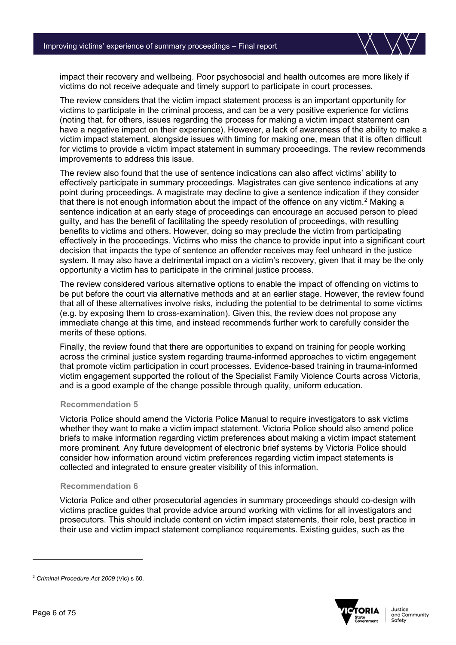

impact their recovery and wellbeing. Poor psychosocial and health outcomes are more likely if victims do not receive adequate and timely support to participate in court processes.

The review considers that the victim impact statement process is an important opportunity for victims to participate in the criminal process, and can be a very positive experience for victims (noting that, for others, issues regarding the process for making a victim impact statement can have a negative impact on their experience). However, a lack of awareness of the ability to make a victim impact statement, alongside issues with timing for making one, mean that it is often difficult for victims to provide a victim impact statement in summary proceedings. The review recommends improvements to address this issue.

The review also found that the use of sentence indications can also affect victims' ability to effectively participate in summary proceedings. Magistrates can give sentence indications at any point during proceedings. A magistrate may decline to give a sentence indication if they consider that there is not enough information about the impact of the offence on any victim.<sup>[2](#page-5-0)</sup> Making a sentence indication at an early stage of proceedings can encourage an accused person to plead guilty, and has the benefit of facilitating the speedy resolution of proceedings, with resulting benefits to victims and others. However, doing so may preclude the victim from participating effectively in the proceedings. Victims who miss the chance to provide input into a significant court decision that impacts the type of sentence an offender receives may feel unheard in the justice system. It may also have a detrimental impact on a victim's recovery, given that it may be the only opportunity a victim has to participate in the criminal justice process.

The review considered various alternative options to enable the impact of offending on victims to be put before the court via alternative methods and at an earlier stage. However, the review found that all of these alternatives involve risks, including the potential to be detrimental to some victims (e.g. by exposing them to cross-examination). Given this, the review does not propose any immediate change at this time, and instead recommends further work to carefully consider the merits of these options.

Finally, the review found that there are opportunities to expand on training for people working across the criminal justice system regarding trauma-informed approaches to victim engagement that promote victim participation in court processes. Evidence-based training in trauma-informed victim engagement supported the rollout of the Specialist Family Violence Courts across Victoria, and is a good example of the change possible through quality, uniform education.

#### **Recommendation 5**

Victoria Police should amend the Victoria Police Manual to require investigators to ask victims whether they want to make a victim impact statement. Victoria Police should also amend police briefs to make information regarding victim preferences about making a victim impact statement more prominent. Any future development of electronic brief systems by Victoria Police should consider how information around victim preferences regarding victim impact statements is collected and integrated to ensure greater visibility of this information.

#### **Recommendation 6**

Victoria Police and other prosecutorial agencies in summary proceedings should co-design with victims practice guides that provide advice around working with victims for all investigators and prosecutors. This should include content on victim impact statements, their role, best practice in their use and victim impact statement compliance requirements. Existing guides, such as the



<span id="page-5-0"></span><sup>2</sup> *Criminal Procedure Act 2009* (Vic) s 60.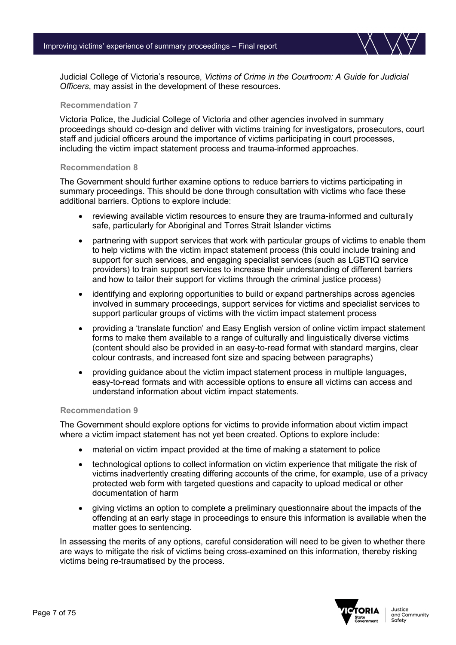

Judicial College of Victoria's resource, *Victims of Crime in the Courtroom: A Guide for Judicial Officers*, may assist in the development of these resources.

#### **Recommendation 7**

Victoria Police, the Judicial College of Victoria and other agencies involved in summary proceedings should co-design and deliver with victims training for investigators, prosecutors, court staff and judicial officers around the importance of victims participating in court processes, including the victim impact statement process and trauma-informed approaches.

#### **Recommendation 8**

The Government should further examine options to reduce barriers to victims participating in summary proceedings. This should be done through consultation with victims who face these additional barriers. Options to explore include:

- reviewing available victim resources to ensure they are trauma-informed and culturally safe, particularly for Aboriginal and Torres Strait Islander victims
- partnering with support services that work with particular groups of victims to enable them to help victims with the victim impact statement process (this could include training and support for such services, and engaging specialist services (such as LGBTIQ service providers) to train support services to increase their understanding of different barriers and how to tailor their support for victims through the criminal justice process)
- identifying and exploring opportunities to build or expand partnerships across agencies involved in summary proceedings, support services for victims and specialist services to support particular groups of victims with the victim impact statement process
- providing a 'translate function' and Easy English version of online victim impact statement forms to make them available to a range of culturally and linguistically diverse victims (content should also be provided in an easy-to-read format with standard margins, clear colour contrasts, and increased font size and spacing between paragraphs)
- providing guidance about the victim impact statement process in multiple languages, easy-to-read formats and with accessible options to ensure all victims can access and understand information about victim impact statements.

#### **Recommendation 9**

The Government should explore options for victims to provide information about victim impact where a victim impact statement has not yet been created. Options to explore include:

- material on victim impact provided at the time of making a statement to police
- technological options to collect information on victim experience that mitigate the risk of victims inadvertently creating differing accounts of the crime, for example, use of a privacy protected web form with targeted questions and capacity to upload medical or other documentation of harm
- giving victims an option to complete a preliminary questionnaire about the impacts of the offending at an early stage in proceedings to ensure this information is available when the matter goes to sentencing.

In assessing the merits of any options, careful consideration will need to be given to whether there are ways to mitigate the risk of victims being cross-examined on this information, thereby risking victims being re-traumatised by the process.

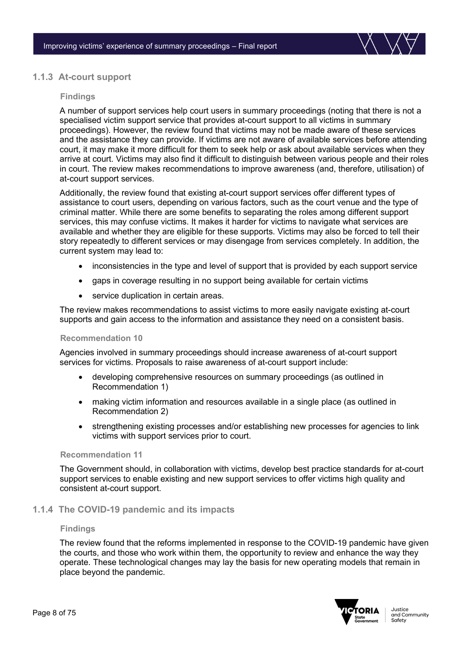

#### **1.1.3 At-court support**

#### **Findings**

A number of support services help court users in summary proceedings (noting that there is not a specialised victim support service that provides at-court support to all victims in summary proceedings). However, the review found that victims may not be made aware of these services and the assistance they can provide. If victims are not aware of available services before attending court, it may make it more difficult for them to seek help or ask about available services when they arrive at court. Victims may also find it difficult to distinguish between various people and their roles in court. The review makes recommendations to improve awareness (and, therefore, utilisation) of at-court support services.

Additionally, the review found that existing at-court support services offer different types of assistance to court users, depending on various factors, such as the court venue and the type of criminal matter. While there are some benefits to separating the roles among different support services, this may confuse victims. It makes it harder for victims to navigate what services are available and whether they are eligible for these supports. Victims may also be forced to tell their story repeatedly to different services or may disengage from services completely. In addition, the current system may lead to:

- inconsistencies in the type and level of support that is provided by each support service
- gaps in coverage resulting in no support being available for certain victims
- service duplication in certain areas.

The review makes recommendations to assist victims to more easily navigate existing at-court supports and gain access to the information and assistance they need on a consistent basis.

#### **Recommendation 10**

Agencies involved in summary proceedings should increase awareness of at-court support services for victims. Proposals to raise awareness of at-court support include:

- developing comprehensive resources on summary proceedings (as outlined in Recommendation 1)
- making victim information and resources available in a single place (as outlined in Recommendation 2)
- strengthening existing processes and/or establishing new processes for agencies to link victims with support services prior to court.

#### **Recommendation 11**

The Government should, in collaboration with victims, develop best practice standards for at-court support services to enable existing and new support services to offer victims high quality and consistent at-court support.

#### **1.1.4 The COVID-19 pandemic and its impacts**

#### **Findings**

The review found that the reforms implemented in response to the COVID-19 pandemic have given the courts, and those who work within them, the opportunity to review and enhance the way they operate. These technological changes may lay the basis for new operating models that remain in place beyond the pandemic.

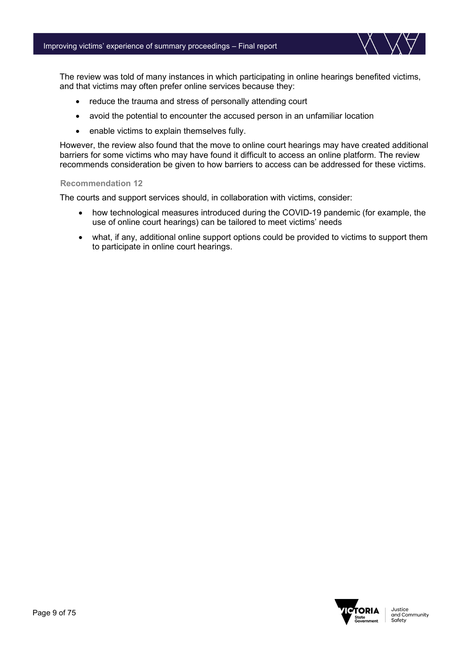

The review was told of many instances in which participating in online hearings benefited victims, and that victims may often prefer online services because they:

- reduce the trauma and stress of personally attending court
- avoid the potential to encounter the accused person in an unfamiliar location
- enable victims to explain themselves fully.

However, the review also found that the move to online court hearings may have created additional barriers for some victims who may have found it difficult to access an online platform. The review recommends consideration be given to how barriers to access can be addressed for these victims.

#### **Recommendation 12**

The courts and support services should, in collaboration with victims, consider:

- how technological measures introduced during the COVID-19 pandemic (for example, the use of online court hearings) can be tailored to meet victims' needs
- what, if any, additional online support options could be provided to victims to support them to participate in online court hearings.

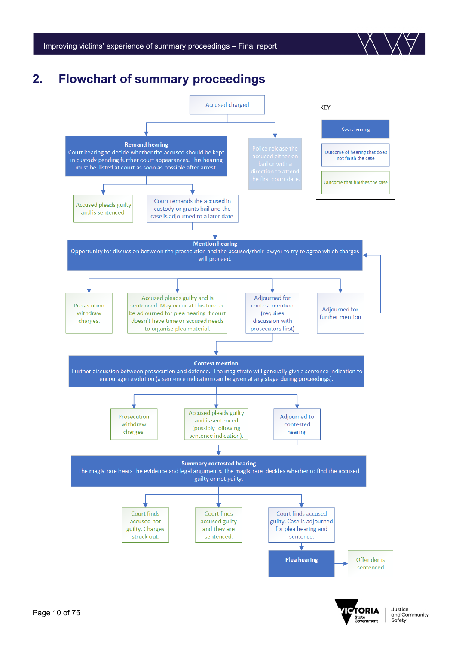



# <span id="page-9-0"></span>**2. Flowchart of summary proceedings**



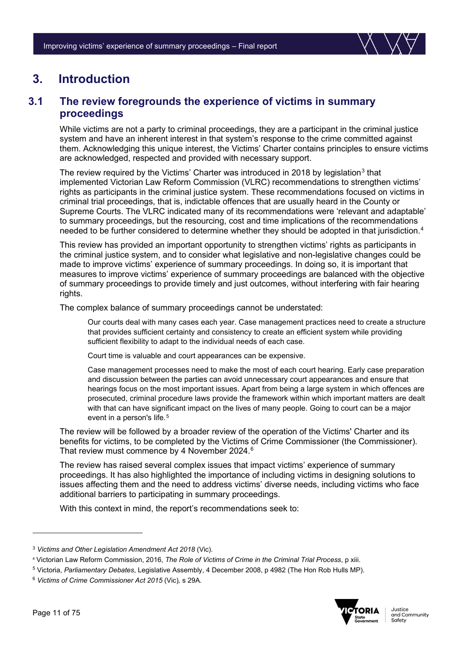

# <span id="page-10-0"></span>**3. Introduction**

# <span id="page-10-1"></span>**3.1 The review foregrounds the experience of victims in summary proceedings**

While victims are not a party to criminal proceedings, they are a participant in the criminal justice system and have an inherent interest in that system's response to the crime committed against them. Acknowledging this unique interest, the Victims' Charter contains principles to ensure victims are acknowledged, respected and provided with necessary support.

The review required by the Victims' Charter was introduced in 2018 by legislation $3$  that implemented Victorian Law Reform Commission (VLRC) recommendations to strengthen victims' rights as participants in the criminal justice system. These recommendations focused on victims in criminal trial proceedings, that is, indictable offences that are usually heard in the County or Supreme Courts. The VLRC indicated many of its recommendations were 'relevant and adaptable' to summary proceedings, but the resourcing, cost and time implications of the recommendations needed to be further considered to determine whether they should be adopted in that jurisdiction. [4](#page-10-3)

This review has provided an important opportunity to strengthen victims' rights as participants in the criminal justice system, and to consider what legislative and non-legislative changes could be made to improve victims' experience of summary proceedings. In doing so, it is important that measures to improve victims' experience of summary proceedings are balanced with the objective of summary proceedings to provide timely and just outcomes, without interfering with fair hearing rights.

The complex balance of summary proceedings cannot be understated:

Our courts deal with many cases each year. Case management practices need to create a structure that provides sufficient certainty and consistency to create an efficient system while providing sufficient flexibility to adapt to the individual needs of each case.

Court time is valuable and court appearances can be expensive.

Case management processes need to make the most of each court hearing. Early case preparation and discussion between the parties can avoid unnecessary court appearances and ensure that hearings focus on the most important issues. Apart from being a large system in which offences are prosecuted, criminal procedure laws provide the framework within which important matters are dealt with that can have significant impact on the lives of many people. Going to court can be a major event in a person's life.<sup>[5](#page-10-4)</sup>

The review will be followed by a broader review of the operation of the Victims' Charter and its benefits for victims, to be completed by the Victims of Crime Commissioner (the Commissioner). That review must commence by 4 November 2024.<sup>[6](#page-10-5)</sup>

The review has raised several complex issues that impact victims' experience of summary proceedings. It has also highlighted the importance of including victims in designing solutions to issues affecting them and the need to address victims' diverse needs, including victims who face additional barriers to participating in summary proceedings.

With this context in mind, the report's recommendations seek to:



<span id="page-10-2"></span><sup>3</sup> *Victims and Other Legislation Amendment Act 2018* (Vic)*.*

<span id="page-10-3"></span><sup>4</sup> Victorian Law Reform Commission, 2016, *The Role of Victims of Crime in the Criminal Trial Process*, p xiii.

<span id="page-10-4"></span><sup>5</sup> Victoria, *Parliamentary Debates*, Legislative Assembly, 4 December 2008, p 4982 (The Hon Rob Hulls MP).

<span id="page-10-5"></span><sup>6</sup> *Victims of Crime Commissioner Act 2015* (Vic)*,* s 29A*.*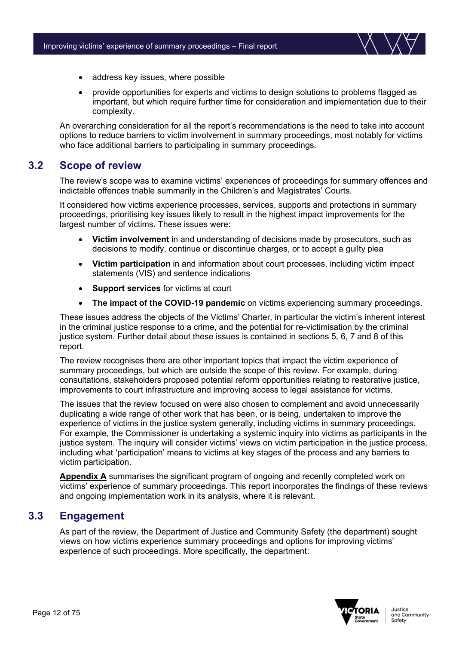

- address key issues, where possible
- provide opportunities for experts and victims to design solutions to problems flagged as important, but which require further time for consideration and implementation due to their complexity.

An overarching consideration for all the report's recommendations is the need to take into account options to reduce barriers to victim involvement in summary proceedings, most notably for victims who face additional barriers to participating in summary proceedings.

### <span id="page-11-0"></span>**3.2 Scope of review**

The review's scope was to examine victims' experiences of proceedings for summary offences and indictable offences triable summarily in the Children's and Magistrates' Courts.

It considered how victims experience processes, services, supports and protections in summary proceedings, prioritising key issues likely to result in the highest impact improvements for the largest number of victims. These issues were:

- **Victim involvement** in and understanding of decisions made by prosecutors, such as decisions to modify, continue or discontinue charges, or to accept a guilty plea
- **Victim participation** in and information about court processes, including victim impact statements (VIS) and sentence indications
- **Support services** for victims at court
- **The impact of the COVID-19 pandemic** on victims experiencing summary proceedings.

These issues address the objects of the Victims' Charter, in particular the victim's inherent interest in the criminal justice response to a crime, and the potential for re-victimisation by the criminal justice system. Further detail about these issues is contained in sections 5, 6, 7 and 8 of this report.

The review recognises there are other important topics that impact the victim experience of summary proceedings, but which are outside the scope of this review. For example, during consultations, stakeholders proposed potential reform opportunities relating to restorative justice, improvements to court infrastructure and improving access to legal assistance for victims.

The issues that the review focused on were also chosen to complement and avoid unnecessarily duplicating a wide range of other work that has been, or is being, undertaken to improve the experience of victims in the justice system generally, including victims in summary proceedings. For example, the Commissioner is undertaking a systemic inquiry into victims as participants in the justice system. The inquiry will consider victims' views on victim participation in the justice process, including what 'participation' means to victims at key stages of the process and any barriers to victim participation.

Appendix A summarises the significant program of ongoing and recently completed work on victims' experience of summary proceedings. This report incorporates the findings of these reviews and ongoing implementation work in its analysis, where it is relevant.

# <span id="page-11-1"></span>**3.3 Engagement**

As part of the review, the Department of Justice and Community Safety (the department) sought views on how victims experience summary proceedings and options for improving victims' experience of such proceedings. More specifically, the department:

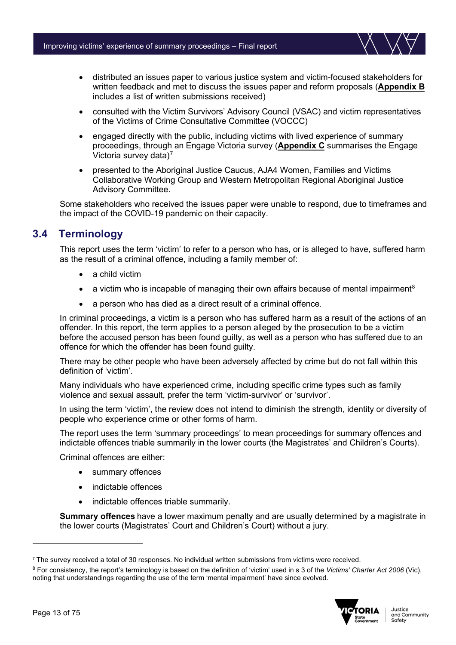

- distributed an issues paper to various justice system and victim-focused stakeholders for written feedback and met to discuss the issues paper and reform proposals (**Appendix B** includes a list of written submissions received)
- consulted with the Victim Survivors' Advisory Council (VSAC) and victim representatives of the Victims of Crime Consultative Committee (VOCCC)
- engaged directly with the public, including victims with lived experience of summary proceedings, through an Engage Victoria survey (**Appendix C** summarises the Engage Victoria survey data)[7](#page-12-1)
- presented to the Aboriginal Justice Caucus, AJA4 Women, Families and Victims Collaborative Working Group and Western Metropolitan Regional Aboriginal Justice Advisory Committee.

Some stakeholders who received the issues paper were unable to respond, due to timeframes and the impact of the COVID-19 pandemic on their capacity.

# <span id="page-12-0"></span>**3.4 Terminology**

This report uses the term 'victim' to refer to a person who has, or is alleged to have, suffered harm as the result of a criminal offence, including a family member of:

- a child victim
- a victim who is incapable of managing their own affairs because of mental impairment<sup>[8](#page-12-2)</sup>
- a person who has died as a direct result of a criminal offence.

In criminal proceedings, a victim is a person who has suffered harm as a result of the actions of an offender. In this report, the term applies to a person alleged by the prosecution to be a victim before the accused person has been found guilty, as well as a person who has suffered due to an offence for which the offender has been found guilty.

There may be other people who have been adversely affected by crime but do not fall within this definition of 'victim'.

Many individuals who have experienced crime, including specific crime types such as family violence and sexual assault, prefer the term 'victim-survivor' or 'survivor'.

In using the term 'victim', the review does not intend to diminish the strength, identity or diversity of people who experience crime or other forms of harm.

The report uses the term 'summary proceedings' to mean proceedings for summary offences and indictable offences triable summarily in the lower courts (the Magistrates' and Children's Courts).

Criminal offences are either:

- summary offences
- indictable offences
- indictable offences triable summarily.

**Summary offences** have a lower maximum penalty and are usually determined by a magistrate in the lower courts (Magistrates' Court and Children's Court) without a jury.

<span id="page-12-2"></span><sup>8</sup> For consistency, the report's terminology is based on the definition of 'victim' used in s 3 of the *Victims' Charter Act 2006* (Vic), noting that understandings regarding the use of the term 'mental impairment' have since evolved.



<span id="page-12-1"></span><sup>7</sup> The survey received a total of 30 responses. No individual written submissions from victims were received.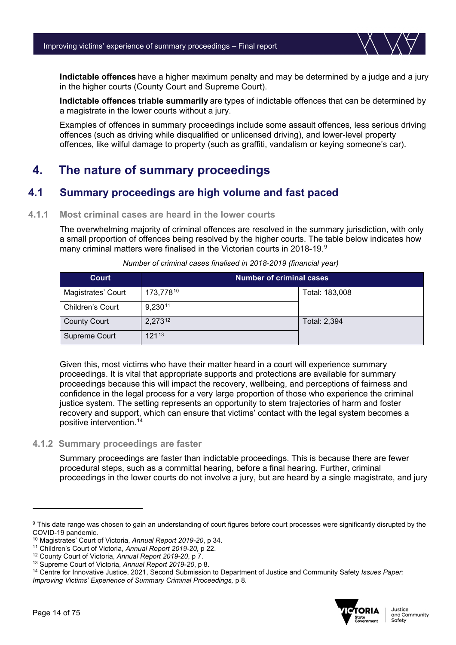**Indictable offences** have a higher maximum penalty and may be determined by a judge and a jury in the higher courts (County Court and Supreme Court).

**Indictable offences triable summarily** are types of indictable offences that can be determined by a magistrate in the lower courts without a jury.

Examples of offences in summary proceedings include some assault offences, less serious driving offences (such as driving while disqualified or unlicensed driving), and lower-level property offences, like wilful damage to property (such as graffiti, vandalism or keying someone's car).

# <span id="page-13-0"></span>**4. The nature of summary proceedings**

# <span id="page-13-1"></span>**4.1 Summary proceedings are high volume and fast paced**

#### **4.1.1 Most criminal cases are heard in the lower courts**

The overwhelming majority of criminal offences are resolved in the summary jurisdiction, with only a small proportion of offences being resolved by the higher courts. The table below indicates how many criminal matters were finalised in the Victorian courts in 2018-1[9](#page-13-2).<sup>9</sup>

| <b>Court</b>            | <b>Number of criminal cases</b> |                |
|-------------------------|---------------------------------|----------------|
| Magistrates' Court      | 173,77810                       | Total: 183,008 |
| <b>Children's Court</b> | 9,23011                         |                |
| <b>County Court</b>     | 2,27312                         | Total: 2,394   |
| Supreme Court           | 12113                           |                |

*Number of criminal cases finalised in 2018-2019 (financial year)*

Given this, most victims who have their matter heard in a court will experience summary proceedings. It is vital that appropriate supports and protections are available for summary proceedings because this will impact the recovery, wellbeing, and perceptions of fairness and confidence in the legal process for a very large proportion of those who experience the criminal justice system. The setting represents an opportunity to stem trajectories of harm and foster recovery and support, which can ensure that victims' contact with the legal system becomes a positive intervention. [14](#page-13-7)

#### **4.1.2 Summary proceedings are faster**

Summary proceedings are faster than indictable proceedings. This is because there are fewer procedural steps, such as a committal hearing, before a final hearing. Further, criminal proceedings in the lower courts do not involve a jury, but are heard by a single magistrate, and jury

<span id="page-13-7"></span><sup>14</sup> Centre for Innovative Justice, 2021, Second Submission to Department of Justice and Community Safety *Issues Paper: Improving Victims' Experience of Summary Criminal Proceedings,* p 8.



<span id="page-13-2"></span><sup>&</sup>lt;sup>9</sup> This date range was chosen to gain an understanding of court figures before court processes were significantly disrupted by the COVID-19 pandemic. 10 Magistrates' Court of Victoria, *Annual Report 2019-20*, p 34.

<span id="page-13-3"></span>

<span id="page-13-4"></span><sup>11</sup> Children's Court of Victoria, *Annual Report 2019-20*, p 22.

<span id="page-13-5"></span><sup>12</sup> County Court of Victoria, *Annual Report 2019-20*, p 7.

<span id="page-13-6"></span><sup>13</sup> Supreme Court of Victoria, *Annual Report 2019-20*, p 8.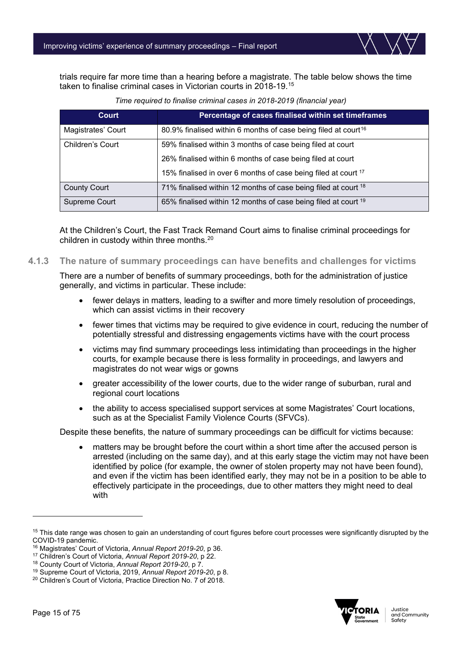trials require far more time than a hearing before a magistrate. The table below shows the time taken to finalise criminal cases in Victorian courts in 2018-19.[15](#page-14-0)

| Court                   | Percentage of cases finalised within set timeframes                        |
|-------------------------|----------------------------------------------------------------------------|
| Magistrates' Court      | 80.9% finalised within 6 months of case being filed at court <sup>16</sup> |
| <b>Children's Court</b> | 59% finalised within 3 months of case being filed at court                 |
|                         | 26% finalised within 6 months of case being filed at court                 |
|                         | 15% finalised in over 6 months of case being filed at court 17             |
| <b>County Court</b>     | 71% finalised within 12 months of case being filed at court 18             |
| Supreme Court           | 65% finalised within 12 months of case being filed at court <sup>19</sup>  |

*Time required to finalise criminal cases in 2018-2019 (financial year)*

At the Children's Court, the Fast Track Remand Court aims to finalise criminal proceedings for children in custody within three months.<sup>[20](#page-14-5)</sup>

#### **4.1.3 The nature of summary proceedings can have benefits and challenges for victims**

There are a number of benefits of summary proceedings, both for the administration of justice generally, and victims in particular. These include:

- fewer delays in matters, leading to a swifter and more timely resolution of proceedings, which can assist victims in their recovery
- fewer times that victims may be required to give evidence in court, reducing the number of potentially stressful and distressing engagements victims have with the court process
- victims may find summary proceedings less intimidating than proceedings in the higher courts, for example because there is less formality in proceedings, and lawyers and magistrates do not wear wigs or gowns
- greater accessibility of the lower courts, due to the wider range of suburban, rural and regional court locations
- the ability to access specialised support services at some Magistrates' Court locations, such as at the Specialist Family Violence Courts (SFVCs).

Despite these benefits, the nature of summary proceedings can be difficult for victims because:

matters may be brought before the court within a short time after the accused person is arrested (including on the same day), and at this early stage the victim may not have been identified by police (for example, the owner of stolen property may not have been found), and even if the victim has been identified early, they may not be in a position to be able to effectively participate in the proceedings, due to other matters they might need to deal with



<span id="page-14-0"></span> $15$  This date range was chosen to gain an understanding of court figures before court processes were significantly disrupted by the COVID-19 pandemic.

<span id="page-14-1"></span><sup>&</sup>lt;sup>16</sup> Magistrates' Court of Victoria, *Annual Report 2019-20*, p 36.

<span id="page-14-2"></span><sup>17</sup> Children's Court of Victoria, *Annual Report 2019-20*, p 22.

<span id="page-14-3"></span><sup>18</sup> County Court of Victoria, *Annual Report 2019-20*, p 7.

<span id="page-14-4"></span><sup>19</sup> Supreme Court of Victoria, 2019, *Annual Report 2019-20*, p 8.

<span id="page-14-5"></span><sup>20</sup> Children's Court of Victoria, Practice Direction No. 7 of 2018.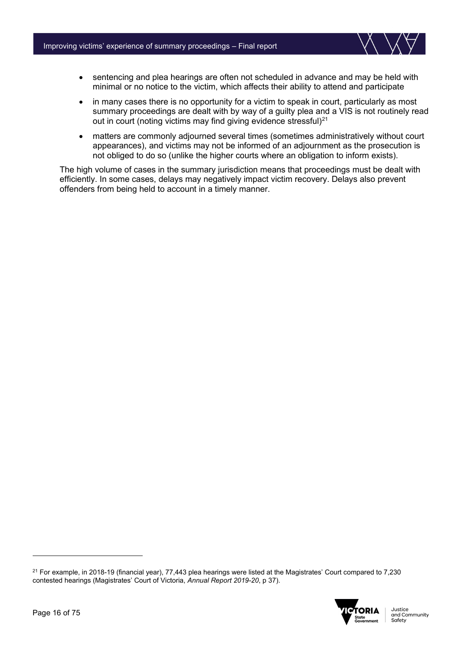

- sentencing and plea hearings are often not scheduled in advance and may be held with minimal or no notice to the victim, which affects their ability to attend and participate
- in many cases there is no opportunity for a victim to speak in court, particularly as most summary proceedings are dealt with by way of a guilty plea and a VIS is not routinely read out in court (noting victims may find giving evidence stressful) $21$
- matters are commonly adjourned several times (sometimes administratively without court appearances), and victims may not be informed of an adjournment as the prosecution is not obliged to do so (unlike the higher courts where an obligation to inform exists).

The high volume of cases in the summary jurisdiction means that proceedings must be dealt with efficiently. In some cases, delays may negatively impact victim recovery. Delays also prevent offenders from being held to account in a timely manner.

<span id="page-15-0"></span> $21$  For example, in 2018-19 (financial year), 77,443 plea hearings were listed at the Magistrates' Court compared to 7,230 contested hearings (Magistrates' Court of Victoria, *Annual Report 2019-20*, p 37).

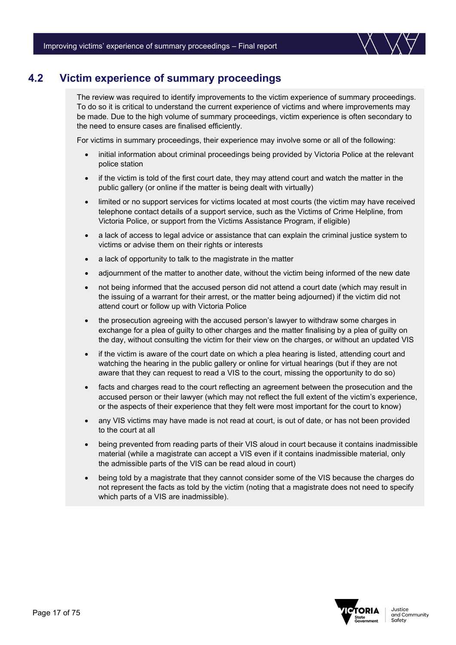

# <span id="page-16-0"></span>**4.2 Victim experience of summary proceedings**

The review was required to identify improvements to the victim experience of summary proceedings. To do so it is critical to understand the current experience of victims and where improvements may be made. Due to the high volume of summary proceedings, victim experience is often secondary to the need to ensure cases are finalised efficiently.

For victims in summary proceedings, their experience may involve some or all of the following:

- initial information about criminal proceedings being provided by Victoria Police at the relevant police station
- if the victim is told of the first court date, they may attend court and watch the matter in the public gallery (or online if the matter is being dealt with virtually)
- limited or no support services for victims located at most courts (the victim may have received telephone contact details of a support service, such as the Victims of Crime Helpline, from Victoria Police, or support from the Victims Assistance Program, if eligible)
- a lack of access to legal advice or assistance that can explain the criminal justice system to victims or advise them on their rights or interests
- a lack of opportunity to talk to the magistrate in the matter
- adjournment of the matter to another date, without the victim being informed of the new date
- not being informed that the accused person did not attend a court date (which may result in the issuing of a warrant for their arrest, or the matter being adjourned) if the victim did not attend court or follow up with Victoria Police
- the prosecution agreeing with the accused person's lawyer to withdraw some charges in exchange for a plea of guilty to other charges and the matter finalising by a plea of guilty on the day, without consulting the victim for their view on the charges, or without an updated VIS
- if the victim is aware of the court date on which a plea hearing is listed, attending court and watching the hearing in the public gallery or online for virtual hearings (but if they are not aware that they can request to read a VIS to the court, missing the opportunity to do so)
- facts and charges read to the court reflecting an agreement between the prosecution and the accused person or their lawyer (which may not reflect the full extent of the victim's experience, or the aspects of their experience that they felt were most important for the court to know)
- any VIS victims may have made is not read at court, is out of date, or has not been provided to the court at all
- being prevented from reading parts of their VIS aloud in court because it contains inadmissible material (while a magistrate can accept a VIS even if it contains inadmissible material, only the admissible parts of the VIS can be read aloud in court)
- being told by a magistrate that they cannot consider some of the VIS because the charges do not represent the facts as told by the victim (noting that a magistrate does not need to specify which parts of a VIS are inadmissible).

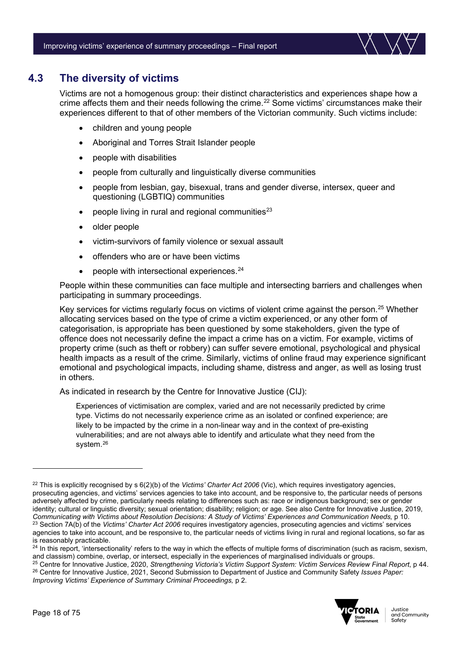

# <span id="page-17-0"></span>**4.3 The diversity of victims**

Victims are not a homogenous group: their distinct characteristics and experiences shape how a crime affects them and their needs following the crime.<sup>[22](#page-17-1)</sup> Some victims' circumstances make their experiences different to that of other members of the Victorian community. Such victims include:

- children and young people
- Aboriginal and Torres Strait Islander people
- people with disabilities
- people from culturally and linguistically diverse communities
- people from lesbian, gay, bisexual, trans and gender diverse, intersex, queer and questioning (LGBTIQ) communities
- people living in rural and regional communities<sup>[23](#page-17-2)</sup>
- older people
- victim-survivors of family violence or sexual assault
- offenders who are or have been victims
- people with intersectional experiences.<sup>[24](#page-17-3)</sup>

People within these communities can face multiple and intersecting barriers and challenges when participating in summary proceedings.

Key services for victims regularly focus on victims of violent crime against the person.<sup>[25](#page-17-4)</sup> Whether allocating services based on the type of crime a victim experienced, or any other form of categorisation, is appropriate has been questioned by some stakeholders, given the type of offence does not necessarily define the impact a crime has on a victim. For example, victims of property crime (such as theft or robbery) can suffer severe emotional, psychological and physical health impacts as a result of the crime. Similarly, victims of online fraud may experience significant emotional and psychological impacts, including shame, distress and anger, as well as losing trust in others.

As indicated in research by the Centre for Innovative Justice (CIJ):

Experiences of victimisation are complex, varied and are not necessarily predicted by crime type. Victims do not necessarily experience crime as an isolated or confined experience; are likely to be impacted by the crime in a non-linear way and in the context of pre-existing vulnerabilities; and are not always able to identify and articulate what they need from the system.[26](#page-17-5)

<span id="page-17-5"></span><span id="page-17-4"></span><sup>25</sup> Centre for Innovative Justice, 2020, *Strengthening Victoria's Victim Support System: Victim Services Review Final Report*, p 44. <sup>26</sup> Centre for Innovative Justice, 2021, Second Submission to Department of Justice and Community Safety *Issues Paper: Improving Victims' Experience of Summary Criminal Proceedings,* p 2.



<span id="page-17-1"></span><sup>22</sup> This is explicitly recognised by s 6(2)(b) of the *Victims' Charter Act 2006* (Vic), which requires investigatory agencies, prosecuting agencies, and victims' services agencies to take into account, and be responsive to, the particular needs of persons adversely affected by crime, particularly needs relating to differences such as: race or indigenous background; sex or gender identity; cultural or linguistic diversity; sexual orientation; disability; religion; or age. See also Centre for Innovative Justice, 2019, *Communicating with Victims about Resolution Decisions: A Study of Victims' Experiences and Communication Needs,* p 10.<sup>23</sup> Section 7A(b) of the *Victims' Charter Act 2006* requires investigatory agencies, prosecuting agencies and victims' services agencies to take into account, and be responsive to, the particular needs of victims living in rural and regional locations, so far as is reasonably practicable.

<span id="page-17-3"></span><span id="page-17-2"></span> $^{24}$  In this report, 'intersectionality' refers to the way in which the effects of multiple forms of discrimination (such as racism, sexism, and classism) combine, overlap, or intersect, especially in the experiences of marginalised individuals or groups.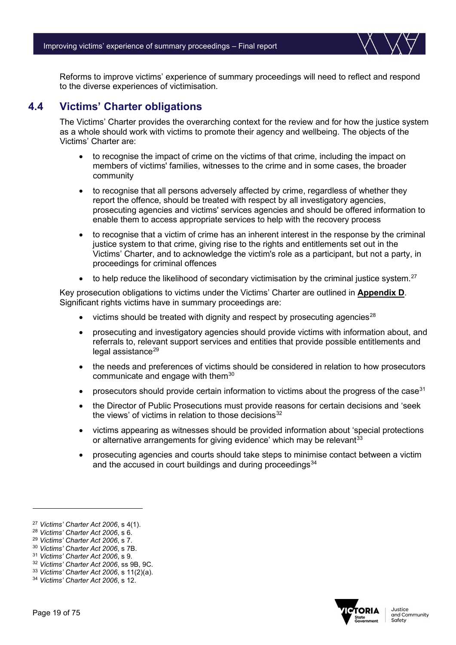Reforms to improve victims' experience of summary proceedings will need to reflect and respond to the diverse experiences of victimisation.

# <span id="page-18-0"></span>**4.4 Victims' Charter obligations**

The Victims' Charter provides the overarching context for the review and for how the justice system as a whole should work with victims to promote their agency and wellbeing. The objects of the Victims' Charter are:

- to recognise the impact of crime on the [victims](http://classic.austlii.edu.au/au/legis/vic/consol_act/vca2006175/s3.html#victim) of that crime, including the impact on members of [victims'](http://classic.austlii.edu.au/au/legis/vic/consol_act/vca2006175/s3.html#victim) families, witnesses to the crime and in some cases, the broader community
- to recognise that all persons adversely affected by crime, regardless of whether they report the offence, should be treated with respect by all investigatory agencies, prosecuting agencies and [victims'](http://classic.austlii.edu.au/au/legis/vic/consol_act/vca2006175/s3.html#victim) services agencies and should be offered information to enable them to access appropriate services to help with the recovery process
- to recognise that a [victim](http://classic.austlii.edu.au/au/legis/vic/consol_act/vca2006175/s3.html#victim) of crime has an inherent interest in the response by the criminal justice system to that crime, giving rise to the rights and entitlements set out in the Victims' Charter, and to acknowledge the victim's role as a participant, but not a party, in proceedings for [criminal offences](http://classic.austlii.edu.au/au/legis/vic/consol_act/vca2006175/s3.html#criminal_offence)
- $\bullet$  to help reduce the likelihood of secondary [victimisation](http://classic.austlii.edu.au/au/legis/vic/consol_act/vca2006175/s3.html#victim) by the criminal justice system.<sup>[27](#page-18-1)</sup>

Key prosecution obligations to victims under the Victims' Charter are outlined in **Appendix D**. Significant rights victims have in summary proceedings are:

- victims should be treated with dignity and respect by prosecuting agencies $^{28}$  $^{28}$  $^{28}$
- prosecuting and investigatory agencies should provide victims with information about, and referrals to, relevant support services and entities that provide possible entitlements and legal assistance<sup>[29](#page-18-3)</sup>
- the needs and preferences of victims should be considered in relation to how prosecutors communicate and engage with them $30$
- prosecutors should provide certain information to victims about the progress of the case  $31$
- the Director of Public Prosecutions must provide reasons for certain decisions and 'seek the views' of victims in relation to those decisions $32$
- victims appearing as witnesses should be provided information about 'special protections or alternative arrangements for giving evidence' which may be relevant<sup>[33](#page-18-7)</sup>
- prosecuting agencies and courts should take steps to minimise contact between a victim and the accused in court buildings and during proceedings<sup>[34](#page-18-8)</sup>



<span id="page-18-1"></span><sup>27</sup> *Victims' Charter Act 2006*, s 4(1).

<span id="page-18-2"></span><sup>28</sup> *Victims' Charter Act 2006*, s 6.

<span id="page-18-3"></span><sup>29</sup> *Victims' Charter Act 2006*, s 7.

<span id="page-18-4"></span><sup>30</sup> *Victims' Charter Act 2006*, s 7B.

<span id="page-18-5"></span><sup>31</sup> *Victims' Charter Act 2006*, s 9.

<span id="page-18-6"></span><sup>32</sup> *Victims' Charter Act 2006*, ss 9B, 9C.

<span id="page-18-7"></span><sup>33</sup> *Victims' Charter Act 2006*, s 11(2)(a).

<span id="page-18-8"></span><sup>34</sup> *Victims' Charter Act 2006*, s 12.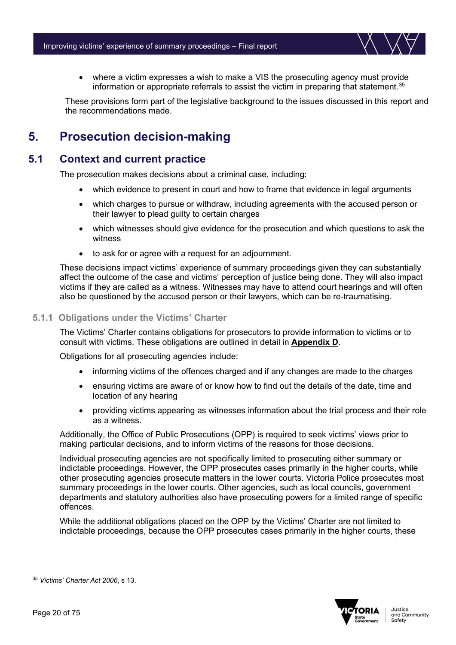• where a victim expresses a wish to make a VIS the prosecuting agency must provide information or appropriate referrals to assist the victim in preparing that statement.<sup>[35](#page-19-2)</sup>

These provisions form part of the legislative background to the issues discussed in this report and the recommendations made.

# <span id="page-19-0"></span>**5. Prosecution decision-making**

### <span id="page-19-1"></span>**5.1 Context and current practice**

The prosecution makes decisions about a criminal case, including:

- which evidence to present in court and how to frame that evidence in legal arguments
- which charges to pursue or withdraw, including agreements with the accused person or their lawyer to plead guilty to certain charges
- which witnesses should give evidence for the prosecution and which questions to ask the witness
- to ask for or agree with a request for an adjournment.

These decisions impact victims' experience of summary proceedings given they can substantially affect the outcome of the case and victims' perception of justice being done. They will also impact victims if they are called as a witness. Witnesses may have to attend court hearings and will often also be questioned by the accused person or their lawyers, which can be re-traumatising.

#### **5.1.1 Obligations under the Victims' Charter**

The Victims' Charter contains obligations for prosecutors to provide information to victims or to consult with victims. These obligations are outlined in detail in **Appendix D**.

Obligations for all prosecuting agencies include:

- informing victims of the offences charged and if any changes are made to the charges
- ensuring victims are aware of or know how to find out the details of the date, time and location of any hearing
- providing victims appearing as witnesses information about the trial process and their role as a witness.

Additionally, the Office of Public Prosecutions (OPP) is required to seek victims' views prior to making particular decisions, and to inform victims of the reasons for those decisions.

Individual prosecuting agencies are not specifically limited to prosecuting either summary or indictable proceedings. However, the OPP prosecutes cases primarily in the higher courts, while other prosecuting agencies prosecute matters in the lower courts. Victoria Police prosecutes most summary proceedings in the lower courts. Other agencies, such as local councils, government departments and statutory authorities also have prosecuting powers for a limited range of specific offences.

While the additional obligations placed on the OPP by the Victims' Charter are not limited to indictable proceedings, because the OPP prosecutes cases primarily in the higher courts, these



<span id="page-19-2"></span><sup>35</sup> *Victims' Charter Act 2006*, s 13.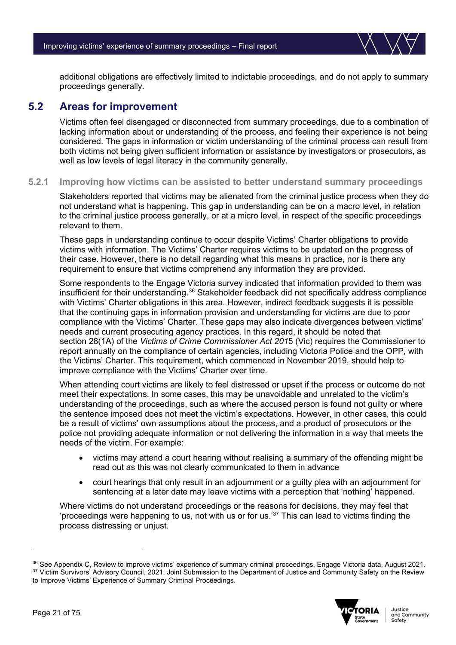

additional obligations are effectively limited to indictable proceedings, and do not apply to summary proceedings generally.

### <span id="page-20-0"></span>**5.2 Areas for improvement**

Victims often feel disengaged or disconnected from summary proceedings, due to a combination of lacking information about or understanding of the process, and feeling their experience is not being considered. The gaps in information or victim understanding of the criminal process can result from both victims not being given sufficient information or assistance by investigators or prosecutors, as well as low levels of legal literacy in the community generally.

#### **5.2.1 Improving how victims can be assisted to better understand summary proceedings**

Stakeholders reported that victims may be alienated from the criminal justice process when they do not understand what is happening. This gap in understanding can be on a macro level, in relation to the criminal justice process generally, or at a micro level, in respect of the specific proceedings relevant to them.

These gaps in understanding continue to occur despite Victims' Charter obligations to provide victims with information. The Victims' Charter requires victims to be updated on the progress of their case. However, there is no detail regarding what this means in practice, nor is there any requirement to ensure that victims comprehend any information they are provided.

Some respondents to the Engage Victoria survey indicated that information provided to them was insufficient for their understanding.<sup>[36](#page-20-1)</sup> Stakeholder feedback did not specifically address compliance with Victims' Charter obligations in this area. However, indirect feedback suggests it is possible that the continuing gaps in information provision and understanding for victims are due to poor compliance with the Victims' Charter. These gaps may also indicate divergences between victims' needs and current prosecuting agency practices. In this regard, it should be noted that section 28(1A) of the *Victims of Crime Commissioner Act 201*5 (Vic) requires the Commissioner to report annually on the compliance of certain agencies, including Victoria Police and the OPP, with the Victims' Charter. This requirement, which commenced in November 2019, should help to improve compliance with the Victims' Charter over time.

When attending court victims are likely to feel distressed or upset if the process or outcome do not meet their expectations. In some cases, this may be unavoidable and unrelated to the victim's understanding of the proceedings, such as where the accused person is found not guilty or where the sentence imposed does not meet the victim's expectations. However, in other cases, this could be a result of victims' own assumptions about the process, and a product of prosecutors or the police not providing adequate information or not delivering the information in a way that meets the needs of the victim. For example:

- victims may attend a court hearing without realising a summary of the offending might be read out as this was not clearly communicated to them in advance
- court hearings that only result in an adjournment or a guilty plea with an adjournment for sentencing at a later date may leave victims with a perception that 'nothing' happened.

Where victims do not understand proceedings or the reasons for decisions, they may feel that 'proceedings were happening to us, not with us or for us.' [37](#page-20-2) This can lead to victims finding the process distressing or unjust.

<span id="page-20-2"></span><span id="page-20-1"></span><sup>&</sup>lt;sup>36</sup> See Appendix C, Review to improve victims' experience of summary criminal proceedings, Engage Victoria data, August 2021. 37 Victim Survivors' Advisory Council, 2021, Joint Submission to the Department of Justice and Community Safety on the Review to Improve Victims' Experience of Summary Criminal Proceedings.

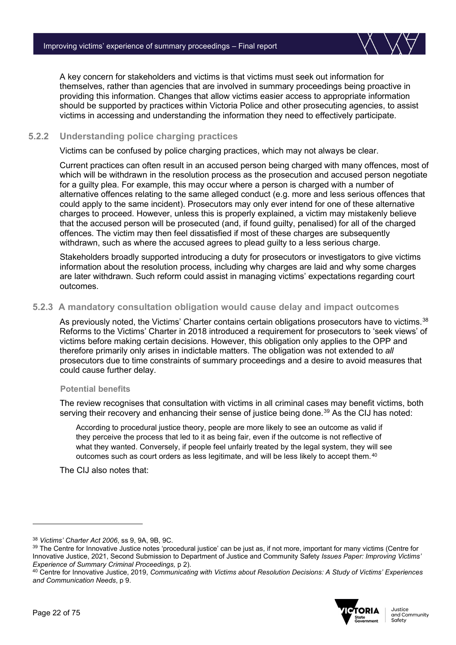A key concern for stakeholders and victims is that victims must seek out information for themselves, rather than agencies that are involved in summary proceedings being proactive in providing this information. Changes that allow victims easier access to appropriate information should be supported by practices within Victoria Police and other prosecuting agencies, to assist victims in accessing and understanding the information they need to effectively participate.

#### **5.2.2 Understanding police charging practices**

Victims can be confused by police charging practices, which may not always be clear.

Current practices can often result in an accused person being charged with many offences, most of which will be withdrawn in the resolution process as the prosecution and accused person negotiate for a guilty plea. For example, this may occur where a person is charged with a number of alternative offences relating to the same alleged conduct (e.g. more and less serious offences that could apply to the same incident). Prosecutors may only ever intend for one of these alternative charges to proceed. However, unless this is properly explained, a victim may mistakenly believe that the accused person will be prosecuted (and, if found guilty, penalised) for all of the charged offences. The victim may then feel dissatisfied if most of these charges are subsequently withdrawn, such as where the accused agrees to plead guilty to a less serious charge.

Stakeholders broadly supported introducing a duty for prosecutors or investigators to give victims information about the resolution process, including why charges are laid and why some charges are later withdrawn. Such reform could assist in managing victims' expectations regarding court outcomes.

#### **5.2.3 A mandatory consultation obligation would cause delay and impact outcomes**

As previously noted, the Victims' Charter contains certain obligations prosecutors have to victims.<sup>[38](#page-21-0)</sup> Reforms to the Victims' Charter in 2018 introduced a requirement for prosecutors to 'seek views' of victims before making certain decisions. However, this obligation only applies to the OPP and therefore primarily only arises in indictable matters. The obligation was not extended to *all*  prosecutors due to time constraints of summary proceedings and a desire to avoid measures that could cause further delay.

#### **Potential benefits**

The review recognises that consultation with victims in all criminal cases may benefit victims, both serving their recovery and enhancing their sense of justice being done.<sup>[39](#page-21-1)</sup> As the CIJ has noted:

According to procedural justice theory, people are more likely to see an outcome as valid if they perceive the process that led to it as being fair, even if the outcome is not reflective of what they wanted. Conversely, if people feel unfairly treated by the legal system, they will see outcomes such as court orders as less legitimate, and will be less likely to accept them.<sup>[40](#page-21-2)</sup>

The CIJ also notes that:

<span id="page-21-2"></span><sup>40</sup> Centre for Innovative Justice, 2019, *Communicating with Victims about Resolution Decisions: A Study of Victims' Experiences and Communication Needs*, p 9.



<span id="page-21-0"></span><sup>38</sup> *Victims' Charter Act 2006*, ss 9, 9A, 9B, 9C.

<span id="page-21-1"></span><sup>&</sup>lt;sup>39</sup> The Centre for Innovative Justice notes 'procedural justice' can be just as, if not more, important for many victims (Centre for Innovative Justice, 2021, Second Submission to Department of Justice and Community Safety *Issues Paper: Improving Victims' Experience of Summary Criminal Proceedings,* p 2).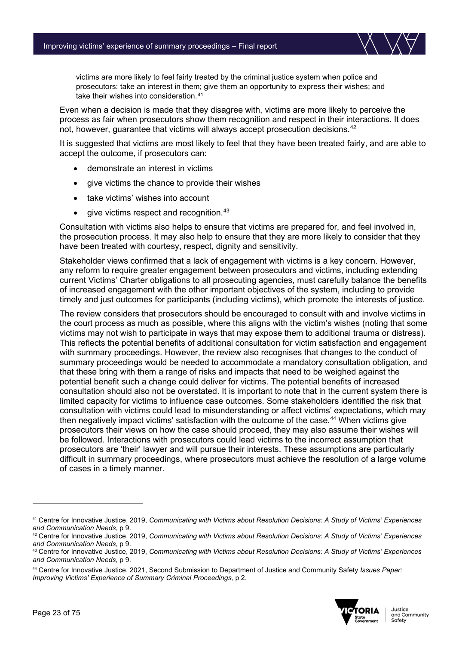

victims are more likely to feel fairly treated by the criminal justice system when police and prosecutors: take an interest in them; give them an opportunity to express their wishes; and take their wishes into consideration.<sup>[41](#page-22-0)</sup>

Even when a decision is made that they disagree with, victims are more likely to perceive the process as fair when prosecutors show them recognition and respect in their interactions. It does not, however, quarantee that victims will always accept prosecution decisions.<sup>[42](#page-22-1)</sup>

It is suggested that victims are most likely to feel that they have been treated fairly, and are able to accept the outcome, if prosecutors can:

- demonstrate an interest in victims
- qive victims the chance to provide their wishes
- take victims' wishes into account
- $\bullet$  give victims respect and recognition.  $43$

Consultation with victims also helps to ensure that victims are prepared for, and feel involved in, the prosecution process. It may also help to ensure that they are more likely to consider that they have been treated with courtesy, respect, dignity and sensitivity.

Stakeholder views confirmed that a lack of engagement with victims is a key concern. However, any reform to require greater engagement between prosecutors and victims, including extending current Victims' Charter obligations to all prosecuting agencies, must carefully balance the benefits of increased engagement with the other important objectives of the system, including to provide timely and just outcomes for participants (including victims), which promote the interests of justice.

The review considers that prosecutors should be encouraged to consult with and involve victims in the court process as much as possible, where this aligns with the victim's wishes (noting that some victims may not wish to participate in ways that may expose them to additional trauma or distress). This reflects the potential benefits of additional consultation for victim satisfaction and engagement with summary proceedings. However, the review also recognises that changes to the conduct of summary proceedings would be needed to accommodate a mandatory consultation obligation, and that these bring with them a range of risks and impacts that need to be weighed against the potential benefit such a change could deliver for victims. The potential benefits of increased consultation should also not be overstated. It is important to note that in the current system there is limited capacity for victims to influence case outcomes. Some stakeholders identified the risk that consultation with victims could lead to misunderstanding or affect victims' expectations, which may then negatively impact victims' satisfaction with the outcome of the case.<sup>[44](#page-22-3)</sup> When victims give prosecutors their views on how the case should proceed, they may also assume their wishes will be followed. Interactions with prosecutors could lead victims to the incorrect assumption that prosecutors are 'their' lawyer and will pursue their interests. These assumptions are particularly difficult in summary proceedings, where prosecutors must achieve the resolution of a large volume of cases in a timely manner.

<span id="page-22-3"></span><sup>44</sup> Centre for Innovative Justice, 2021, Second Submission to Department of Justice and Community Safety *Issues Paper: Improving Victims' Experience of Summary Criminal Proceedings,* p 2.



<span id="page-22-0"></span><sup>41</sup> Centre for Innovative Justice, 2019, *Communicating with Victims about Resolution Decisions: A Study of Victims' Experiences and Communication Needs*, p 9.

<span id="page-22-1"></span><sup>42</sup> Centre for Innovative Justice, 2019, *Communicating with Victims about Resolution Decisions: A Study of Victims' Experiences and Communication Needs*, p 9.

<span id="page-22-2"></span><sup>43</sup> Centre for Innovative Justice, 2019, *Communicating with Victims about Resolution Decisions: A Study of Victims' Experiences and Communication Needs*, p 9.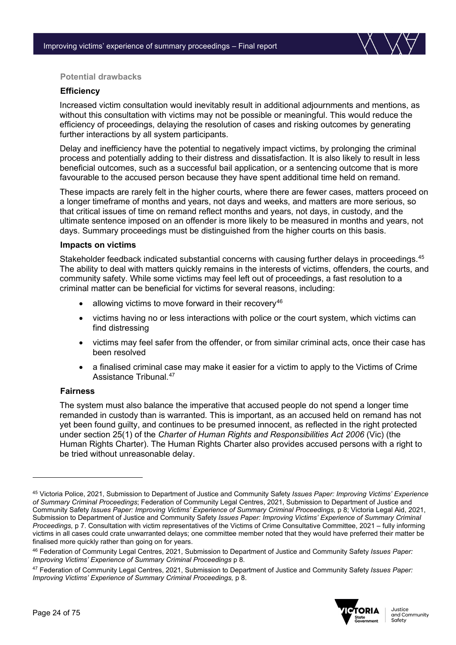

#### **Potential drawbacks**

#### **Efficiency**

Increased victim consultation would inevitably result in additional adjournments and mentions, as without this consultation with victims may not be possible or meaningful. This would reduce the efficiency of proceedings, delaying the resolution of cases and risking outcomes by generating further interactions by all system participants.

Delay and inefficiency have the potential to negatively impact victims, by prolonging the criminal process and potentially adding to their distress and dissatisfaction. It is also likely to result in less beneficial outcomes, such as a successful bail application, or a sentencing outcome that is more favourable to the accused person because they have spent additional time held on remand.

These impacts are rarely felt in the higher courts, where there are fewer cases, matters proceed on a longer timeframe of months and years, not days and weeks, and matters are more serious, so that critical issues of time on remand reflect months and years, not days, in custody, and the ultimate sentence imposed on an offender is more likely to be measured in months and years, not days. Summary proceedings must be distinguished from the higher courts on this basis.

#### **Impacts on victims**

Stakeholder feedback indicated substantial concerns with causing further delays in proceedings.<sup>[45](#page-23-0)</sup> The ability to deal with matters quickly remains in the interests of victims, offenders, the courts, and community safety. While some victims may feel left out of proceedings, a fast resolution to a criminal matter can be beneficial for victims for several reasons, including:

- allowing victims to move forward in their recovery<sup>[46](#page-23-1)</sup>
- victims having no or less interactions with police or the court system, which victims can find distressing
- victims may feel safer from the offender, or from similar criminal acts, once their case has been resolved
- a finalised criminal case may make it easier for a victim to apply to the Victims of Crime Assistance Tribunal<sup>[47](#page-23-2)</sup>

#### **Fairness**

The system must also balance the imperative that accused people do not spend a longer time remanded in custody than is warranted. This is important, as an accused held on remand has not yet been found guilty, and continues to be presumed innocent, as reflected in the right protected under section 25(1) of the *Charter of Human Rights and Responsibilities Act 2006* (Vic) (the Human Rights Charter). The Human Rights Charter also provides accused persons with a right to be tried without unreasonable delay.

<span id="page-23-2"></span><sup>47</sup> Federation of Community Legal Centres, 2021, Submission to Department of Justice and Community Safety *Issues Paper: Improving Victims' Experience of Summary Criminal Proceedings,* p 8.



<span id="page-23-0"></span><sup>45</sup> Victoria Police, 2021, Submission to Department of Justice and Community Safety *Issues Paper: Improving Victims' Experience of Summary Criminal Proceedings*; Federation of Community Legal Centres, 2021, Submission to Department of Justice and Community Safety *Issues Paper: Improving Victims' Experience of Summary Criminal Proceedings,* p 8; Victoria Legal Aid, 2021, Submission to Department of Justice and Community Safety *Issues Paper: Improving Victims' Experience of Summary Criminal Proceedings,* p 7. Consultation with victim representatives of the Victims of Crime Consultative Committee, 2021 – fully informing victims in all cases could crate unwarranted delays; one committee member noted that they would have preferred their matter be finalised more quickly rather than going on for years.

<span id="page-23-1"></span><sup>46</sup> Federation of Community Legal Centres, 2021, Submission to Department of Justice and Community Safety *Issues Paper: Improving Victims' Experience of Summary Criminal Proceedings* p 8.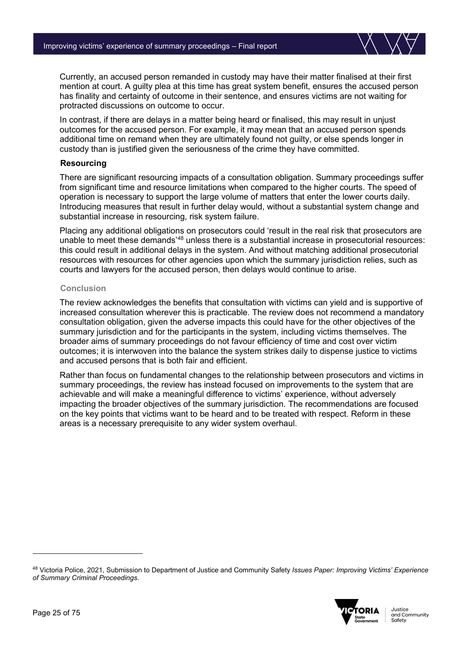

Currently, an accused person remanded in custody may have their matter finalised at their first mention at court. A guilty plea at this time has great system benefit, ensures the accused person has finality and certainty of outcome in their sentence, and ensures victims are not waiting for protracted discussions on outcome to occur.

In contrast, if there are delays in a matter being heard or finalised, this may result in unjust outcomes for the accused person. For example, it may mean that an accused person spends additional time on remand when they are ultimately found not guilty, or else spends longer in custody than is justified given the seriousness of the crime they have committed.

#### **Resourcing**

There are significant resourcing impacts of a consultation obligation. Summary proceedings suffer from significant time and resource limitations when compared to the higher courts. The speed of operation is necessary to support the large volume of matters that enter the lower courts daily. Introducing measures that result in further delay would, without a substantial system change and substantial increase in resourcing, risk system failure.

Placing any additional obligations on prosecutors could 'result in the real risk that prosecutors are unable to meet these demands'[48](#page-24-0) unless there is a substantial increase in prosecutorial resources: this could result in additional delays in the system. And without matching additional prosecutorial resources with resources for other agencies upon which the summary jurisdiction relies, such as courts and lawyers for the accused person, then delays would continue to arise.

#### **Conclusion**

The review acknowledges the benefits that consultation with victims can yield and is supportive of increased consultation wherever this is practicable. The review does not recommend a mandatory consultation obligation, given the adverse impacts this could have for the other objectives of the summary jurisdiction and for the participants in the system, including victims themselves. The broader aims of summary proceedings do not favour efficiency of time and cost over victim outcomes; it is interwoven into the balance the system strikes daily to dispense justice to victims and accused persons that is both fair and efficient.

Rather than focus on fundamental changes to the relationship between prosecutors and victims in summary proceedings, the review has instead focused on improvements to the system that are achievable and will make a meaningful difference to victims' experience, without adversely impacting the broader objectives of the summary jurisdiction. The recommendations are focused on the key points that victims want to be heard and to be treated with respect. Reform in these areas is a necessary prerequisite to any wider system overhaul.

<span id="page-24-0"></span><sup>48</sup> Victoria Police, 2021, Submission to Department of Justice and Community Safety *Issues Paper: Improving Victims' Experience of Summary Criminal Proceedings*.

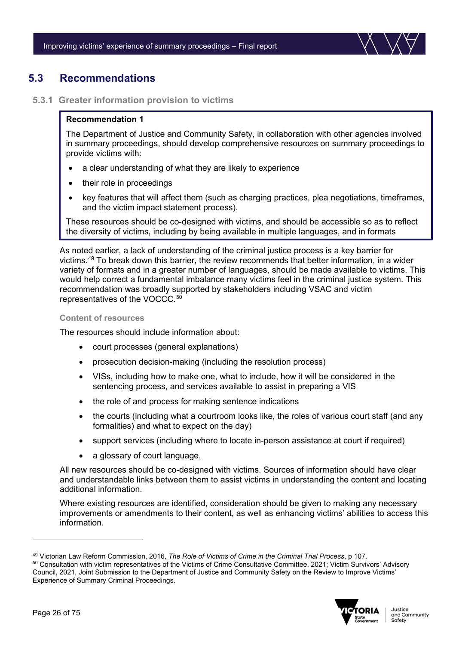

# <span id="page-25-0"></span>**5.3 Recommendations**

#### **5.3.1 Greater information provision to victims**

#### **Recommendation 1**

The Department of Justice and Community Safety, in collaboration with other agencies involved in summary proceedings, should develop comprehensive resources on summary proceedings to provide victims with:

- a clear understanding of what they are likely to experience
- their role in proceedings
- key features that will affect them (such as charging practices, plea negotiations, timeframes, and the victim impact statement process).

These resources should be co-designed with victims, and should be accessible so as to reflect the diversity of victims, including by being available in multiple languages, and in formats

As noted earlier, a lack of understanding of the criminal justice process is a key barrier for victims.[49](#page-25-1) To break down this barrier, the review recommends that better information, in a wider variety of formats and in a greater number of languages, should be made available to victims. This would help correct a fundamental imbalance many victims feel in the criminal justice system. This recommendation was broadly supported by stakeholders including VSAC and victim representatives of the VOCCC. [50](#page-25-2) Ī

#### **Content of resources**

The resources should include information about:

- court processes (general explanations)
- prosecution decision-making (including the resolution process)
- VISs, including how to make one, what to include, how it will be considered in the sentencing process, and services available to assist in preparing a VIS
- the role of and process for making sentence indications
- the courts (including what a courtroom looks like, the roles of various court staff (and any formalities) and what to expect on the day)
- support services (including where to locate in-person assistance at court if required)
- a glossary of court language.

All new resources should be co-designed with victims. Sources of information should have clear and understandable links between them to assist victims in understanding the content and locating additional information.

Where existing resources are identified, consideration should be given to making any necessary improvements or amendments to their content, as well as enhancing victims' abilities to access this information.

<span id="page-25-2"></span><span id="page-25-1"></span><sup>49</sup> Victorian Law Reform Commission, 2016, *The Role of Victims of Crime in the Criminal Trial Process*, p 107. <sup>50</sup> Consultation with victim representatives of the Victims of Crime Consultative Committee, 2021; Victim Survivors' Advisory Council, 2021, Joint Submission to the Department of Justice and Community Safety on the Review to Improve Victims' Experience of Summary Criminal Proceedings.

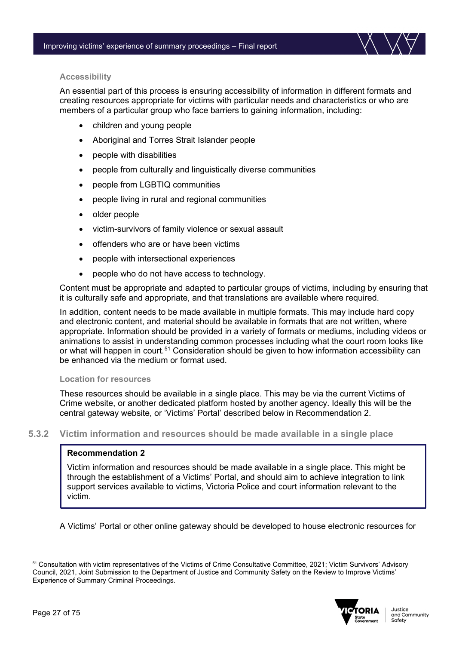

#### **Accessibility**

An essential part of this process is ensuring accessibility of information in different formats and creating resources appropriate for victims with particular needs and characteristics or who are members of a particular group who face barriers to gaining information, including:

- children and young people
- Aboriginal and Torres Strait Islander people
- people with disabilities
- people from culturally and linguistically diverse communities
- people from LGBTIQ communities
- people living in rural and regional communities
- older people
- victim-survivors of family violence or sexual assault
- offenders who are or have been victims
- people with intersectional experiences
- people who do not have access to technology.

Content must be appropriate and adapted to particular groups of victims, including by ensuring that it is culturally safe and appropriate, and that translations are available where required.

In addition, content needs to be made available in multiple formats. This may include hard copy and electronic content, and material should be available in formats that are not written, where appropriate. Information should be provided in a variety of formats or mediums, including videos or animations to assist in understanding common processes including what the court room looks like or what will happen in court.<sup>[51](#page-26-0)</sup> Consideration should be given to how information accessibility can be enhanced via the medium or format used.

#### **Location for resources**

These resources should be available in a single place. This may be via the current Victims of Crime website, or another dedicated platform hosted by another agency. Ideally this will be the central gateway website, or 'Victims' Portal' described below in Recommendation 2.

#### **5.3.2 Victim information and resources should be made available in a single place**

#### **Recommendation 2**

Ξ

Victim information and resources should be made available in a single place. This might be through the establishment of a Victims' Portal, and should aim to achieve integration to link support services available to victims, Victoria Police and court information relevant to the victim.

A Victims' Portal or other online gateway should be developed to house electronic resources for l

<span id="page-26-0"></span><sup>51</sup> Consultation with victim representatives of the Victims of Crime Consultative Committee, 2021; Victim Survivors' Advisory Council, 2021, Joint Submission to the Department of Justice and Community Safety on the Review to Improve Victims' Experience of Summary Criminal Proceedings.

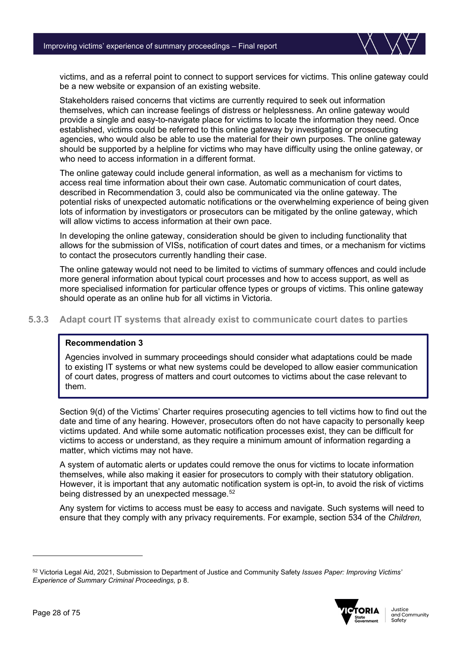

victims, and as a referral point to connect to support services for victims. This online gateway could be a new website or expansion of an existing website.

Stakeholders raised concerns that victims are currently required to seek out information themselves, which can increase feelings of distress or helplessness. An online gateway would provide a single and easy-to-navigate place for victims to locate the information they need. Once established, victims could be referred to this online gateway by investigating or prosecuting agencies, who would also be able to use the material for their own purposes. The online gateway should be supported by a helpline for victims who may have difficulty using the online gateway, or who need to access information in a different format.

The online gateway could include general information, as well as a mechanism for victims to access real time information about their own case. Automatic communication of court dates, described in Recommendation 3, could also be communicated via the online gateway. The potential risks of unexpected automatic notifications or the overwhelming experience of being given lots of information by investigators or prosecutors can be mitigated by the online gateway, which will allow victims to access information at their own pace.

In developing the online gateway, consideration should be given to including functionality that allows for the submission of VISs, notification of court dates and times, or a mechanism for victims to contact the prosecutors currently handling their case.

The online gateway would not need to be limited to victims of summary offences and could include more general information about typical court processes and how to access support, as well as more specialised information for particular offence types or groups of victims. This online gateway should operate as an online hub for all victims in Victoria.

**5.3.3 Adapt court IT systems that already exist to communicate court dates to parties**

#### **Recommendation 3**

Agencies involved in summary proceedings should consider what adaptations could be made to existing IT systems or what new systems could be developed to allow easier communication of court dates, progress of matters and court outcomes to victims about the case relevant to them.

Section 9(d) of the Victims' Charter requires prosecuting agencies to tell victims how to find out the date and time of any hearing. However, prosecutors often do not have capacity to personally keep victims updated. And while some automatic notification processes exist, they can be difficult for victims to access or understand, as they require a minimum amount of information regarding a matter, which victims may not have.

A system of automatic alerts or updates could remove the onus for victims to locate information themselves, while also making it easier for prosecutors to comply with their statutory obligation. However, it is important that any automatic notification system is opt-in, to avoid the risk of victims being distressed by an unexpected message.<sup>[52](#page-27-0)</sup>

Any system for victims to access must be easy to access and navigate. Such systems will need to ensure that they comply with any privacy requirements. For example, section 534 of the *Children,* 

<span id="page-27-0"></span><sup>52</sup> Victoria Legal Aid, 2021, Submission to Department of Justice and Community Safety *Issues Paper: Improving Victims' Experience of Summary Criminal Proceedings,* p 8.

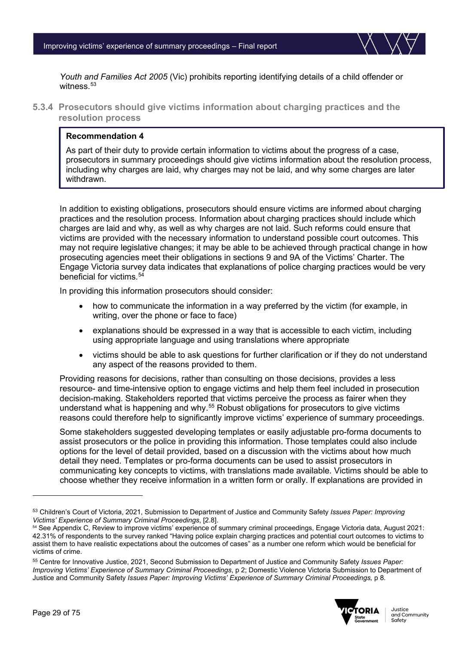

*Youth and Families Act 2005* (Vic) prohibits reporting identifying details of a child offender or witness  $53$ 

**5.3.4 Prosecutors should give victims information about charging practices and the resolution process**

#### **Recommendation 4**

As part of their duty to provide certain information to victims about the progress of a case, prosecutors in summary proceedings should give victims information about the resolution process, including why charges are laid, why charges may not be laid, and why some charges are later withdrawn.

In addition to existing obligations, prosecutors should ensure victims are informed about charging practices and the resolution process. Information about charging practices should include which charges are laid and why, as well as why charges are not laid. Such reforms could ensure that victims are provided with the necessary information to understand possible court outcomes. This may not require legislative changes; it may be able to be achieved through practical change in how prosecuting agencies meet their obligations in sections 9 and 9A of the Victims' Charter. The Engage Victoria survey data indicates that explanations of police charging practices would be very beneficial for victims.<sup>[54](#page-28-1)</sup>

In providing this information prosecutors should consider:

- how to communicate the information in a way preferred by the victim (for example, in writing, over the phone or face to face)
- explanations should be expressed in a way that is accessible to each victim, including using appropriate language and using translations where appropriate
- victims should be able to ask questions for further clarification or if they do not understand any aspect of the reasons provided to them.

Providing reasons for decisions, rather than consulting on those decisions, provides a less resource- and time-intensive option to engage victims and help them feel included in prosecution decision-making. Stakeholders reported that victims perceive the process as fairer when they understand what is happening and why.<sup>[55](#page-28-2)</sup> Robust obligations for prosecutors to give victims reasons could therefore help to significantly improve victims' experience of summary proceedings.

Some stakeholders suggested developing templates or easily adjustable pro-forma documents to assist prosecutors or the police in providing this information. Those templates could also include options for the level of detail provided, based on a discussion with the victims about how much detail they need. Templates or pro-forma documents can be used to assist prosecutors in communicating key concepts to victims, with translations made available. Victims should be able to choose whether they receive information in a written form or orally. If explanations are provided in

<span id="page-28-2"></span><sup>55</sup> Centre for Innovative Justice, 2021, Second Submission to Department of Justice and Community Safety *Issues Paper: Improving Victims' Experience of Summary Criminal Proceedings*, p 2; Domestic Violence Victoria Submission to Department of Justice and Community Safety *Issues Paper: Improving Victims' Experience of Summary Criminal Proceedings,* p 8.



<span id="page-28-0"></span><sup>53</sup> Children's Court of Victoria, 2021, Submission to Department of Justice and Community Safety *Issues Paper: Improving Victims' Experience of Summary Criminal Proceedings*, [2.8].

<span id="page-28-1"></span><sup>54</sup> See Appendix C, Review to improve victims' experience of summary criminal proceedings, Engage Victoria data, August 2021: 42.31% of respondents to the survey ranked "Having police explain charging practices and potential court outcomes to victims to assist them to have realistic expectations about the outcomes of cases" as a number one reform which would be beneficial for victims of crime.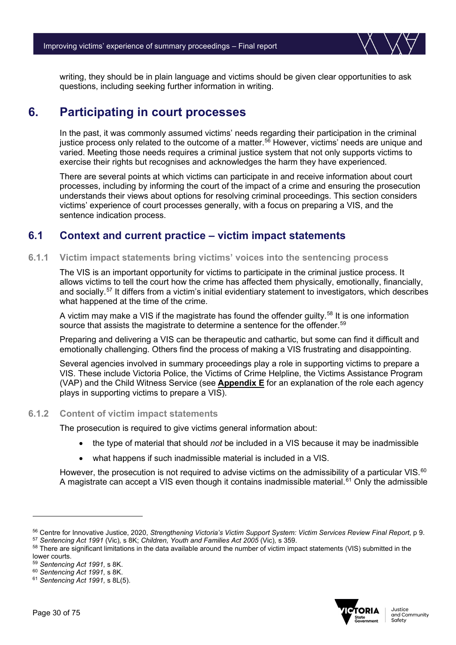writing, they should be in plain language and victims should be given clear opportunities to ask questions, including seeking further information in writing.

# <span id="page-29-0"></span>**6. Participating in court processes**

In the past, it was commonly assumed victims' needs regarding their participation in the criminal justice process only related to the outcome of a matter. [56](#page-29-2) However, victims' needs are unique and varied. Meeting those needs requires a criminal justice system that not only supports victims to exercise their rights but recognises and acknowledges the harm they have experienced.

There are several points at which victims can participate in and receive information about court processes, including by informing the court of the impact of a crime and ensuring the prosecution understands their views about options for resolving criminal proceedings. This section considers victims' experience of court processes generally, with a focus on preparing a VIS, and the sentence indication process.

# <span id="page-29-1"></span>**6.1 Context and current practice – victim impact statements**

#### **6.1.1 Victim impact statements bring victims' voices into the sentencing process**

The VIS is an important opportunity for victims to participate in the criminal justice process. It allows victims to tell the court how the crime has affected them physically, emotionally, financially, and socially.<sup>[57](#page-29-3)</sup> It differs from a victim's initial evidentiary statement to investigators, which describes what happened at the time of the crime.

A victim may make a VIS if the magistrate has found the offender guilty.<sup>[58](#page-29-4)</sup> It is one information source that assists the magistrate to determine a sentence for the offender. [59](#page-29-5)

Preparing and delivering a VIS can be therapeutic and cathartic, but some can find it difficult and emotionally challenging. Others find the process of making a VIS frustrating and disappointing.

Several agencies involved in summary proceedings play a role in supporting victims to prepare a VIS. These include Victoria Police, the Victims of Crime Helpline, the Victims Assistance Program (VAP) and the Child Witness Service (see **Appendix E** for an explanation of the role each agency plays in supporting victims to prepare a VIS).

#### **6.1.2 Content of victim impact statements**

The prosecution is required to give victims general information about:

- the type of material that should *not* be included in a VIS because it may be inadmissible
- what happens if such inadmissible material is included in a VIS.

However, the prosecution is not required to advise victims on the admissibility of a particular VIS.<sup>[60](#page-29-6)</sup> A magistrate can accept a VIS even though it contains inadmissible material.<sup>[61](#page-29-7)</sup> Only the admissible



<span id="page-29-2"></span><sup>56</sup> Centre for Innovative Justice, 2020, *Strengthening Victoria's Victim Support System: Victim Services Review Final Report*, p 9. <sup>57</sup> *Sentencing Act 1991* (Vic)*,* s 8K; *Children, Youth and Families Act 2005* (Vic)*,* s 359.

<span id="page-29-4"></span><span id="page-29-3"></span><sup>&</sup>lt;sup>58</sup> There are significant limitations in the data available around the number of victim impact statements (VIS) submitted in the

lower courts.

<span id="page-29-5"></span><sup>59</sup> *Sentencing Act 1991,* s 8K.

<span id="page-29-6"></span><sup>60</sup> *Sentencing Act 1991,* s 8K.

<span id="page-29-7"></span><sup>61</sup> *Sentencing Act 1991,* s 8L(5).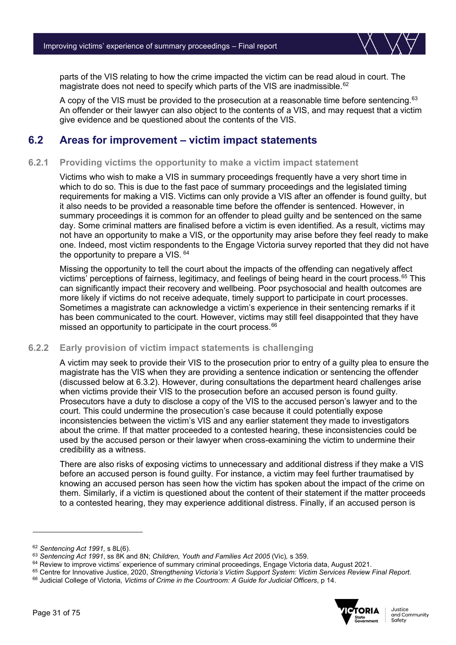

parts of the VIS relating to how the crime impacted the victim can be read aloud in court. The magistrate does not need to specify which parts of the VIS are inadmissible.<sup>[62](#page-30-1)</sup>

A copy of the VIS must be provided to the prosecution at a reasonable time before sentencing.<sup>[63](#page-30-2)</sup> An offender or their lawyer can also object to the contents of a VIS, and may request that a victim give evidence and be questioned about the contents of the VIS.

# <span id="page-30-0"></span>**6.2 Areas for improvement – victim impact statements**

#### **6.2.1 Providing victims the opportunity to make a victim impact statement**

Victims who wish to make a VIS in summary proceedings frequently have a very short time in which to do so. This is due to the fast pace of summary proceedings and the legislated timing requirements for making a VIS. Victims can only provide a VIS after an offender is found guilty, but it also needs to be provided a reasonable time before the offender is sentenced. However, in summary proceedings it is common for an offender to plead guilty and be sentenced on the same day. Some criminal matters are finalised before a victim is even identified. As a result, victims may not have an opportunity to make a VIS, or the opportunity may arise before they feel ready to make one. Indeed, most victim respondents to the Engage Victoria survey reported that they did not have the opportunity to prepare a VIS.  $64$ 

Missing the opportunity to tell the court about the impacts of the offending can negatively affect victims' perceptions of fairness, legitimacy, and feelings of being heard in the court process.<sup>[65](#page-30-4)</sup> This can significantly impact their recovery and wellbeing. Poor psychosocial and health outcomes are more likely if victims do not receive adequate, timely support to participate in court processes. Sometimes a magistrate can acknowledge a victim's experience in their sentencing remarks if it has been communicated to the court. However, victims may still feel disappointed that they have missed an opportunity to participate in the court process.<sup>[66](#page-30-5)</sup>

#### **6.2.2 Early provision of victim impact statements is challenging**

A victim may seek to provide their VIS to the prosecution prior to entry of a guilty plea to ensure the magistrate has the VIS when they are providing a sentence indication or sentencing the offender (discussed below at 6.3.2). However, during consultations the department heard challenges arise when victims provide their VIS to the prosecution before an accused person is found guilty. Prosecutors have a duty to disclose a copy of the VIS to the accused person's lawyer and to the court. This could undermine the prosecution's case because it could potentially expose inconsistencies between the victim's VIS and any earlier statement they made to investigators about the crime. If that matter proceeded to a contested hearing, these inconsistencies could be used by the accused person or their lawyer when cross-examining the victim to undermine their credibility as a witness.

There are also risks of exposing victims to unnecessary and additional distress if they make a VIS before an accused person is found guilty. For instance, a victim may feel further traumatised by knowing an accused person has seen how the victim has spoken about the impact of the crime on them. Similarly, if a victim is questioned about the content of their statement if the matter proceeds to a contested hearing, they may experience additional distress. Finally, if an accused person is

<span id="page-30-5"></span><span id="page-30-4"></span><sup>66</sup> Judicial College of Victoria, *Victims of Crime in the Courtroom: A Guide for Judicial Officers*, p 14.



<span id="page-30-1"></span><sup>62</sup> *Sentencing Act 1991,* s 8L(6).

<span id="page-30-2"></span><sup>63</sup> *Sentencing Act 1991*, ss 8K and 8N; *Children, Youth and Families Act 2005* (Vic)*,* s 359.

<span id="page-30-3"></span><sup>&</sup>lt;sup>64</sup> Review to improve victims' experience of summary criminal proceedings, Engage Victoria data, August 2021.<br><sup>65</sup> Centre for Innovative Justice, 2020, Strengthening Victoria's Victim Support System: Victim Services Revie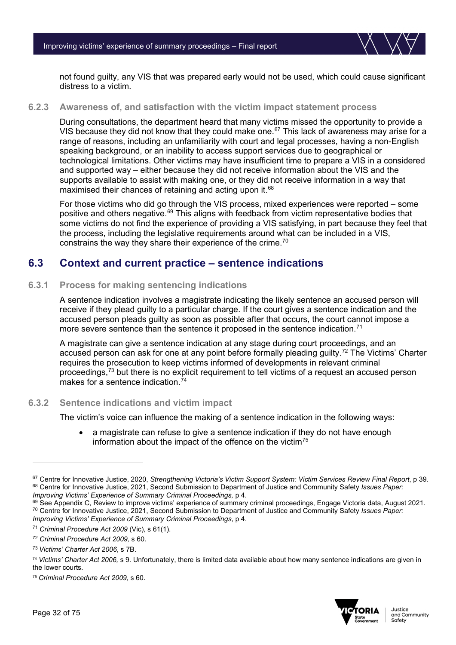

not found guilty, any VIS that was prepared early would not be used, which could cause significant distress to a victim.

#### **6.2.3 Awareness of, and satisfaction with the victim impact statement process**

During consultations, the department heard that many victims missed the opportunity to provide a VIS because they did not know that they could make one.<sup>[67](#page-31-1)</sup> This lack of awareness may arise for a range of reasons, including an unfamiliarity with court and legal processes, having a non-English speaking background, or an inability to access support services due to geographical or technological limitations. Other victims may have insufficient time to prepare a VIS in a considered and supported way – either because they did not receive information about the VIS and the supports available to assist with making one, or they did not receive information in a way that maximised their chances of retaining and acting upon it.<sup>[68](#page-31-2)</sup>

For those victims who did go through the VIS process, mixed experiences were reported – some positive and others negative.<sup>[69](#page-31-3)</sup> This aligns with feedback from victim representative bodies that some victims do not find the experience of providing a VIS satisfying, in part because they feel that the process, including the legislative requirements around what can be included in a VIS, constrains the way they share their experience of the crime.<sup>[70](#page-31-4)</sup>

### <span id="page-31-0"></span>**6.3 Context and current practice – sentence indications**

#### **6.3.1 Process for making sentencing indications**

A sentence indication involves a magistrate indicating the likely sentence an accused person will receive if they plead guilty to a particular charge. If the court gives a sentence indication and the accused person pleads guilty as soon as possible after that occurs, the court cannot impose a more severe sentence than the sentence it proposed in the sentence indication.<sup>[71](#page-31-5)</sup>

A magistrate can give a sentence indication at any stage during court proceedings, and an accused person can ask for one at any point before formally pleading guilty.<sup>[72](#page-31-6)</sup> The Victims' Charter requires the prosecution to keep victims informed of developments in relevant criminal proceedings,<sup>[73](#page-31-7)</sup> but there is no explicit requirement to tell victims of a request an accused person makes for a sentence indication. [74](#page-31-8)

#### **6.3.2 Sentence indications and victim impact**

The victim's voice can influence the making of a sentence indication in the following ways:

a magistrate can refuse to give a sentence indication if they do not have enough information about the impact of the offence on the victim $75$ 



<span id="page-31-2"></span><span id="page-31-1"></span><sup>67</sup> Centre for Innovative Justice, 2020, *Strengthening Victoria's Victim Support System: Victim Services Review Final Report*, p 39. 68 Centre for Innovative Justice, 2021, Second Submission to Department of Justice and Community Safety *Issues Paper:*<br>*Improving Victims' Experience of Summary Criminal Proceedings, p 4.* 

<span id="page-31-4"></span><span id="page-31-3"></span> $^{69}$  See Appendix C, Review to improve victims' experience of summary criminal proceedings, Engage Victoria data, August 2021.<br><sup>70</sup> Centre for Innovative Justice, 2021, Second Submission to Department of Justice and Com *Improving Victims' Experience of Summary Criminal Proceedings*, p 4.

<span id="page-31-5"></span><sup>71</sup> *Criminal Procedure Act 2009* (Vic), s 61(1).

<span id="page-31-6"></span><sup>72</sup> *Criminal Procedure Act 2009,* s 60.

<span id="page-31-7"></span><sup>73</sup> *Victims' Charter Act 2006*, s 7B.

<span id="page-31-8"></span><sup>74</sup> *Victims' Charter Act 2006,* s 9. Unfortunately, there is limited data available about how many sentence indications are given in the lower courts.

<span id="page-31-9"></span><sup>75</sup> *Criminal Procedure Act 2009*, s 60.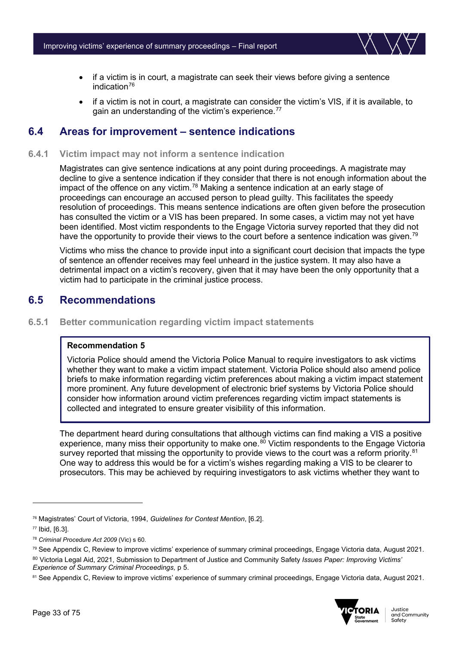

- if a victim is in court, a magistrate can seek their views before giving a sentence indication $76$
- if a victim is not in court, a magistrate can consider the victim's VIS, if it is available, to gain an understanding of the victim's experience. [77](#page-32-3)

### <span id="page-32-0"></span>**6.4 Areas for improvement – sentence indications**

#### **6.4.1 Victim impact may not inform a sentence indication**

Magistrates can give sentence indications at any point during proceedings. A magistrate may decline to give a sentence indication if they consider that there is not enough information about the impact of the offence on any victim.<sup>[78](#page-32-4)</sup> Making a sentence indication at an early stage of proceedings can encourage an accused person to plead guilty. This facilitates the speedy resolution of proceedings. This means sentence indications are often given before the prosecution has consulted the victim or a VIS has been prepared. In some cases, a victim may not yet have been identified. Most victim respondents to the Engage Victoria survey reported that they did not have the opportunity to provide their views to the court before a sentence indication was given.<sup>[79](#page-32-5)</sup>

Victims who miss the chance to provide input into a significant court decision that impacts the type of sentence an offender receives may feel unheard in the justice system. It may also have a detrimental impact on a victim's recovery, given that it may have been the only opportunity that a victim had to participate in the criminal justice process.

### <span id="page-32-1"></span>**6.5 Recommendations**

**6.5.1 Better communication regarding victim impact statements**

#### **Recommendation 5**

Victoria Police should amend the Victoria Police Manual to require investigators to ask victims whether they want to make a victim impact statement. Victoria Police should also amend police briefs to make information regarding victim preferences about making a victim impact statement more prominent. Any future development of electronic brief systems by Victoria Police should consider how information around victim preferences regarding victim impact statements is collected and integrated to ensure greater visibility of this information.

The department heard during consultations that although victims can find making a VIS a positive experience, many miss their opportunity to make one.<sup>[80](#page-32-6)</sup> Victim respondents to the Engage Victoria survey reported that missing the opportunity to provide views to the court was a reform priority.<sup>[81](#page-32-7)</sup> One way to address this would be for a victim's wishes regarding making a VIS to be clearer to prosecutors. This may be achieved by requiring investigators to ask victims whether they want to

<span id="page-32-7"></span><sup>81</sup> See Appendix C, Review to improve victims' experience of summary criminal proceedings, Engage Victoria data, August 2021.



<span id="page-32-2"></span><sup>76</sup> Magistrates' Court of Victoria, 1994, *Guidelines for Contest Mention*, [6.2].

<span id="page-32-3"></span><sup>77</sup> Ibid, [6.3].

<span id="page-32-4"></span><sup>78</sup> *Criminal Procedure Act 2009* (Vic) s 60.

<span id="page-32-5"></span><sup>79</sup> See Appendix C, Review to improve victims' experience of summary criminal proceedings, Engage Victoria data, August 2021. <sup>80</sup> Victoria Legal Aid, 2021, Submission to Department of Justice and Community Safety *Issues Paper: Improving Victims'* 

<span id="page-32-6"></span>*Experience of Summary Criminal Proceedings,* p 5.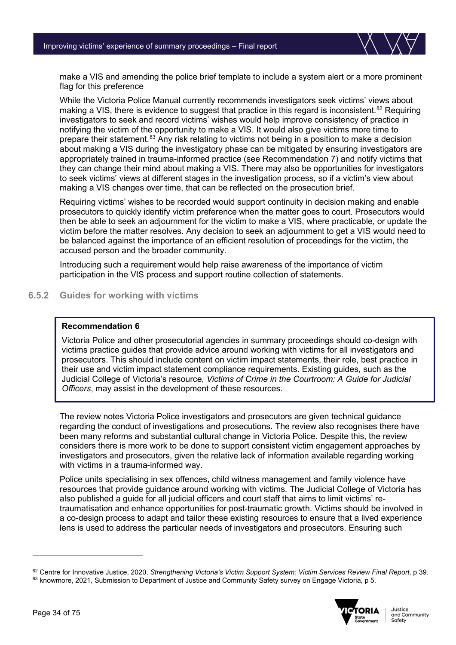

make a VIS and amending the police brief template to include a system alert or a more prominent flag for this preference

While the Victoria Police Manual currently recommends investigators seek victims' views about making a VIS, there is evidence to suggest that practice in this regard is inconsistent.<sup>[82](#page-33-0)</sup> Requiring investigators to seek and record victims' wishes would help improve consistency of practice in notifying the victim of the opportunity to make a VIS. It would also give victims more time to prepare their statement.[83](#page-33-1) Any risk relating to victims not being in a position to make a decision about making a VIS during the investigatory phase can be mitigated by ensuring investigators are appropriately trained in trauma-informed practice (see Recommendation 7) and notify victims that they can change their mind about making a VIS. There may also be opportunities for investigators to seek victims' views at different stages in the investigation process, so if a victim's view about making a VIS changes over time, that can be reflected on the prosecution brief.

Requiring victims' wishes to be recorded would support continuity in decision making and enable prosecutors to quickly identify victim preference when the matter goes to court. Prosecutors would then be able to seek an adjournment for the victim to make a VIS, where practicable, or update the victim before the matter resolves. Any decision to seek an adjournment to get a VIS would need to be balanced against the importance of an efficient resolution of proceedings for the victim, the accused person and the broader community.

Introducing such a requirement would help raise awareness of the importance of victim participation in the VIS process and support routine collection of statements.

#### **6.5.2 Guides for working with victims**

#### **Recommendation 6**

Victoria Police and other prosecutorial agencies in summary proceedings should co-design with victims practice guides that provide advice around working with victims for all investigators and prosecutors. This should include content on victim impact statements, their role, best practice in their use and victim impact statement compliance requirements. Existing guides, such as the Judicial College of Victoria's resource, *Victims of Crime in the Courtroom: A Guide for Judicial Officers*, may assist in the development of these resources.

The review notes Victoria Police investigators and prosecutors are given technical guidance regarding the conduct of investigations and prosecutions. The review also recognises there have been many reforms and substantial cultural change in Victoria Police. Despite this, the review considers there is more work to be done to support consistent victim engagement approaches by investigators and prosecutors, given the relative lack of information available regarding working with victims in a trauma-informed way.

Police units specialising in sex offences, child witness management and family violence have resources that provide guidance around working with victims. The Judicial College of Victoria has also published a guide for all judicial officers and court staff that aims to limit victims' retraumatisation and enhance opportunities for post-traumatic growth. Victims should be involved in a co-design process to adapt and tailor these existing resources to ensure that a lived experience lens is used to address the particular needs of investigators and prosecutors. Ensuring such

<span id="page-33-1"></span><span id="page-33-0"></span><sup>82</sup> Centre for Innovative Justice, 2020, *Strengthening Victoria's Victim Support System: Victim Services Review Final Report*, p 39. 83 knowmore, 2021, Submission to Department of Justice and Community Safety survey on Engage Victoria, p 5.

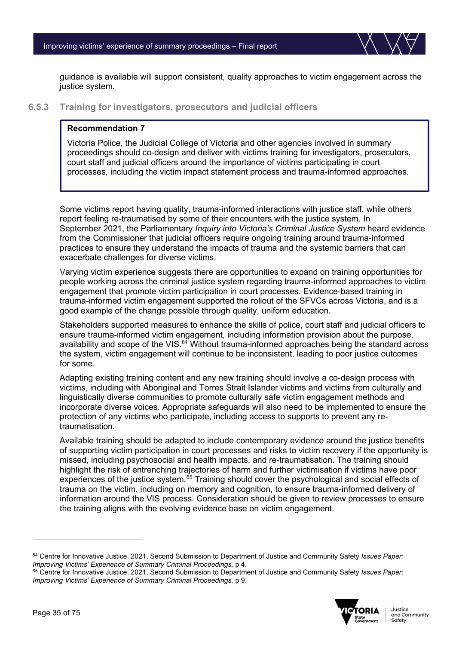

guidance is available will support consistent, quality approaches to victim engagement across the justice system.

**6.5.3 Training for investigators, prosecutors and judicial officers**

#### **Recommendation 7**

Victoria Police, the Judicial College of Victoria and other agencies involved in summary proceedings should co-design and deliver with victims training for investigators, prosecutors, court staff and judicial officers around the importance of victims participating in court processes, including the victim impact statement process and trauma-informed approaches.

Some victims report having quality, trauma-informed interactions with justice staff, while others report feeling re-traumatised by some of their encounters with the justice system. In September 2021, the Parliamentary *Inquiry into Victoria's Criminal Justice System* heard evidence from the Commissioner that judicial officers require ongoing training around trauma-informed practices to ensure they understand the impacts of trauma and the systemic barriers that can exacerbate challenges for diverse victims.

Varying victim experience suggests there are opportunities to expand on training opportunities for people working across the criminal justice system regarding trauma-informed approaches to victim engagement that promote victim participation in court processes. Evidence-based training in trauma-informed victim engagement supported the rollout of the SFVCs across Victoria, and is a good example of the change possible through quality, uniform education.

Stakeholders supported measures to enhance the skills of police, court staff and judicial officers to ensure trauma-informed victim engagement, including information provision about the purpose, availability and scope of the VIS.<sup>84</sup> Without trauma-informed approaches being the standard across the system, victim engagement will continue to be inconsistent, leading to poor justice outcomes for some.

Adapting existing training content and any new training should involve a co-design process with victims, including with Aboriginal and Torres Strait Islander victims and victims from culturally and linguistically diverse communities to promote culturally safe victim engagement methods and incorporate diverse voices. Appropriate safeguards will also need to be implemented to ensure the protection of any victims who participate, including access to supports to prevent any retraumatisation.

Available training should be adapted to include contemporary evidence around the justice benefits of supporting victim participation in court processes and risks to victim recovery if the opportunity is missed, including psychosocial and health impacts, and re-traumatisation. The training should highlight the risk of entrenching trajectories of harm and further victimisation if victims have poor experiences of the justice system.<sup>[85](#page-34-1)</sup> Training should cover the psychological and social effects of trauma on the victim, including on memory and cognition, to ensure trauma-informed delivery of information around the VIS process. Consideration should be given to review processes to ensure the training aligns with the evolving evidence base on victim engagement.

<span id="page-34-1"></span><sup>85</sup> Centre for Innovative Justice, 2021, Second Submission to Department of Justice and Community Safety *Issues Paper: Improving Victims' Experience of Summary Criminal Proceedings,* p 9.



<span id="page-34-0"></span><sup>84</sup> Centre for Innovative Justice, 2021, Second Submission to Department of Justice and Community Safety *Issues Paper: Improving Victims' Experience of Summary Criminal Proceedings,* p 4.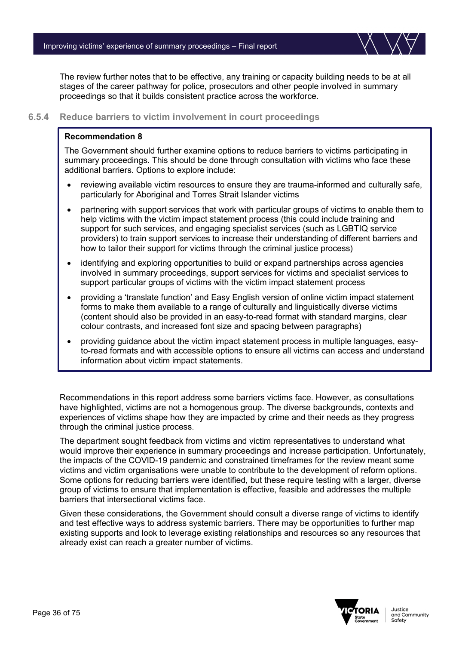

The review further notes that to be effective, any training or capacity building needs to be at all stages of the career pathway for police, prosecutors and other people involved in summary proceedings so that it builds consistent practice across the workforce.

#### **6.5.4 Reduce barriers to victim involvement in court proceedings**

#### **Recommendation 8**

The Government should further examine options to reduce barriers to victims participating in summary proceedings. This should be done through consultation with victims who face these additional barriers. Options to explore include:

- reviewing available victim resources to ensure they are trauma-informed and culturally safe, particularly for Aboriginal and Torres Strait Islander victims
- partnering with support services that work with particular groups of victims to enable them to help victims with the victim impact statement process (this could include training and support for such services, and engaging specialist services (such as LGBTIQ service providers) to train support services to increase their understanding of different barriers and how to tailor their support for victims through the criminal justice process)
- identifying and exploring opportunities to build or expand partnerships across agencies involved in summary proceedings, support services for victims and specialist services to support particular groups of victims with the victim impact statement process
- providing a 'translate function' and Easy English version of online victim impact statement forms to make them available to a range of culturally and linguistically diverse victims (content should also be provided in an easy-to-read format with standard margins, clear colour contrasts, and increased font size and spacing between paragraphs)
- providing guidance about the victim impact statement process in multiple languages, easyto-read formats and with accessible options to ensure all victims can access and understand information about victim impact statements.

Recommendations in this report address some barriers victims face. However, as consultations have highlighted, victims are not a homogenous group. The diverse backgrounds, contexts and experiences of victims shape how they are impacted by crime and their needs as they progress through the criminal justice process.

The department sought feedback from victims and victim representatives to understand what would improve their experience in summary proceedings and increase participation. Unfortunately, the impacts of the COVID-19 pandemic and constrained timeframes for the review meant some victims and victim organisations were unable to contribute to the development of reform options. Some options for reducing barriers were identified, but these require testing with a larger, diverse group of victims to ensure that implementation is effective, feasible and addresses the multiple barriers that intersectional victims face.

Given these considerations, the Government should consult a diverse range of victims to identify and test effective ways to address systemic barriers. There may be opportunities to further map existing supports and look to leverage existing relationships and resources so any resources that already exist can reach a greater number of victims.

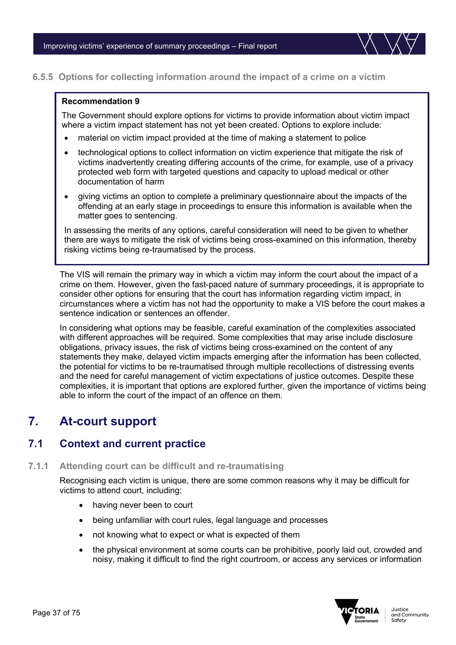

### **6.5.5 Options for collecting information around the impact of a crime on a victim**

### **Recommendation 9**

The Government should explore options for victims to provide information about victim impact where a victim impact statement has not yet been created. Options to explore include:

- material on victim impact provided at the time of making a statement to police
- technological options to collect information on victim experience that mitigate the risk of victims inadvertently creating differing accounts of the crime, for example, use of a privacy protected web form with targeted questions and capacity to upload medical or other documentation of harm
- giving victims an option to complete a preliminary questionnaire about the impacts of the offending at an early stage in proceedings to ensure this information is available when the matter goes to sentencing.

In assessing the merits of any options, careful consideration will need to be given to whether there are ways to mitigate the risk of victims being cross-examined on this information, thereby risking victims being re-traumatised by the process.

The VIS will remain the primary way in which a victim may inform the court about the impact of a crime on them. However, given the fast-paced nature of summary proceedings, it is appropriate to consider other options for ensuring that the court has information regarding victim impact, in circumstances where a victim has not had the opportunity to make a VIS before the court makes a sentence indication or sentences an offender.

In considering what options may be feasible, careful examination of the complexities associated with different approaches will be required. Some complexities that may arise include disclosure obligations, privacy issues, the risk of victims being cross-examined on the content of any statements they make, delayed victim impacts emerging after the information has been collected, the potential for victims to be re-traumatised through multiple recollections of distressing events and the need for careful management of victim expectations of justice outcomes. Despite these complexities, it is important that options are explored further, given the importance of victims being able to inform the court of the impact of an offence on them.

# **7. At-court support**

### **7.1 Context and current practice**

### **7.1.1 Attending court can be difficult and re-traumatising**

Recognising each victim is unique, there are some common reasons why it may be difficult for victims to attend court, including:

- having never been to court
- being unfamiliar with court rules, legal language and processes
- not knowing what to expect or what is expected of them
- the physical environment at some courts can be prohibitive, poorly laid out, crowded and noisy, making it difficult to find the right courtroom, or access any services or information

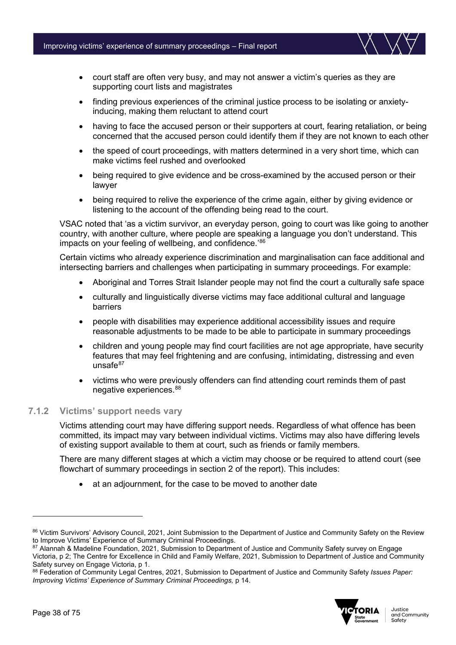

- finding previous experiences of the criminal justice process to be isolating or anxietyinducing, making them reluctant to attend court
- having to face the accused person or their supporters at court, fearing retaliation, or being concerned that the accused person could identify them if they are not known to each other
- the speed of court proceedings, with matters determined in a very short time, which can make victims feel rushed and overlooked
- being required to give evidence and be cross-examined by the accused person or their lawyer
- being required to relive the experience of the crime again, either by giving evidence or listening to the account of the offending being read to the court.

VSAC noted that 'as a victim survivor, an everyday person, going to court was like going to another country, with another culture, where people are speaking a language you don't understand. This impacts on your feeling of wellbeing, and confidence.<sup>'[86](#page-37-0)</sup>

Certain victims who already experience discrimination and marginalisation can face additional and intersecting barriers and challenges when participating in summary proceedings. For example:

- Aboriginal and Torres Strait Islander people may not find the court a culturally safe space
- culturally and linguistically diverse victims may face additional cultural and language barriers
- people with disabilities may experience additional accessibility issues and require reasonable adjustments to be made to be able to participate in summary proceedings
- children and young people may find court facilities are not age appropriate, have security features that may feel frightening and are confusing, intimidating, distressing and even unsafe $87$
- victims who were previously offenders can find attending court reminds them of past negative experiences.[88](#page-37-2)

### **7.1.2 Victims' support needs vary**

Victims attending court may have differing support needs. Regardless of what offence has been committed, its impact may vary between individual victims. Victims may also have differing levels of existing support available to them at court, such as friends or family members.

There are many different stages at which a victim may choose or be required to attend court (see flowchart of summary proceedings in section 2 of the report). This includes:

at an adjournment, for the case to be moved to another date

<span id="page-37-2"></span><sup>88</sup> Federation of Community Legal Centres, 2021, Submission to Department of Justice and Community Safety *Issues Paper: Improving Victims' Experience of Summary Criminal Proceedings,* p 14.



<span id="page-37-0"></span><sup>86</sup> Victim Survivors' Advisory Council, 2021, Joint Submission to the Department of Justice and Community Safety on the Review to Improve Victims' Experience of Summary Criminal Proceedings.

<span id="page-37-1"></span><sup>87</sup> Alannah & Madeline Foundation, 2021, Submission to Department of Justice and Community Safety survey on Engage Victoria, p 2; The Centre for Excellence in Child and Family Welfare, 2021, Submission to Department of Justice and Community Safety survey on Engage Victoria, p 1.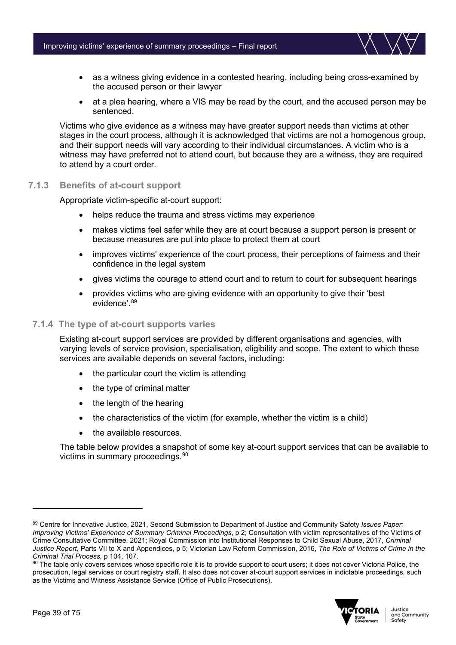

- as a witness giving evidence in a contested hearing, including being cross-examined by the accused person or their lawyer
- at a plea hearing, where a VIS may be read by the court, and the accused person may be sentenced.

Victims who give evidence as a witness may have greater support needs than victims at other stages in the court process, although it is acknowledged that victims are not a homogenous group, and their support needs will vary according to their individual circumstances. A victim who is a witness may have preferred not to attend court, but because they are a witness, they are required to attend by a court order.

### **7.1.3 Benefits of at-court support**

Appropriate victim-specific at-court support:

- helps reduce the trauma and stress victims may experience
- makes victims feel safer while they are at court because a support person is present or because measures are put into place to protect them at court
- improves victims' experience of the court process, their perceptions of fairness and their confidence in the legal system
- gives victims the courage to attend court and to return to court for subsequent hearings
- provides victims who are giving evidence with an opportunity to give their 'best evidence'. [89](#page-38-0)

### **7.1.4 The type of at-court supports varies**

Existing at-court support services are provided by different organisations and agencies, with varying levels of service provision, specialisation, eligibility and scope. The extent to which these services are available depends on several factors, including:

- the particular court the victim is attending
- the type of criminal matter
- the length of the hearing
- the characteristics of the victim (for example, whether the victim is a child)
- the available resources.

The table below provides a snapshot of some key at-court support services that can be available to victims in summary proceedings.<sup>[90](#page-38-1)</sup>

<span id="page-38-1"></span><sup>90</sup> The table only covers services whose specific role it is to provide support to court users; it does not cover Victoria Police, the prosecution, legal services or court registry staff. It also does not cover at-court support services in indictable proceedings, such as the Victims and Witness Assistance Service (Office of Public Prosecutions).



<span id="page-38-0"></span><sup>89</sup> Centre for Innovative Justice, 2021, Second Submission to Department of Justice and Community Safety *Issues Paper: Improving Victims' Experience of Summary Criminal Proceedings*, p 2; Consultation with victim representatives of the Victims of Crime Consultative Committee, 2021; Royal Commission into Institutional Responses to Child Sexual Abuse, 2017, *Criminal Justice Report,* Parts VII to X and Appendices, p 5; Victorian Law Reform Commission, 2016, *The Role of Victims of Crime in the Criminal Trial Process,* p 104, 107.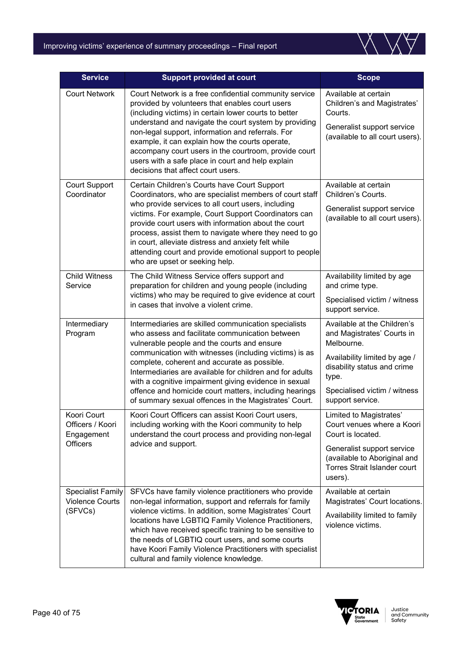### Improving victims' experience of summary proceedings – Final report



| <b>Service</b>                                                   | <b>Support provided at court</b>                                                                                                                                                                                                                                                                                                                                                                                                                                                                         | <b>Scope</b>                                                                                                                                                                                         |
|------------------------------------------------------------------|----------------------------------------------------------------------------------------------------------------------------------------------------------------------------------------------------------------------------------------------------------------------------------------------------------------------------------------------------------------------------------------------------------------------------------------------------------------------------------------------------------|------------------------------------------------------------------------------------------------------------------------------------------------------------------------------------------------------|
| <b>Court Network</b>                                             | Court Network is a free confidential community service<br>provided by volunteers that enables court users<br>(including victims) in certain lower courts to better<br>understand and navigate the court system by providing<br>non-legal support, information and referrals. For<br>example, it can explain how the courts operate,<br>accompany court users in the courtroom, provide court<br>users with a safe place in court and help explain<br>decisions that affect court users.                  | Available at certain<br>Children's and Magistrates'<br>Courts.<br>Generalist support service<br>(available to all court users).                                                                      |
| <b>Court Support</b><br>Coordinator                              | Certain Children's Courts have Court Support<br>Coordinators, who are specialist members of court staff<br>who provide services to all court users, including<br>victims. For example, Court Support Coordinators can<br>provide court users with information about the court<br>process, assist them to navigate where they need to go<br>in court, alleviate distress and anxiety felt while<br>attending court and provide emotional support to people<br>who are upset or seeking help.              | Available at certain<br>Children's Courts.<br>Generalist support service<br>(available to all court users).                                                                                          |
| <b>Child Witness</b><br>Service                                  | The Child Witness Service offers support and<br>preparation for children and young people (including<br>victims) who may be required to give evidence at court<br>in cases that involve a violent crime.                                                                                                                                                                                                                                                                                                 | Availability limited by age<br>and crime type.<br>Specialised victim / witness<br>support service.                                                                                                   |
| Intermediary<br>Program                                          | Intermediaries are skilled communication specialists<br>who assess and facilitate communication between<br>vulnerable people and the courts and ensure<br>communication with witnesses (including victims) is as<br>complete, coherent and accurate as possible.<br>Intermediaries are available for children and for adults<br>with a cognitive impairment giving evidence in sexual<br>offence and homicide court matters, including hearings<br>of summary sexual offences in the Magistrates' Court. | Available at the Children's<br>and Magistrates' Courts in<br>Melbourne.<br>Availability limited by age /<br>disability status and crime<br>type.<br>Specialised victim / witness<br>support service. |
| Koori Court<br>Officers / Koori<br>Engagement<br><b>Officers</b> | Koori Court Officers can assist Koori Court users,<br>including working with the Koori community to help<br>understand the court process and providing non-legal<br>advice and support.                                                                                                                                                                                                                                                                                                                  | Limited to Magistrates'<br>Court venues where a Koori<br>Court is located.<br>Generalist support service<br>(available to Aboriginal and<br>Torres Strait Islander court<br>users).                  |
| <b>Specialist Family</b><br><b>Violence Courts</b><br>(SFVCs)    | SFVCs have family violence practitioners who provide<br>non-legal information, support and referrals for family<br>violence victims. In addition, some Magistrates' Court<br>locations have LGBTIQ Family Violence Practitioners,<br>which have received specific training to be sensitive to<br>the needs of LGBTIQ court users, and some courts<br>have Koori Family Violence Practitioners with specialist<br>cultural and family violence knowledge.                                                 | Available at certain<br>Magistrates' Court locations.<br>Availability limited to family<br>violence victims.                                                                                         |

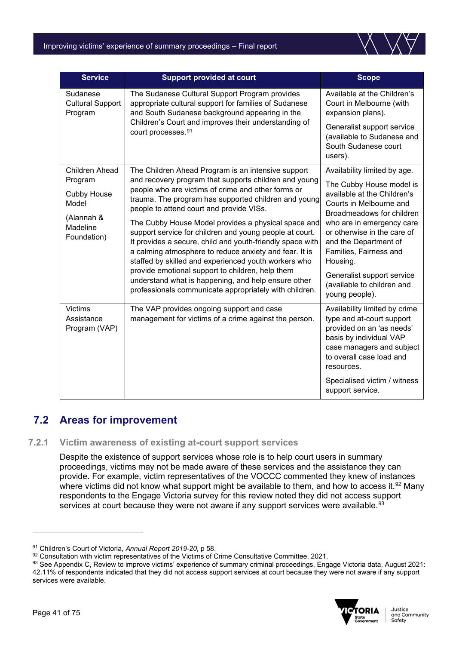

| <b>Service</b>                                 | <b>Support provided at court</b>                                                                                                                                                                                                                                                                                                                                                                                                                                                                                 | <b>Scope</b>                                                                                                                                                                                                                               |
|------------------------------------------------|------------------------------------------------------------------------------------------------------------------------------------------------------------------------------------------------------------------------------------------------------------------------------------------------------------------------------------------------------------------------------------------------------------------------------------------------------------------------------------------------------------------|--------------------------------------------------------------------------------------------------------------------------------------------------------------------------------------------------------------------------------------------|
| Sudanese<br><b>Cultural Support</b><br>Program | The Sudanese Cultural Support Program provides<br>appropriate cultural support for families of Sudanese<br>and South Sudanese background appearing in the                                                                                                                                                                                                                                                                                                                                                        | Available at the Children's<br>Court in Melbourne (with<br>expansion plans).                                                                                                                                                               |
|                                                | Children's Court and improves their understanding of<br>court processes. <sup>91</sup>                                                                                                                                                                                                                                                                                                                                                                                                                           | Generalist support service<br>(available to Sudanese and<br>South Sudanese court<br>users).                                                                                                                                                |
| <b>Children Ahead</b>                          | The Children Ahead Program is an intensive support                                                                                                                                                                                                                                                                                                                                                                                                                                                               | Availability limited by age.                                                                                                                                                                                                               |
| Program<br><b>Cubby House</b><br>Model         | and recovery program that supports children and young<br>people who are victims of crime and other forms or<br>trauma. The program has supported children and young<br>people to attend court and provide VISs.<br>The Cubby House Model provides a physical space and<br>support service for children and young people at court.<br>It provides a secure, child and youth-friendly space with<br>a calming atmosphere to reduce anxiety and fear. It is<br>staffed by skilled and experienced youth workers who | The Cubby House model is<br>available at the Children's<br>Courts in Melbourne and<br>Broadmeadows for children<br>who are in emergency care<br>or otherwise in the care of<br>and the Department of<br>Families, Fairness and<br>Housing. |
| (Alannah &<br>Madeline<br>Foundation)          |                                                                                                                                                                                                                                                                                                                                                                                                                                                                                                                  |                                                                                                                                                                                                                                            |
|                                                | provide emotional support to children, help them<br>understand what is happening, and help ensure other<br>professionals communicate appropriately with children.                                                                                                                                                                                                                                                                                                                                                | Generalist support service<br>(available to children and<br>young people).                                                                                                                                                                 |
| <b>Victims</b><br>Assistance<br>Program (VAP)  | The VAP provides ongoing support and case<br>management for victims of a crime against the person.                                                                                                                                                                                                                                                                                                                                                                                                               | Availability limited by crime<br>type and at-court support<br>provided on an 'as needs'<br>basis by individual VAP<br>case managers and subject<br>to overall case load and<br>resources.                                                  |
|                                                |                                                                                                                                                                                                                                                                                                                                                                                                                                                                                                                  | Specialised victim / witness<br>support service.                                                                                                                                                                                           |

# **7.2 Areas for improvement**

### **7.2.1 Victim awareness of existing at-court support services**

Despite the existence of support services whose role is to help court users in summary proceedings, victims may not be made aware of these services and the assistance they can provide. For example, victim representatives of the VOCCC commented they knew of instances where victims did not know what support might be available to them, and how to access it.<sup>[92](#page-40-1)</sup> Many respondents to the Engage Victoria survey for this review noted they did not access support services at court because they were not aware if any support services were available.<sup>[93](#page-40-2)</sup>

<span id="page-40-2"></span><sup>93</sup> See Appendix C, Review to improve victims' experience of summary criminal proceedings, Engage Victoria data, August 2021: 42.11% of respondents indicated that they did not access support services at court because they were not aware if any support services were available.



<span id="page-40-0"></span><sup>91</sup> Children's Court of Victoria, *Annual Report 2019-20*, p 58.

<span id="page-40-1"></span><sup>92</sup> Consultation with victim representatives of the Victims of Crime Consultative Committee, 2021.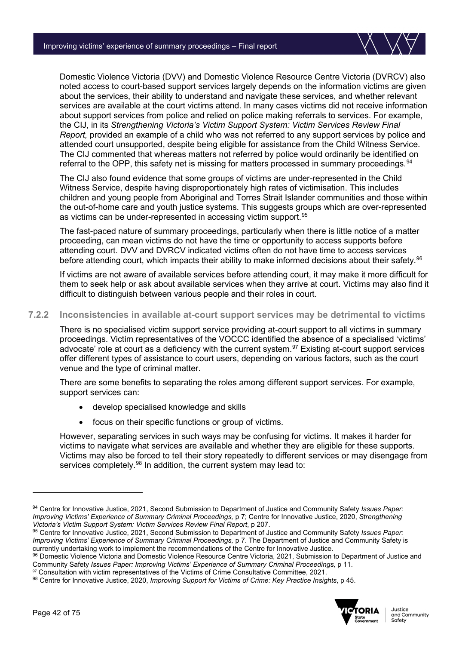Domestic Violence Victoria (DVV) and Domestic Violence Resource Centre Victoria (DVRCV) also noted access to court-based support services largely depends on the information victims are given about the services, their ability to understand and navigate these services, and whether relevant services are available at the court victims attend. In many cases victims did not receive information about support services from police and relied on police making referrals to services. For example, the CIJ, in its *Strengthening Victoria's Victim Support System: Victim Services Review Final Report,* provided an example of a child who was not referred to any support services by police and attended court unsupported, despite being eligible for assistance from the Child Witness Service. The CIJ commented that whereas matters not referred by police would ordinarily be identified on referral to the OPP, this safety net is missing for matters processed in summary proceedings.<sup>[94](#page-41-0)</sup>

The CIJ also found evidence that some groups of victims are under-represented in the Child Witness Service, despite having disproportionately high rates of victimisation. This includes children and young people from Aboriginal and Torres Strait Islander communities and those within the out-of-home care and youth justice systems. This suggests groups which are over-represented as victims can be under-represented in accessing victim support. [95](#page-41-1)

The fast-paced nature of summary proceedings, particularly when there is little notice of a matter proceeding, can mean victims do not have the time or opportunity to access supports before attending court. DVV and DVRCV indicated victims often do not have time to access services before attending court, which impacts their ability to make informed decisions about their safety.<sup>[96](#page-41-2)</sup>

If victims are not aware of available services before attending court, it may make it more difficult for them to seek help or ask about available services when they arrive at court. Victims may also find it difficult to distinguish between various people and their roles in court.

### **7.2.2 Inconsistencies in available at-court support services may be detrimental to victims**

There is no specialised victim support service providing at-court support to all victims in summary proceedings. Victim representatives of the VOCCC identified the absence of a specialised 'victims' advocate' role at court as a deficiency with the current system.<sup>[97](#page-41-3)</sup> Existing at-court support services offer different types of assistance to court users, depending on various factors, such as the court venue and the type of criminal matter.

There are some benefits to separating the roles among different support services. For example, support services can:

- develop specialised knowledge and skills
- focus on their specific functions or group of victims.

However, separating services in such ways may be confusing for victims. It makes it harder for victims to navigate what services are available and whether they are eligible for these supports. Victims may also be forced to tell their story repeatedly to different services or may disengage from services completely.<sup>[98](#page-41-4)</sup> In addition, the current system may lead to:

<span id="page-41-2"></span>96 Domestic Violence Victoria and Domestic Violence Resource Centre Victoria, 2021, Submission to Department of Justice and Community Safety *Issues Paper: Improving Victims' Experience of Summary Criminal Proceedings*, p 11.

<span id="page-41-3"></span>97 Consultation with victim representatives of the Victims of Crime Consultative Committee, 2021.

<span id="page-41-4"></span><sup>98</sup> Centre for Innovative Justice, 2020, *Improving Support for Victims of Crime: Key Practice Insights*, p 45.



<span id="page-41-0"></span><sup>94</sup> Centre for Innovative Justice, 2021, Second Submission to Department of Justice and Community Safety *Issues Paper: Improving Victims' Experience of Summary Criminal Proceedings,* p 7; Centre for Innovative Justice, 2020, *Strengthening Victoria's Victim Support System: Victim Services Review Final Report*, p 207.

<span id="page-41-1"></span><sup>95</sup> Centre for Innovative Justice, 2021, Second Submission to Department of Justice and Community Safety *Issues Paper: Improving Victims' Experience of Summary Criminal Proceedings, p 7. The Department of Justice and Community Safety is* currently undertaking work to implement the recommendations of the Centre for Innovative Justice.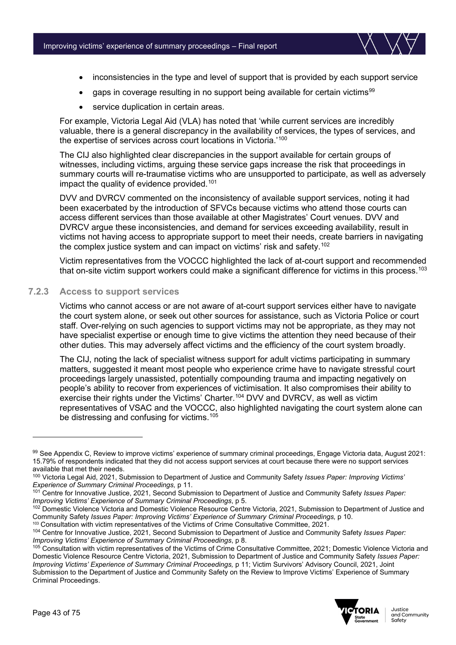

- inconsistencies in the type and level of support that is provided by each support service
- gaps in coverage resulting in no support being available for certain victims<sup>[99](#page-42-0)</sup>
- service duplication in certain areas.

For example, Victoria Legal Aid (VLA) has noted that 'while current services are incredibly valuable, there is a general discrepancy in the availability of services, the types of services, and the expertise of services across court locations in Victoria.['100](#page-42-1)

The CIJ also highlighted clear discrepancies in the support available for certain groups of witnesses, including victims, arguing these service gaps increase the risk that proceedings in summary courts will re-traumatise victims who are unsupported to participate, as well as adversely impact the quality of evidence provided.<sup>[101](#page-42-2)</sup>

DVV and DVRCV commented on the inconsistency of available support services, noting it had been exacerbated by the introduction of SFVCs because victims who attend those courts can access different services than those available at other Magistrates' Court venues. DVV and DVRCV argue these inconsistencies, and demand for services exceeding availability, result in victims not having access to appropriate support to meet their needs, create barriers in navigating the complex justice system and can impact on victims' risk and safety. [102](#page-42-3)

Victim representatives from the VOCCC highlighted the lack of at-court support and recommended that on-site victim support workers could make a significant difference for victims in this process. [103](#page-42-4)

### **7.2.3 Access to support services**

Victims who cannot access or are not aware of at-court support services either have to navigate the court system alone, or seek out other sources for assistance, such as Victoria Police or court staff. Over-relying on such agencies to support victims may not be appropriate, as they may not have specialist expertise or enough time to give victims the attention they need because of their other duties. This may adversely affect victims and the efficiency of the court system broadly.

The CIJ, noting the lack of specialist witness support for adult victims participating in summary matters, suggested it meant most people who experience crime have to navigate stressful court proceedings largely unassisted, potentially compounding trauma and impacting negatively on people's ability to recover from experiences of victimisation. It also compromises their ability to exercise their rights under the Victims' Charter.<sup>[104](#page-42-5)</sup> DVV and DVRCV, as well as victim representatives of VSAC and the VOCCC, also highlighted navigating the court system alone can be distressing and confusing for victims. [105](#page-42-6)

<span id="page-42-6"></span><sup>&</sup>lt;sup>105</sup> Consultation with victim representatives of the Victims of Crime Consultative Committee, 2021; Domestic Violence Victoria and Domestic Violence Resource Centre Victoria, 2021, Submission to Department of Justice and Community Safety *Issues Paper: Improving Victims' Experience of Summary Criminal Proceedings, p 11; Victim Survivors' Advisory Council, 2021, Joint* Submission to the Department of Justice and Community Safety on the Review to Improve Victims' Experience of Summary Criminal Proceedings.



<span id="page-42-0"></span><sup>99</sup> See Appendix C, Review to improve victims' experience of summary criminal proceedings, Engage Victoria data, August 2021: 15.79% of respondents indicated that they did not access support services at court because there were no support services available that met their needs.

<span id="page-42-1"></span><sup>100</sup> Victoria Legal Aid, 2021, Submission to Department of Justice and Community Safety *Issues Paper: Improving Victims' Experience of Summary Criminal Proceedings,* p 11.

<span id="page-42-2"></span><sup>101</sup> Centre for Innovative Justice, 2021, Second Submission to Department of Justice and Community Safety *Issues Paper: Improving Victims' Experience of Summary Criminal Proceedings*, p 5.

<span id="page-42-3"></span><sup>102</sup> Domestic Violence Victoria and Domestic Violence Resource Centre Victoria, 2021, Submission to Department of Justice and Community Safety *Issues Paper: Improving Victims' Experience of Summary Criminal Proceedings,* p 10.

<sup>103</sup> Consultation with victim representatives of the Victims of Crime Consultative Committee, 2021.

<span id="page-42-5"></span><span id="page-42-4"></span><sup>104</sup> Centre for Innovative Justice, 2021, Second Submission to Department of Justice and Community Safety *Issues Paper: Improving Victims' Experience of Summary Criminal Proceedings*, p 8.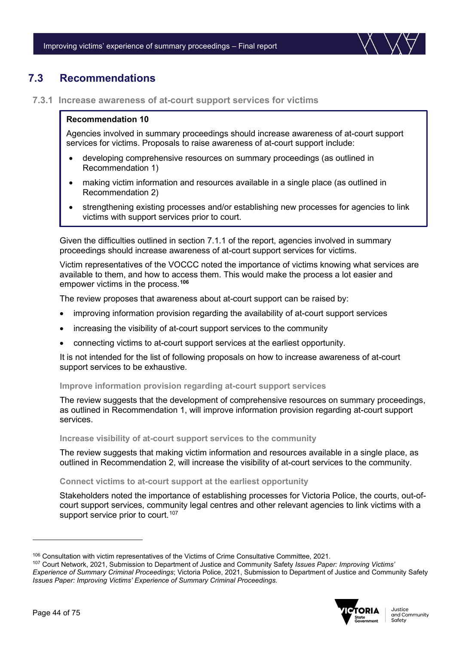

### **7.3 Recommendations**

**7.3.1 Increase awareness of at-court support services for victims**

### **Recommendation 10**

Agencies involved in summary proceedings should increase awareness of at-court support services for victims. Proposals to raise awareness of at-court support include:

- developing comprehensive resources on summary proceedings (as outlined in Recommendation 1)
- making victim information and resources available in a single place (as outlined in Recommendation 2)
- strengthening existing processes and/or establishing new processes for agencies to link victims with support services prior to court.

Given the difficulties outlined in section 7.1.1 of the report, agencies involved in summary proceedings should increase awareness of at-court support services for victims.

Victim representatives of the VOCCC noted the importance of victims knowing what services are available to them, and how to access them. This would make the process a lot easier and empower victims in the process.**[106](#page-43-0)**

The review proposes that awareness about at-court support can be raised by:

- improving information provision regarding the availability of at-court support services
- increasing the visibility of at-court support services to the community
- connecting victims to at-court support services at the earliest opportunity.

It is not intended for the list of following proposals on how to increase awareness of at-court support services to be exhaustive.

### **Improve information provision regarding at-court support services**

The review suggests that the development of comprehensive resources on summary proceedings, as outlined in Recommendation 1, will improve information provision regarding at-court support services.

### **Increase visibility of at-court support services to the community**

The review suggests that making victim information and resources available in a single place, as outlined in Recommendation 2, will increase the visibility of at-court services to the community.

**Connect victims to at-court support at the earliest opportunity** 

Stakeholders noted the importance of establishing processes for Victoria Police, the courts, out-ofcourt support services, community legal centres and other relevant agencies to link victims with a support service prior to court.<sup>[107](#page-43-1)</sup>

<span id="page-43-1"></span><sup>107</sup> Court Network, 2021, Submission to Department of Justice and Community Safety *Issues Paper: Improving Victims' Experience of Summary Criminal Proceedings*; Victoria Police, 2021, Submission to Department of Justice and Community Safety *Issues Paper: Improving Victims' Experience of Summary Criminal Proceedings.*



<span id="page-43-0"></span><sup>106</sup> Consultation with victim representatives of the Victims of Crime Consultative Committee, 2021.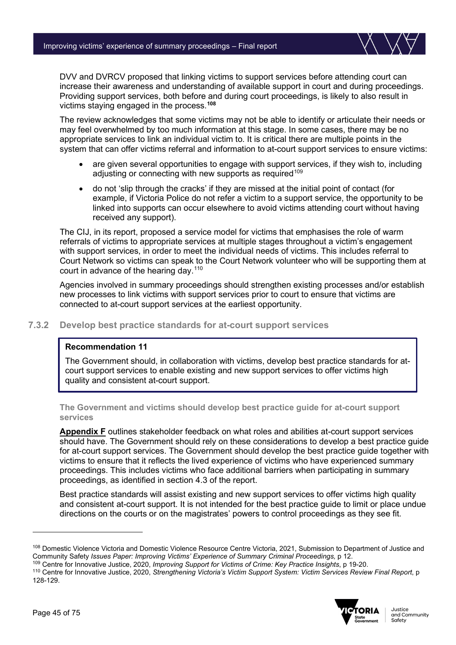DVV and DVRCV proposed that linking victims to support services before attending court can increase their awareness and understanding of available support in court and during proceedings. Providing support services, both before and during court proceedings, is likely to also result in victims staying engaged in the process.**[108](#page-44-0)**

The review acknowledges that some victims may not be able to identify or articulate their needs or may feel overwhelmed by too much information at this stage. In some cases, there may be no appropriate services to link an individual victim to. It is critical there are multiple points in the system that can offer victims referral and information to at-court support services to ensure victims:

- are given several opportunities to engage with support services, if they wish to, including adjusting or connecting with new supports as required<sup>[109](#page-44-1)</sup>
- do not 'slip through the cracks' if they are missed at the initial point of contact (for example, if Victoria Police do not refer a victim to a support service, the opportunity to be linked into supports can occur elsewhere to avoid victims attending court without having received any support).

The CIJ, in its report, proposed a service model for victims that emphasises the role of warm referrals of victims to appropriate services at multiple stages throughout a victim's engagement with support services, in order to meet the individual needs of victims. This includes referral to Court Network so victims can speak to the Court Network volunteer who will be supporting them at court in advance of the hearing day[.110](#page-44-2)

Agencies involved in summary proceedings should strengthen existing processes and/or establish new processes to link victims with support services prior to court to ensure that victims are connected to at-court support services at the earliest opportunity.

### **7.3.2 Develop best practice standards for at-court support services**

### **Recommendation 11**

The Government should, in collaboration with victims, develop best practice standards for atcourt support services to enable existing and new support services to offer victims high quality and consistent at-court support.

**The Government and victims should develop best practice guide for at-court support services**

**Appendix F** outlines stakeholder feedback on what roles and abilities at-court support services should have. The Government should rely on these considerations to develop a best practice guide for at-court support services. The Government should develop the best practice guide together with victims to ensure that it reflects the lived experience of victims who have experienced summary proceedings. This includes victims who face additional barriers when participating in summary proceedings, as identified in section 4.3 of the report.

Best practice standards will assist existing and new support services to offer victims high quality and consistent at-court support. It is not intended for the best practice guide to limit or place undue directions on the courts or on the magistrates' powers to control proceedings as they see fit.

<span id="page-44-2"></span><sup>110</sup> Centre for Innovative Justice, 2020, *Strengthening Victoria's Victim Support System: Victim Services Review Final Report*, p 128-129.



<span id="page-44-0"></span><sup>108</sup> Domestic Violence Victoria and Domestic Violence Resource Centre Victoria, 2021, Submission to Department of Justice and Community Safety *Issues Paper: Improving Victims' Experience of Summary Criminal Proceedings,* p 12.

<span id="page-44-1"></span><sup>109</sup> Centre for Innovative Justice, 2020, *Improving Support for Victims of Crime: Key Practice Insights*, p 19-20.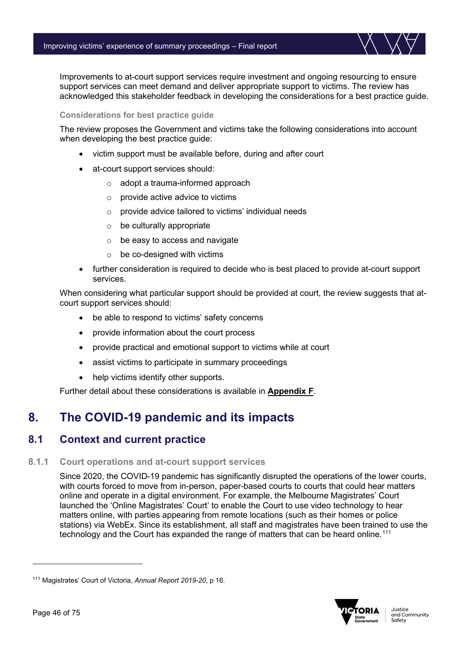Improvements to at-court support services require investment and ongoing resourcing to ensure support services can meet demand and deliver appropriate support to victims. The review has acknowledged this stakeholder feedback in developing the considerations for a best practice guide.

### **Considerations for best practice guide**

The review proposes the Government and victims take the following considerations into account when developing the best practice guide:

- victim support must be available before, during and after court
- at-court support services should:
	- o adopt a trauma-informed approach
	- o provide active advice to victims
	- o provide advice tailored to victims' individual needs
	- $\circ$  be culturally appropriate
	- $\circ$  be easy to access and navigate
	- $\circ$  be co-designed with victims
- further consideration is required to decide who is best placed to provide at-court support services.

When considering what particular support should be provided at court, the review suggests that atcourt support services should:

- be able to respond to victims' safety concerns
- provide information about the court process
- provide practical and emotional support to victims while at court
- assist victims to participate in summary proceedings
- help victims identify other supports.

Further detail about these considerations is available in **Appendix F**.

# **8. The COVID-19 pandemic and its impacts**

### **8.1 Context and current practice**

### **8.1.1 Court operations and at-court support services**

Since 2020, the COVID-19 pandemic has significantly disrupted the operations of the lower courts, with courts forced to move from in-person, paper-based courts to courts that could hear matters online and operate in a digital environment. For example, the Melbourne Magistrates' Court launched the 'Online Magistrates' Court' to enable the Court to use video technology to hear matters online, with parties appearing from remote locations (such as their homes or police stations) via WebEx. Since its establishment, all staff and magistrates have been trained to use the technology and the Court has expanded the range of matters that can be heard online.<sup>[111](#page-45-0)</sup>



<span id="page-45-0"></span><sup>111</sup> Magistrates' Court of Victoria, *Annual Report 2019-20*, p 16.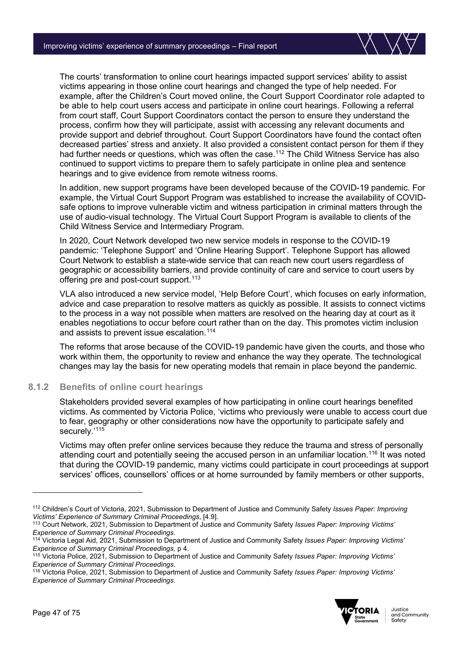The courts' transformation to online court hearings impacted support services' ability to assist victims appearing in those online court hearings and changed the type of help needed. For example, after the Children's Court moved online, the Court Support Coordinator role adapted to be able to help court users access and participate in online court hearings. Following a referral from court staff, Court Support Coordinators contact the person to ensure they understand the process, confirm how they will participate, assist with accessing any relevant documents and provide support and debrief throughout. Court Support Coordinators have found the contact often decreased parties' stress and anxiety. It also provided a consistent contact person for them if they had further needs or questions, which was often the case.<sup>[112](#page-46-0)</sup> The Child Witness Service has also continued to support victims to prepare them to safely participate in online plea and sentence hearings and to give evidence from remote witness rooms.

In addition, new support programs have been developed because of the COVID-19 pandemic. For example, the Virtual Court Support Program was established to increase the availability of COVIDsafe options to improve vulnerable victim and witness participation in criminal matters through the use of audio-visual technology. The Virtual Court Support Program is available to clients of the Child Witness Service and Intermediary Program.

In 2020, Court Network developed two new service models in response to the COVID-19 pandemic: 'Telephone Support' and 'Online Hearing Support'. Telephone Support has allowed Court Network to establish a state-wide service that can reach new court users regardless of geographic or accessibility barriers, and provide continuity of care and service to court users by offering pre and post-court support.<sup>[113](#page-46-1)</sup>

VLA also introduced a new service model, 'Help Before Court', which focuses on early information, advice and case preparation to resolve matters as quickly as possible. It assists to connect victims to the process in a way not possible when matters are resolved on the hearing day at court as it enables negotiations to occur before court rather than on the day. This promotes victim inclusion and assists to prevent issue escalation.<sup>[114](#page-46-2)</sup>

The reforms that arose because of the COVID-19 pandemic have given the courts, and those who work within them, the opportunity to review and enhance the way they operate. The technological changes may lay the basis for new operating models that remain in place beyond the pandemic.

### **8.1.2 Benefits of online court hearings**

Stakeholders provided several examples of how participating in online court hearings benefited victims. As commented by Victoria Police, 'victims who previously were unable to access court due to fear, geography or other considerations now have the opportunity to participate safely and securely.'<sup>[115](#page-46-3)</sup>

Victims may often prefer online services because they reduce the trauma and stress of personally attending court and potentially seeing the accused person in an unfamiliar location.<sup>[116](#page-46-4)</sup> It was noted that during the COVID-19 pandemic, many victims could participate in court proceedings at support services' offices, counsellors' offices or at home surrounded by family members or other supports,

<span id="page-46-4"></span><sup>116</sup> Victoria Police, 2021, Submission to Department of Justice and Community Safety *Issues Paper: Improving Victims' Experience of Summary Criminal Proceedings*.



<span id="page-46-0"></span><sup>112</sup> Children's Court of Victoria, 2021, Submission to Department of Justice and Community Safety *Issues Paper: Improving Victims' Experience of Summary Criminal Proceedings*, [4.9].

<span id="page-46-1"></span><sup>113</sup> Court Network, 2021, Submission to Department of Justice and Community Safety *Issues Paper: Improving Victims' Experience of Summary Criminal Proceedings.*<br><sup>114</sup> Victoria Legal Aid, 2021, Submission to Department of Justice and Community Safety *Issues Paper: Improving Victims'* 

<span id="page-46-2"></span>*Experience of Summary Criminal Proceedings,* p 4.

<span id="page-46-3"></span><sup>115</sup> Victoria Police, 2021, Submission to Department of Justice and Community Safety *Issues Paper: Improving Victims' Experience of Summary Criminal Proceedings*.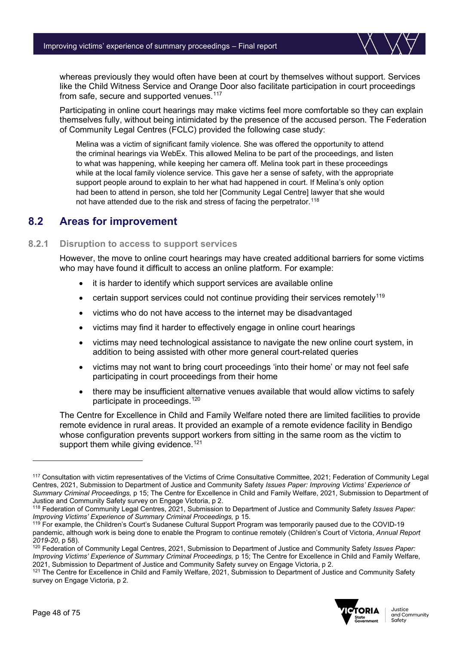

whereas previously they would often have been at court by themselves without support. Services like the Child Witness Service and Orange Door also facilitate participation in court proceedings from safe, secure and supported venues.<sup>[117](#page-47-0)</sup>

Participating in online court hearings may make victims feel more comfortable so they can explain themselves fully, without being intimidated by the presence of the accused person. The Federation of Community Legal Centres (FCLC) provided the following case study:

Melina was a victim of significant family violence. She was offered the opportunity to attend the criminal hearings via WebEx. This allowed Melina to be part of the proceedings, and listen to what was happening, while keeping her camera off. Melina took part in these proceedings while at the local family violence service. This gave her a sense of safety, with the appropriate support people around to explain to her what had happened in court. If Melina's only option had been to attend in person, she told her [Community Legal Centre] lawyer that she would not have attended due to the risk and stress of facing the perpetrator.<sup>[118](#page-47-1)</sup>

### **8.2 Areas for improvement**

### **8.2.1 Disruption to access to support services**

However, the move to online court hearings may have created additional barriers for some victims who may have found it difficult to access an online platform. For example:

- it is harder to identify which support services are available online
- certain support services could not continue providing their services remotely<sup>[119](#page-47-2)</sup>
- victims who do not have access to the internet may be disadvantaged
- victims may find it harder to effectively engage in online court hearings
- victims may need technological assistance to navigate the new online court system, in addition to being assisted with other more general court-related queries
- victims may not want to bring court proceedings 'into their home' or may not feel safe participating in court proceedings from their home
- there may be insufficient alternative venues available that would allow victims to safely participate in proceedings.[120](#page-47-3)

The Centre for Excellence in Child and Family Welfare noted there are limited facilities to provide remote evidence in rural areas. It provided an example of a remote evidence facility in Bendigo whose configuration prevents support workers from sitting in the same room as the victim to support them while giving evidence.<sup>[121](#page-47-4)</sup>

<span id="page-47-4"></span><sup>&</sup>lt;sup>121</sup> The Centre for Excellence in Child and Family Welfare, 2021, Submission to Department of Justice and Community Safety survey on Engage Victoria, p 2.



<span id="page-47-0"></span><sup>117</sup> Consultation with victim representatives of the Victims of Crime Consultative Committee, 2021; Federation of Community Legal Centres, 2021, Submission to Department of Justice and Community Safety *Issues Paper: Improving Victims' Experience of Summary Criminal Proceedings,* p 15; The Centre for Excellence in Child and Family Welfare, 2021, Submission to Department of Justice and Community Safety survey on Engage Victoria, p 2.

<span id="page-47-1"></span><sup>118</sup> Federation of Community Legal Centres, 2021, Submission to Department of Justice and Community Safety *Issues Paper: Improving Victims' Experience of Summary Criminal Proceedings,* p 15.

<span id="page-47-2"></span><sup>&</sup>lt;sup>119</sup> For example, the Children's Court's Sudanese Cultural Support Program was temporarily paused due to the COVID-19 pandemic, although work is being done to enable the Program to continue remotely (Children's Court of Victoria, *Annual Report 2019-20*, p 58).

<span id="page-47-3"></span><sup>120</sup> Federation of Community Legal Centres, 2021, Submission to Department of Justice and Community Safety *Issues Paper: Improving Victims' Experience of Summary Criminal Proceedings, p 15; The Centre for Excellence in Child and Family Welfare,* 2021, Submission to Department of Justice and Community Safety survey on Engage Victoria, p 2.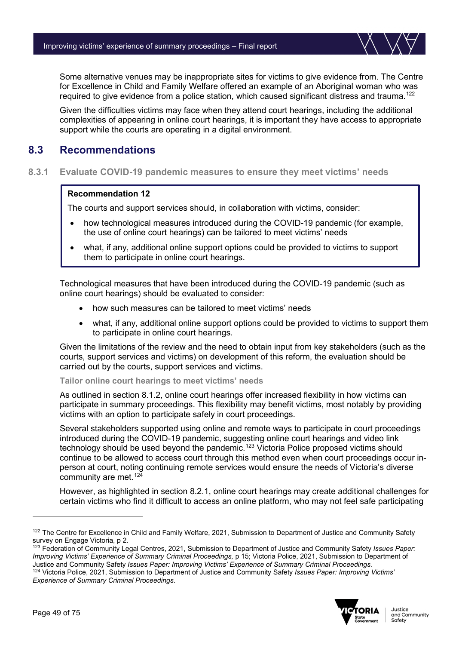Some alternative venues may be inappropriate sites for victims to give evidence from. The Centre for Excellence in Child and Family Welfare offered an example of an Aboriginal woman who was required to give evidence from a police station, which caused significant distress and trauma.<sup>[122](#page-48-0)</sup>

Given the difficulties victims may face when they attend court hearings, including the additional complexities of appearing in online court hearings, it is important they have access to appropriate support while the courts are operating in a digital environment.

### **8.3 Recommendations**

**8.3.1 Evaluate COVID-19 pandemic measures to ensure they meet victims' needs**

### **Recommendation 12**

The courts and support services should, in collaboration with victims, consider:

- how technological measures introduced during the COVID-19 pandemic (for example, the use of online court hearings) can be tailored to meet victims' needs
- what, if any, additional online support options could be provided to victims to support them to participate in online court hearings.

Technological measures that have been introduced during the COVID-19 pandemic (such as online court hearings) should be evaluated to consider:

- how such measures can be tailored to meet victims' needs
- what, if any, additional online support options could be provided to victims to support them to participate in online court hearings.

Given the limitations of the review and the need to obtain input from key stakeholders (such as the courts, support services and victims) on development of this reform, the evaluation should be carried out by the courts, support services and victims.

**Tailor online court hearings to meet victims' needs**

As outlined in section 8.1.2, online court hearings offer increased flexibility in how victims can participate in summary proceedings. This flexibility may benefit victims, most notably by providing victims with an option to participate safely in court proceedings.

Several stakeholders supported using online and remote ways to participate in court proceedings introduced during the COVID-19 pandemic, suggesting online court hearings and video link technology should be used beyond the pandemic.[123](#page-48-1) Victoria Police proposed victims should continue to be allowed to access court through this method even when court proceedings occur inperson at court, noting continuing remote services would ensure the needs of Victoria's diverse community are met.<sup>[124](#page-48-2)</sup>

However, as highlighted in section 8.2.1, online court hearings may create additional challenges for certain victims who find it difficult to access an online platform, who may not feel safe participating

<span id="page-48-2"></span>*Experience of Summary Criminal Proceedings*.



<span id="page-48-0"></span><sup>&</sup>lt;sup>122</sup> The Centre for Excellence in Child and Family Welfare, 2021, Submission to Department of Justice and Community Safety survey on Engage Victoria, p 2.

<span id="page-48-1"></span><sup>123</sup> Federation of Community Legal Centres, 2021, Submission to Department of Justice and Community Safety *Issues Paper: Improving Victims' Experience of Summary Criminal Proceedings,* p 15; Victoria Police, 2021, Submission to Department of Justice and Community Safety *Issues Paper: Improving Victims' Experience of Summary Criminal Proceedings.* <sup>124</sup> Victoria Police, 2021, Submission to Department of Justice and Community Safety *Issues Paper: Improving Victims'*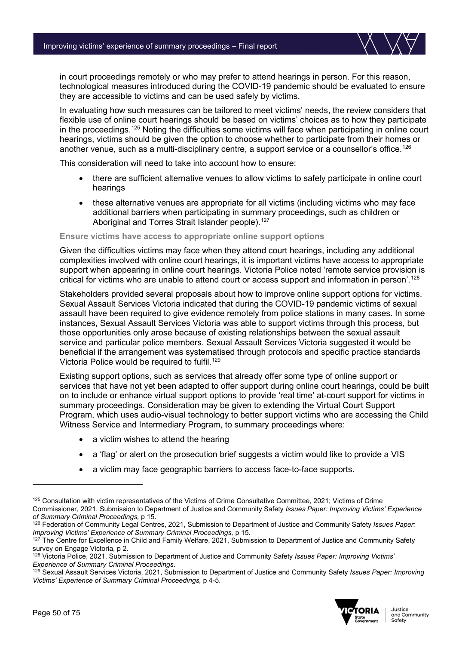in court proceedings remotely or who may prefer to attend hearings in person. For this reason, technological measures introduced during the COVID-19 pandemic should be evaluated to ensure they are accessible to victims and can be used safely by victims.

In evaluating how such measures can be tailored to meet victims' needs, the review considers that flexible use of online court hearings should be based on victims' choices as to how they participate in the proceedings.<sup>[125](#page-49-0)</sup> Noting the difficulties some victims will face when participating in online court hearings, victims should be given the option to choose whether to participate from their homes or another venue, such as a multi-disciplinary centre, a support service or a counsellor's office.<sup>126</sup>

This consideration will need to take into account how to ensure:

- there are sufficient alternative venues to allow victims to safely participate in online court hearings
- these alternative venues are appropriate for all victims (including victims who may face additional barriers when participating in summary proceedings, such as children or Aboriginal and Torres Strait Islander people).<sup>[127](#page-49-2)</sup>

#### **Ensure victims have access to appropriate online support options**

Given the difficulties victims may face when they attend court hearings, including any additional complexities involved with online court hearings, it is important victims have access to appropriate support when appearing in online court hearings. Victoria Police noted 'remote service provision is critical for victims who are unable to attend court or access support and information in person'.[128](#page-49-3)

Stakeholders provided several proposals about how to improve online support options for victims. Sexual Assault Services Victoria indicated that during the COVID-19 pandemic victims of sexual assault have been required to give evidence remotely from police stations in many cases. In some instances, Sexual Assault Services Victoria was able to support victims through this process, but those opportunities only arose because of existing relationships between the sexual assault service and particular police members. Sexual Assault Services Victoria suggested it would be beneficial if the arrangement was systematised through protocols and specific practice standards Victoria Police would be required to fulfil.[129](#page-49-4)

Existing support options, such as services that already offer some type of online support or services that have not yet been adapted to offer support during online court hearings, could be built on to include or enhance virtual support options to provide 'real time' at-court support for victims in summary proceedings. Consideration may be given to extending the Virtual Court Support Program, which uses audio-visual technology to better support victims who are accessing the Child Witness Service and Intermediary Program, to summary proceedings where:

- a victim wishes to attend the hearing
- a 'flag' or alert on the prosecution brief suggests a victim would like to provide a VIS
- a victim may face geographic barriers to access face-to-face supports.

<span id="page-49-4"></span><sup>129</sup> Sexual Assault Services Victoria, 2021, Submission to Department of Justice and Community Safety *Issues Paper: Improving Victims' Experience of Summary Criminal Proceedings,* p 4-5.



<span id="page-49-0"></span><sup>125</sup> Consultation with victim representatives of the Victims of Crime Consultative Committee, 2021; Victims of Crime Commissioner, 2021, Submission to Department of Justice and Community Safety *Issues Paper: Improving Victims' Experience of Summary Criminal Proceedings,* p 15.

<span id="page-49-1"></span><sup>126</sup> Federation of Community Legal Centres, 2021, Submission to Department of Justice and Community Safety *Issues Paper: Improving Victims' Experience of Summary Criminal Proceedings,* p 15.

<span id="page-49-2"></span><sup>&</sup>lt;sup>127</sup> The Centre for Excellence in Child and Family Welfare, 2021, Submission to Department of Justice and Community Safety survey on Engage Victoria, p 2.

<span id="page-49-3"></span><sup>128</sup> Victoria Police, 2021, Submission to Department of Justice and Community Safety *Issues Paper: Improving Victims' Experience of Summary Criminal Proceedings*.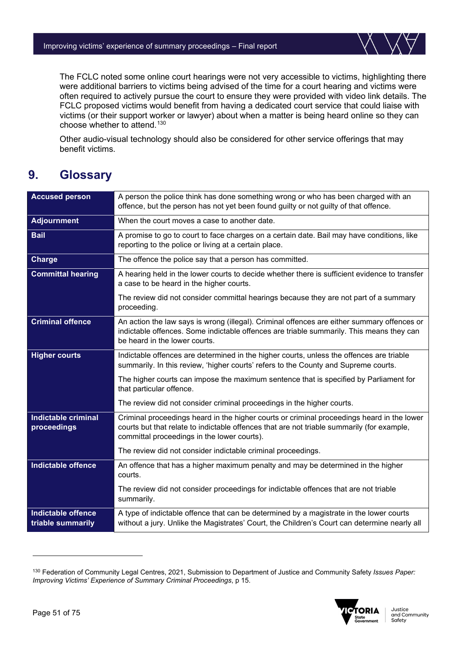

The FCLC noted some online court hearings were not very accessible to victims, highlighting there were additional barriers to victims being advised of the time for a court hearing and victims were often required to actively pursue the court to ensure they were provided with video link details. The FCLC proposed victims would benefit from having a dedicated court service that could liaise with victims (or their support worker or lawyer) about when a matter is being heard online so they can choose whether to attend.[130](#page-50-0)

Other audio-visual technology should also be considered for other service offerings that may benefit victims.

# **9. Glossary**

| <b>Accused person</b>                          | A person the police think has done something wrong or who has been charged with an<br>offence, but the person has not yet been found guilty or not guilty of that offence.                                                              |
|------------------------------------------------|-----------------------------------------------------------------------------------------------------------------------------------------------------------------------------------------------------------------------------------------|
| <b>Adjournment</b>                             | When the court moves a case to another date.                                                                                                                                                                                            |
| <b>Bail</b>                                    | A promise to go to court to face charges on a certain date. Bail may have conditions, like<br>reporting to the police or living at a certain place.                                                                                     |
| <b>Charge</b>                                  | The offence the police say that a person has committed.                                                                                                                                                                                 |
| <b>Committal hearing</b>                       | A hearing held in the lower courts to decide whether there is sufficient evidence to transfer<br>a case to be heard in the higher courts.                                                                                               |
|                                                | The review did not consider committal hearings because they are not part of a summary<br>proceeding.                                                                                                                                    |
| <b>Criminal offence</b>                        | An action the law says is wrong (illegal). Criminal offences are either summary offences or<br>indictable offences. Some indictable offences are triable summarily. This means they can<br>be heard in the lower courts.                |
| <b>Higher courts</b>                           | Indictable offences are determined in the higher courts, unless the offences are triable<br>summarily. In this review, 'higher courts' refers to the County and Supreme courts.                                                         |
|                                                | The higher courts can impose the maximum sentence that is specified by Parliament for<br>that particular offence.                                                                                                                       |
|                                                | The review did not consider criminal proceedings in the higher courts.                                                                                                                                                                  |
| <b>Indictable criminal</b><br>proceedings      | Criminal proceedings heard in the higher courts or criminal proceedings heard in the lower<br>courts but that relate to indictable offences that are not triable summarily (for example,<br>committal proceedings in the lower courts). |
|                                                | The review did not consider indictable criminal proceedings.                                                                                                                                                                            |
| <b>Indictable offence</b>                      | An offence that has a higher maximum penalty and may be determined in the higher<br>courts.                                                                                                                                             |
|                                                | The review did not consider proceedings for indictable offences that are not triable<br>summarily.                                                                                                                                      |
| <b>Indictable offence</b><br>triable summarily | A type of indictable offence that can be determined by a magistrate in the lower courts<br>without a jury. Unlike the Magistrates' Court, the Children's Court can determine nearly all                                                 |

<span id="page-50-0"></span><sup>130</sup> Federation of Community Legal Centres, 2021, Submission to Department of Justice and Community Safety *Issues Paper: Improving Victims' Experience of Summary Criminal Proceedings*, p 15.

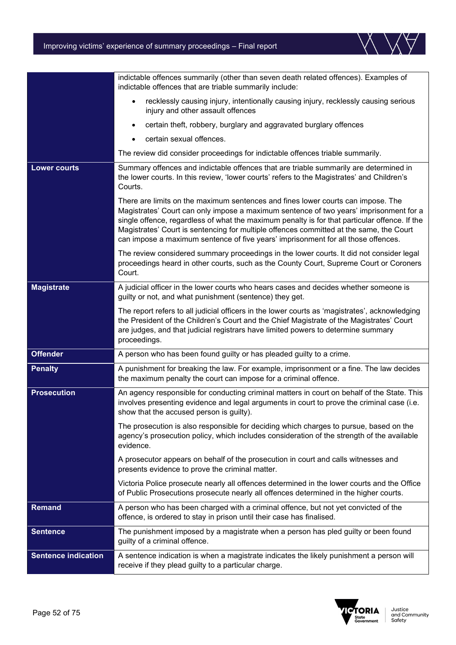|                            | indictable offences summarily (other than seven death related offences). Examples of<br>indictable offences that are triable summarily include:                                                                                                                                                                                                                                                                                                             |
|----------------------------|-------------------------------------------------------------------------------------------------------------------------------------------------------------------------------------------------------------------------------------------------------------------------------------------------------------------------------------------------------------------------------------------------------------------------------------------------------------|
|                            | recklessly causing injury, intentionally causing injury, recklessly causing serious<br>$\bullet$<br>injury and other assault offences                                                                                                                                                                                                                                                                                                                       |
|                            | certain theft, robbery, burglary and aggravated burglary offences                                                                                                                                                                                                                                                                                                                                                                                           |
|                            | certain sexual offences.                                                                                                                                                                                                                                                                                                                                                                                                                                    |
|                            | The review did consider proceedings for indictable offences triable summarily.                                                                                                                                                                                                                                                                                                                                                                              |
| <b>Lower courts</b>        | Summary offences and indictable offences that are triable summarily are determined in<br>the lower courts. In this review, 'lower courts' refers to the Magistrates' and Children's<br>Courts.                                                                                                                                                                                                                                                              |
|                            | There are limits on the maximum sentences and fines lower courts can impose. The<br>Magistrates' Court can only impose a maximum sentence of two years' imprisonment for a<br>single offence, regardless of what the maximum penalty is for that particular offence. If the<br>Magistrates' Court is sentencing for multiple offences committed at the same, the Court<br>can impose a maximum sentence of five years' imprisonment for all those offences. |
|                            | The review considered summary proceedings in the lower courts. It did not consider legal<br>proceedings heard in other courts, such as the County Court, Supreme Court or Coroners<br>Court.                                                                                                                                                                                                                                                                |
| <b>Magistrate</b>          | A judicial officer in the lower courts who hears cases and decides whether someone is<br>guilty or not, and what punishment (sentence) they get.                                                                                                                                                                                                                                                                                                            |
|                            | The report refers to all judicial officers in the lower courts as 'magistrates', acknowledging<br>the President of the Children's Court and the Chief Magistrate of the Magistrates' Court<br>are judges, and that judicial registrars have limited powers to determine summary<br>proceedings.                                                                                                                                                             |
| <b>Offender</b>            | A person who has been found guilty or has pleaded guilty to a crime.                                                                                                                                                                                                                                                                                                                                                                                        |
| <b>Penalty</b>             | A punishment for breaking the law. For example, imprisonment or a fine. The law decides<br>the maximum penalty the court can impose for a criminal offence.                                                                                                                                                                                                                                                                                                 |
| <b>Prosecution</b>         | An agency responsible for conducting criminal matters in court on behalf of the State. This<br>involves presenting evidence and legal arguments in court to prove the criminal case (i.e.<br>show that the accused person is guilty).                                                                                                                                                                                                                       |
|                            | The prosecution is also responsible for deciding which charges to pursue, based on the<br>agency's prosecution policy, which includes consideration of the strength of the available<br>evidence.                                                                                                                                                                                                                                                           |
|                            | A prosecutor appears on behalf of the prosecution in court and calls witnesses and<br>presents evidence to prove the criminal matter.                                                                                                                                                                                                                                                                                                                       |
|                            | Victoria Police prosecute nearly all offences determined in the lower courts and the Office<br>of Public Prosecutions prosecute nearly all offences determined in the higher courts.                                                                                                                                                                                                                                                                        |
| Remand                     | A person who has been charged with a criminal offence, but not yet convicted of the<br>offence, is ordered to stay in prison until their case has finalised.                                                                                                                                                                                                                                                                                                |
| <b>Sentence</b>            | The punishment imposed by a magistrate when a person has pled guilty or been found<br>guilty of a criminal offence.                                                                                                                                                                                                                                                                                                                                         |
| <b>Sentence indication</b> | A sentence indication is when a magistrate indicates the likely punishment a person will<br>receive if they plead guilty to a particular charge.                                                                                                                                                                                                                                                                                                            |

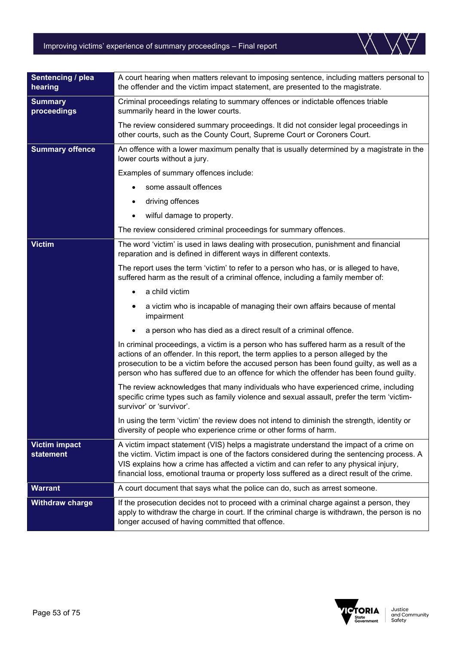| Sentencing / plea<br>hearing             | A court hearing when matters relevant to imposing sentence, including matters personal to<br>the offender and the victim impact statement, are presented to the magistrate.                                                                                                                                                                                                  |  |  |
|------------------------------------------|------------------------------------------------------------------------------------------------------------------------------------------------------------------------------------------------------------------------------------------------------------------------------------------------------------------------------------------------------------------------------|--|--|
| <b>Summary</b><br>proceedings            | Criminal proceedings relating to summary offences or indictable offences triable<br>summarily heard in the lower courts.                                                                                                                                                                                                                                                     |  |  |
|                                          | The review considered summary proceedings. It did not consider legal proceedings in<br>other courts, such as the County Court, Supreme Court or Coroners Court.                                                                                                                                                                                                              |  |  |
| <b>Summary offence</b>                   | An offence with a lower maximum penalty that is usually determined by a magistrate in the<br>lower courts without a jury.                                                                                                                                                                                                                                                    |  |  |
|                                          | Examples of summary offences include:                                                                                                                                                                                                                                                                                                                                        |  |  |
|                                          | some assault offences<br>$\bullet$                                                                                                                                                                                                                                                                                                                                           |  |  |
|                                          | driving offences<br>$\bullet$                                                                                                                                                                                                                                                                                                                                                |  |  |
|                                          | wilful damage to property.                                                                                                                                                                                                                                                                                                                                                   |  |  |
|                                          | The review considered criminal proceedings for summary offences.                                                                                                                                                                                                                                                                                                             |  |  |
| <b>Victim</b>                            | The word 'victim' is used in laws dealing with prosecution, punishment and financial<br>reparation and is defined in different ways in different contexts.                                                                                                                                                                                                                   |  |  |
|                                          | The report uses the term 'victim' to refer to a person who has, or is alleged to have,<br>suffered harm as the result of a criminal offence, including a family member of:                                                                                                                                                                                                   |  |  |
|                                          | a child victim<br>$\bullet$                                                                                                                                                                                                                                                                                                                                                  |  |  |
|                                          | a victim who is incapable of managing their own affairs because of mental<br>$\bullet$<br>impairment                                                                                                                                                                                                                                                                         |  |  |
|                                          | a person who has died as a direct result of a criminal offence.                                                                                                                                                                                                                                                                                                              |  |  |
|                                          | In criminal proceedings, a victim is a person who has suffered harm as a result of the<br>actions of an offender. In this report, the term applies to a person alleged by the<br>prosecution to be a victim before the accused person has been found guilty, as well as a<br>person who has suffered due to an offence for which the offender has been found guilty.         |  |  |
|                                          | The review acknowledges that many individuals who have experienced crime, including<br>specific crime types such as family violence and sexual assault, prefer the term 'victim-<br>survivor' or 'survivor'.                                                                                                                                                                 |  |  |
|                                          | In using the term 'victim' the review does not intend to diminish the strength, identity or<br>diversity of people who experience crime or other forms of harm.                                                                                                                                                                                                              |  |  |
| <b>Victim impact</b><br><b>statement</b> | A victim impact statement (VIS) helps a magistrate understand the impact of a crime on<br>the victim. Victim impact is one of the factors considered during the sentencing process. A<br>VIS explains how a crime has affected a victim and can refer to any physical injury,<br>financial loss, emotional trauma or property loss suffered as a direct result of the crime. |  |  |
| <b>Warrant</b>                           | A court document that says what the police can do, such as arrest someone.                                                                                                                                                                                                                                                                                                   |  |  |





he

**Summary** pr<sub>o</sub>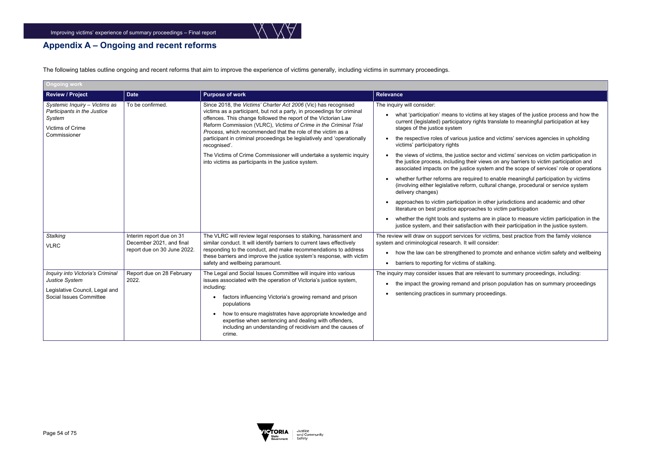

t key stages of the justice process and how the translate to meaningful participation at key

and victims' services agencies in upholding

 $\epsilon$  and victims' services on victim participation in ws on any barriers to victim participation and tem and the scope of services' role or operations

to enable meaningful participation by victims ltural change, procedural or service system

ther jurisdictions and academic and other ito victim participation

re in place to measure victim participation in the with their participation in the justice system.

ictims, best practice from the family violence

romote and enhance victim safety and wellbeing king.

 $n$ ant to summary proceedings, including:

ison population has on summary proceedings beedings.

# **Appendix A – Ongoing and recent reforms**

The following tables outline ongoing and recent reforms that aim to improve the experience of victims generally, including victims in summary proceedings.

| <b>Ongoing work</b>                                                                                             |                                                                                     |                                                                                                                                                                                                                                                                                                                                                                                                                                                                                                                                                                        |                                                                                                                                                                                                                                                                                                                                                                                                                                                                                                                                                                                                                                                                                                                                                                 |
|-----------------------------------------------------------------------------------------------------------------|-------------------------------------------------------------------------------------|------------------------------------------------------------------------------------------------------------------------------------------------------------------------------------------------------------------------------------------------------------------------------------------------------------------------------------------------------------------------------------------------------------------------------------------------------------------------------------------------------------------------------------------------------------------------|-----------------------------------------------------------------------------------------------------------------------------------------------------------------------------------------------------------------------------------------------------------------------------------------------------------------------------------------------------------------------------------------------------------------------------------------------------------------------------------------------------------------------------------------------------------------------------------------------------------------------------------------------------------------------------------------------------------------------------------------------------------------|
| <b>Review / Project</b>                                                                                         | <b>Date</b>                                                                         | <b>Purpose of work</b>                                                                                                                                                                                                                                                                                                                                                                                                                                                                                                                                                 | <b>Relevance</b>                                                                                                                                                                                                                                                                                                                                                                                                                                                                                                                                                                                                                                                                                                                                                |
| Systemic Inquiry - Victims as<br>Participants in the Justice<br>System<br>Victims of Crime<br>Commissioner      | To be confirmed.                                                                    | Since 2018, the Victims' Charter Act 2006 (Vic) has recognised<br>victims as a participant, but not a party, in proceedings for criminal<br>offences. This change followed the report of the Victorian Law<br>Reform Commission (VLRC), Victims of Crime in the Criminal Trial<br>Process, which recommended that the role of the victim as a<br>participant in criminal proceedings be legislatively and 'operationally<br>recognised'.<br>The Victims of Crime Commissioner will undertake a systemic inquiry<br>into victims as participants in the justice system. | The inquiry will consider:<br>what 'participation' means to victims at key<br>current (legislated) participatory rights trans<br>stages of the justice system<br>the respective roles of various justice and v<br>$\bullet$<br>victims' participatory rights<br>the views of victims, the justice sector and<br>$\bullet$<br>the justice process, including their views on<br>associated impacts on the justice system a<br>whether further reforms are required to ena<br>(involving either legislative reform, cultural<br>delivery changes)<br>approaches to victim participation in other j<br>$\bullet$<br>literature on best practice approaches to vio<br>whether the right tools and systems are in p<br>justice system, and their satisfaction with th |
| <b>Stalking</b><br><b>VLRC</b>                                                                                  | Interim report due on 31<br>December 2021, and final<br>report due on 30 June 2022. | The VLRC will review legal responses to stalking, harassment and<br>similar conduct. It will identify barriers to current laws effectively<br>responding to the conduct, and make recommendations to address<br>these barriers and improve the justice system's response, with victim<br>safety and wellbeing paramount.                                                                                                                                                                                                                                               | The review will draw on support services for victims<br>system and criminological research. It will consider:<br>how the law can be strengthened to promot<br>$\bullet$<br>barriers to reporting for victims of stalking.<br>$\bullet$                                                                                                                                                                                                                                                                                                                                                                                                                                                                                                                          |
| Inquiry into Victoria's Criminal<br>Justice System<br>Legislative Council, Legal and<br>Social Issues Committee | Report due on 28 February<br>2022.                                                  | The Legal and Social Issues Committee will inquire into various<br>issues associated with the operation of Victoria's justice system,<br>including:<br>factors influencing Victoria's growing remand and prison<br>$\bullet$<br>populations<br>how to ensure magistrates have appropriate knowledge and<br>expertise when sentencing and dealing with offenders,<br>including an understanding of recidivism and the causes of<br>crime.                                                                                                                               | The inquiry may consider issues that are relevant to<br>the impact the growing remand and prison<br>$\bullet$<br>sentencing practices in summary proceedir                                                                                                                                                                                                                                                                                                                                                                                                                                                                                                                                                                                                      |

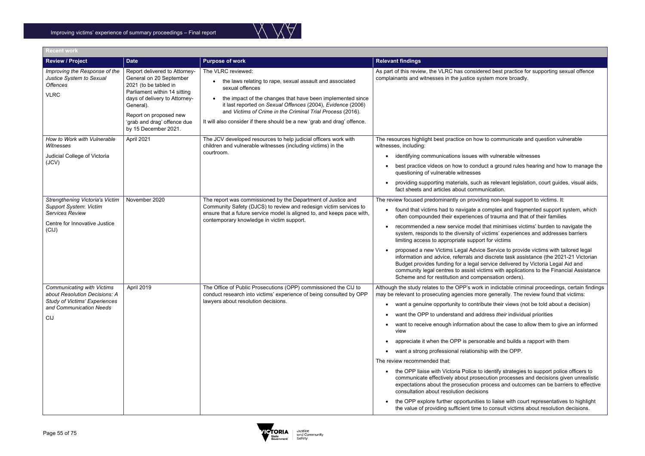

ed best practice for supporting sexual offence tem more broadly.

### to communicate and question vulnerable

- h vulnerable witnesses
- et a ground rules hearing and how to manage the
- as relevant legislation, court guides, visual aids, hication.
- Ing non-legal support to victims. It:
- efound fragmented support system, which of trauma and that of their families
- hat minimises victims' burden to navigate the ctims' experiences and addresses barriers for victims
- **Service to provide victims with tailored legal** liscrete task assistance (the 2021-21 Victorian rvice delivered by Victoria Legal Aid and ims with applications to the Financial Assistance nsation orders).
- in indictable criminal proceedings, certain findings generally. The review found that victims:
- ute their views (not be told about a decision)
- ress *their* individual priorities
- bout the case to allow them to give an informed
- able and builds a rapport with them
- with the OPP.

tentify strategies to support police officers to ution processes and decisions given unrealistic ocess and outcomes can be barriers to effective

to liaise with court representatives to highlight of consult victims about resolution decisions.

| <b>Recent work</b>                                                                                                                                  |                                                                                                                                                                                                                                                  |                                                                                                                                                                                                                                                                                                                                                                         |                                                                                                                                                                                                                                                                                                                                                                                                                                                                                                                                                                                                                              |
|-----------------------------------------------------------------------------------------------------------------------------------------------------|--------------------------------------------------------------------------------------------------------------------------------------------------------------------------------------------------------------------------------------------------|-------------------------------------------------------------------------------------------------------------------------------------------------------------------------------------------------------------------------------------------------------------------------------------------------------------------------------------------------------------------------|------------------------------------------------------------------------------------------------------------------------------------------------------------------------------------------------------------------------------------------------------------------------------------------------------------------------------------------------------------------------------------------------------------------------------------------------------------------------------------------------------------------------------------------------------------------------------------------------------------------------------|
| <b>Review / Project</b>                                                                                                                             | <b>Date</b>                                                                                                                                                                                                                                      | <b>Purpose of work</b>                                                                                                                                                                                                                                                                                                                                                  | <b>Relevant findings</b>                                                                                                                                                                                                                                                                                                                                                                                                                                                                                                                                                                                                     |
| Improving the Response of the<br>Justice System to Sexual<br><b>Offences</b><br><b>VLRC</b>                                                         | Report delivered to Attorney-<br>General on 20 September<br>2021 (to be tabled in<br>Parliament within 14 sitting<br>days of delivery to Attorney-<br>General).<br>Report on proposed new<br>'grab and drag' offence due<br>by 15 December 2021. | The VLRC reviewed:<br>the laws relating to rape, sexual assault and associated<br>sexual offences<br>the impact of the changes that have been implemented since<br>it last reported on Sexual Offences (2004), Evidence (2006)<br>and Victims of Crime in the Criminal Trial Process (2016).<br>It will also consider if there should be a new 'grab and drag' offence. | As part of this review, the VLRC has considere<br>complainants and witnesses in the justice syste                                                                                                                                                                                                                                                                                                                                                                                                                                                                                                                            |
| How to Work with Vulnerable<br>Witnesses<br>Judicial College of Victoria<br>(JCV)                                                                   | April 2021                                                                                                                                                                                                                                       | The JCV developed resources to help judicial officers work with<br>children and vulnerable witnesses (including victims) in the<br>courtroom.                                                                                                                                                                                                                           | The resources highlight best practice on how to<br>witnesses, including:<br>identifying communications issues with<br>best practice videos on how to conduct<br>questioning of vulnerable witnesses<br>providing supporting materials, such as<br>fact sheets and articles about commun                                                                                                                                                                                                                                                                                                                                      |
| Strengthening Victoria's Victim<br>Support System: Victim<br><b>Services Review</b><br>Centre for Innovative Justice<br>(ClJ)                       | November 2020                                                                                                                                                                                                                                    | The report was commissioned by the Department of Justice and<br>Community Safety (DJCS) to review and redesign victim services to<br>ensure that a future service model is aligned to, and keeps pace with,<br>contemporary knowledge in victim support.                                                                                                                | The review focused predominantly on providing<br>• found that victims had to navigate a co<br>often compounded their experiences o<br>recommended a new service model tha<br>system, responds to the diversity of vic<br>limiting access to appropriate support f<br>proposed a new Victims Legal Advice \<br>information and advice, referrals and d<br>Budget provides funding for a legal ser<br>community legal centres to assist victir<br>Scheme and for restitution and comper                                                                                                                                        |
| <b>Communicating with Victims</b><br>about Resolution Decisions: A<br><b>Study of Victims' Experiences</b><br>and Communication Needs<br><b>CIJ</b> | April 2019                                                                                                                                                                                                                                       | The Office of Public Prosecutions (OPP) commissioned the CIJ to<br>conduct research into victims' experience of being consulted by OPP<br>lawyers about resolution decisions.                                                                                                                                                                                           | Although the study relates to the OPP's work ir<br>may be relevant to prosecuting agencies more<br>• want a genuine opportunity to contribut<br>want the OPP to understand and addre<br>want to receive enough information ab<br>view<br>appreciate it when the OPP is persona<br>want a strong professional relationship<br>The review recommended that:<br>the OPP liaise with Victoria Police to id<br>communicate effectively about prosecu<br>expectations about the prosecution pro<br>consultation about resolution decisions<br>the OPP explore further opportunities t<br>the value of providing sufficient time to |

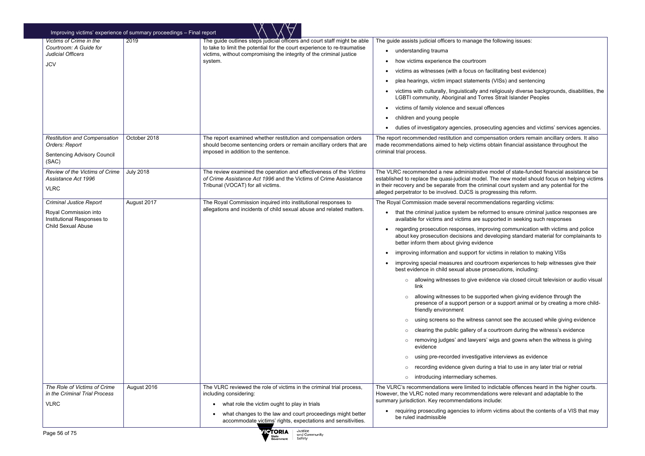the following issues:

- facilitating best evidence)
- nts (VISs) and sentencing
- nd religiously diverse backgrounds, disabilities, the Drres Strait Islander Peoples
- offences

secuting agencies and victims' services agencies.

npensation orders remain ancillary orders. It also is obtain financial assistance throughout the

ve model of state-funded financial assistance be el. The new model should focus on helping victims iminal court system and any potential for the progressing this reform.

- mendations regarding victims:
- formed to ensure criminal justice responses are supported in seeking such responses
- proving communication with victims and police developing standard material for complainants to
- or victims in relation to making VISs
- irtroom experiences to help witnesses give their prosecutions, including:
- vidence via closed circuit television or audio visual
- ported when giving evidence through the on or a support animal or by creating a more child-
- s cannot see the accused while giving evidence
- a courtroom during the witness's evidence
- rs' wigs and gowns when the witness is giving
- itive interviews as evidence
- ring a trial to use in any later trial or retrial emes.
- to indictable offences heard in the higher courts. lations were relevant and adaptable to the include:
- orm victims about the contents of a VIS that may

|                                                                                                                    | Improving victims' experience of summary proceedings - Final report |                                                                                                                                                                                                                                        |                                                                                                                                                                                                                                                                                                                                                                                                                                                                                                                                                                                                                                                                                                                                                                                                                                                                                      |
|--------------------------------------------------------------------------------------------------------------------|---------------------------------------------------------------------|----------------------------------------------------------------------------------------------------------------------------------------------------------------------------------------------------------------------------------------|--------------------------------------------------------------------------------------------------------------------------------------------------------------------------------------------------------------------------------------------------------------------------------------------------------------------------------------------------------------------------------------------------------------------------------------------------------------------------------------------------------------------------------------------------------------------------------------------------------------------------------------------------------------------------------------------------------------------------------------------------------------------------------------------------------------------------------------------------------------------------------------|
| <b>Victims of Crime in the</b><br>Courtroom: A Guide for<br><b>Judicial Officers</b><br><b>JCV</b>                 | 2019                                                                | The guide outlines steps judicial officers and court staff might be able<br>to take to limit the potential for the court experience to re-traumatise<br>victims, without compromising the integrity of the criminal justice<br>system. | The guide assists judicial officers to manage the<br>understanding trauma<br>$\bullet$<br>how victims experience the courtroom<br>victims as witnesses (with a focus on fac<br>plea hearings, victim impact statements (<br>victims with culturally, linguistically and re<br><b>LGBTI community, Aboriginal and Torres</b><br>victims of family violence and sexual offe<br>children and young people<br>duties of investigatory agencies, prosecu                                                                                                                                                                                                                                                                                                                                                                                                                                  |
| <b>Restitution and Compensation</b><br>Orders: Report<br><b>Sentencing Advisory Council</b><br>(SAC)               | October 2018                                                        | The report examined whether restitution and compensation orders<br>should become sentencing orders or remain ancillary orders that are<br>imposed in addition to the sentence.                                                         | The report recommended restitution and compen<br>made recommendations aimed to help victims ob<br>criminal trial process.                                                                                                                                                                                                                                                                                                                                                                                                                                                                                                                                                                                                                                                                                                                                                            |
| Review of the Victims of Crime<br>Assistance Act 1996<br><b>VLRC</b>                                               | <b>July 2018</b>                                                    | The review examined the operation and effectiveness of the Victims<br>of Crime Assistance Act 1996 and the Victims of Crime Assistance<br>Tribunal (VOCAT) for all victims.                                                            | The VLRC recommended a new administrative m<br>established to replace the quasi-judicial model. T<br>in their recovery and be separate from the crimin<br>alleged perpetrator to be involved. DJCS is progr                                                                                                                                                                                                                                                                                                                                                                                                                                                                                                                                                                                                                                                                          |
| <b>Criminal Justice Report</b><br>Royal Commission into<br>Institutional Responses to<br><b>Child Sexual Abuse</b> | August 2017                                                         | The Royal Commission inquired into institutional responses to<br>allegations and incidents of child sexual abuse and related matters.                                                                                                  | The Royal Commission made several recommen<br>that the criminal justice system be reform<br>available for victims and victims are supp<br>regarding prosecution responses, improv<br>about key prosecution decisions and dev<br>better inform them about giving evidence<br>improving information and support for vic<br>improving special measures and courtrod<br>best evidence in child sexual abuse pros<br>allowing witnesses to give evider<br>$\circ$<br>link<br>allowing witnesses to be support<br>$\circ$<br>presence of a support person or<br>friendly environment<br>using screens so the witness car<br>$\circ$<br>clearing the public gallery of a co<br>$\circ$<br>removing judges' and lawyers' w<br>$\circ$<br>evidence<br>using pre-recorded investigative<br>$\circ$<br>recording evidence given during<br>$\circ$<br>introducing intermediary scheme<br>$\circ$ |
| The Role of Victims of Crime<br>in the Criminal Trial Process<br><b>VLRC</b>                                       | August 2016                                                         | The VLRC reviewed the role of victims in the criminal trial process,<br>including considering:<br>what role the victim ought to play in trials                                                                                         | The VLRC's recommendations were limited to ind<br>However, the VLRC noted many recommendatio<br>summary jurisdiction. Key recommendations inclu                                                                                                                                                                                                                                                                                                                                                                                                                                                                                                                                                                                                                                                                                                                                      |
|                                                                                                                    |                                                                     | what changes to the law and court proceedings might better<br>accommodate victims' rights, expectations and sensitivities.                                                                                                             | requiring prosecuting agencies to inform<br>be ruled inadmissible                                                                                                                                                                                                                                                                                                                                                                                                                                                                                                                                                                                                                                                                                                                                                                                                                    |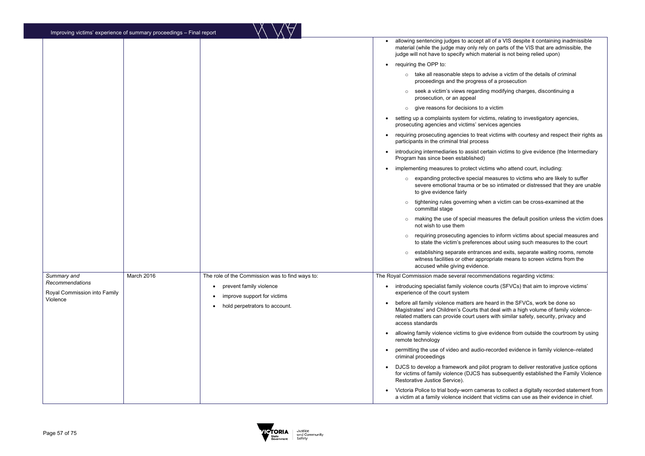<sup>all</sup> of a VIS despite it containing inadmissible  $\alpha$  on parts of the VIS that are admissible, the aterial is not being relied upon)

- dvise a victim of the details of criminal of a prosecution
- g modifying charges, discontinuing a
- o victim
- ims, relating to investigatory agencies, vices agencies
- victims with courtesy and respect their rights as
- rtain victims to give evidence (the Intermediary
- ims who attend court, including:
- neasures to victims who are likely to suffer so intimated or distressed that they are unable
- en a victim can be cross-examined at the
- asures the default position unless the victim does
- to inform victims about special measures and the state the victim such measures to the court
- es and exits, separate waiting rooms, remote opriate means to screen victims from the
- endations regarding victims:
- ourts (SFVCs) that aim to improve victims'
- eard in the SFVCs, work be done so t deal with a high volume of family violences with similar safety, security, privacy and
- evidence from outside the courtroom by using
- recorded evidence in family violence–related
- t program to deliver restorative justice options as subsequently established the Family Violence
- ras to collect a digitally recorded statement from at victims can use as their evidence in chief.

|                                                 | Improving victims' experience of summary proceedings - Final report |                                                                          |                                                                                                                                                     |
|-------------------------------------------------|---------------------------------------------------------------------|--------------------------------------------------------------------------|-----------------------------------------------------------------------------------------------------------------------------------------------------|
|                                                 |                                                                     |                                                                          | allowing sentencing judges to accept al<br>material (while the judge may only rely<br>judge will not have to specify which ma                       |
|                                                 |                                                                     |                                                                          | requiring the OPP to:                                                                                                                               |
|                                                 |                                                                     |                                                                          | take all reasonable steps to ad<br>$\circ$<br>proceedings and the progress                                                                          |
|                                                 |                                                                     |                                                                          | seek a victim's views regarding<br>$\circ$<br>prosecution, or an appeal                                                                             |
|                                                 |                                                                     |                                                                          | give reasons for decisions to a<br>$\circ$                                                                                                          |
|                                                 |                                                                     |                                                                          | setting up a complaints system for victin<br>prosecuting agencies and victims' servi                                                                |
|                                                 |                                                                     |                                                                          | requiring prosecuting agencies to treat<br>participants in the criminal trial process                                                               |
|                                                 |                                                                     |                                                                          | introducing intermediaries to assist cert<br>Program has since been established)                                                                    |
|                                                 |                                                                     |                                                                          | implementing measures to protect victin                                                                                                             |
|                                                 |                                                                     |                                                                          | expanding protective special m<br>severe emotional trauma or be<br>to give evidence fairly                                                          |
|                                                 |                                                                     |                                                                          | tightening rules governing wher<br>committal stage                                                                                                  |
|                                                 |                                                                     |                                                                          | making the use of special meas<br>not wish to use them                                                                                              |
|                                                 |                                                                     |                                                                          | requiring prosecuting agencies<br>$\circ$<br>to state the victim's preference                                                                       |
|                                                 |                                                                     |                                                                          | establishing separate entrance<br>witness facilities or other appro<br>accused while giving evidence.                                               |
| Summary and                                     | March 2016                                                          | The role of the Commission was to find ways to:                          | The Royal Commission made several recomme                                                                                                           |
| Recommendations<br>Royal Commission into Family |                                                                     | prevent family violence<br>$\bullet$<br>improve support for victims<br>٠ | introducing specialist family violence co<br>experience of the court system                                                                         |
| Violence                                        |                                                                     | hold perpetrators to account.<br>$\bullet$                               | before all family violence matters are he<br>Magistrates' and Children's Courts that<br>related matters can provide court users<br>access standards |
|                                                 |                                                                     |                                                                          | allowing family violence victims to give<br>remote technology                                                                                       |
|                                                 |                                                                     |                                                                          | permitting the use of video and audio-re<br>criminal proceedings                                                                                    |
|                                                 |                                                                     |                                                                          | DJCS to develop a framework and pilot<br>for victims of family violence (DJCS has<br>Restorative Justice Service).                                  |
|                                                 |                                                                     |                                                                          | Victoria Police to trial body-worn camer<br>a victim at a family violence incident tha                                                              |

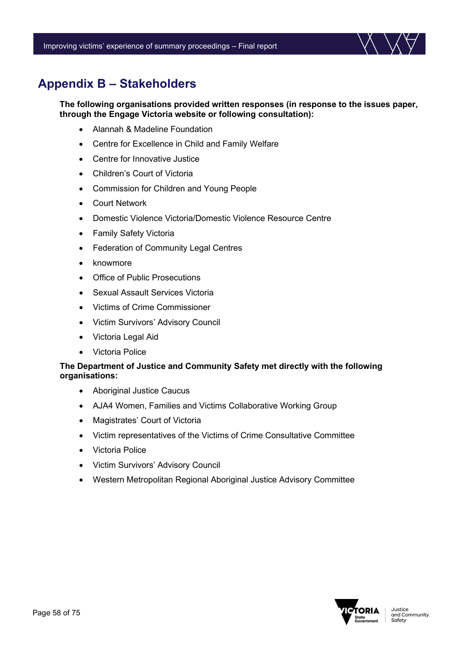

# **Appendix B – Stakeholders**

**The following organisations provided written responses (in response to the issues paper, through the Engage Victoria website or following consultation):**

- Alannah & Madeline Foundation
- Centre for Excellence in Child and Family Welfare
- Centre for Innovative Justice
- Children's Court of Victoria
- Commission for Children and Young People
- Court Network
- Domestic Violence Victoria/Domestic Violence Resource Centre
- Family Safety Victoria
- Federation of Community Legal Centres
- knowmore
- Office of Public Prosecutions
- Sexual Assault Services Victoria
- Victims of Crime Commissioner
- Victim Survivors' Advisory Council
- Victoria Legal Aid
- Victoria Police

### **The Department of Justice and Community Safety met directly with the following organisations:**

- Aboriginal Justice Caucus
- AJA4 Women, Families and Victims Collaborative Working Group
- Magistrates' Court of Victoria
- Victim representatives of the Victims of Crime Consultative Committee
- Victoria Police
- Victim Survivors' Advisory Council
- Western Metropolitan Regional Aboriginal Justice Advisory Committee

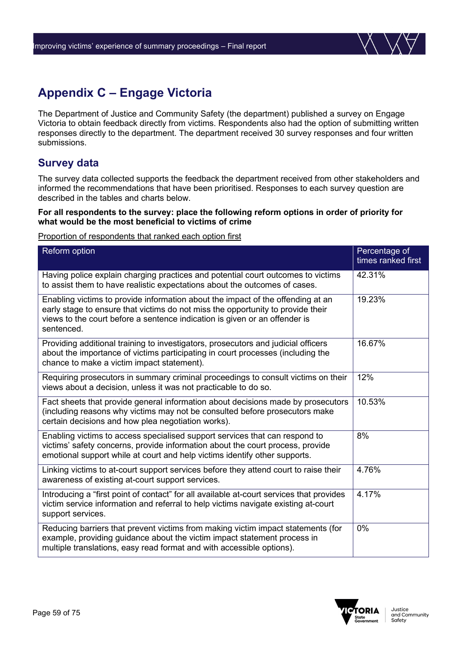# **Appendix C – Engage Victoria**

The Department of Justice and Community Safety (the department) published a survey on Engage Victoria to obtain feedback directly from victims. Respondents also had the option of submitting written responses directly to the department. The department received 30 survey responses and four written submissions.

### **Survey data**

The survey data collected supports the feedback the department received from other stakeholders and informed the recommendations that have been prioritised. Responses to each survey question are described in the tables and charts below.

### **For all respondents to the survey: place the following reform options in order of priority for what would be the most beneficial to victims of crime**

### Proportion of respondents that ranked each option first

| Reform option                                                                                                                                                                                                                                                  | Percentage of<br>times ranked first |
|----------------------------------------------------------------------------------------------------------------------------------------------------------------------------------------------------------------------------------------------------------------|-------------------------------------|
| Having police explain charging practices and potential court outcomes to victims<br>to assist them to have realistic expectations about the outcomes of cases.                                                                                                 | 42.31%                              |
| Enabling victims to provide information about the impact of the offending at an<br>early stage to ensure that victims do not miss the opportunity to provide their<br>views to the court before a sentence indication is given or an offender is<br>sentenced. | 19.23%                              |
| Providing additional training to investigators, prosecutors and judicial officers<br>about the importance of victims participating in court processes (including the<br>chance to make a victim impact statement).                                             | 16.67%                              |
| Requiring prosecutors in summary criminal proceedings to consult victims on their<br>views about a decision, unless it was not practicable to do so.                                                                                                           | 12%                                 |
| Fact sheets that provide general information about decisions made by prosecutors<br>(including reasons why victims may not be consulted before prosecutors make<br>certain decisions and how plea negotiation works).                                          | 10.53%                              |
| Enabling victims to access specialised support services that can respond to<br>victims' safety concerns, provide information about the court process, provide<br>emotional support while at court and help victims identify other supports.                    | 8%                                  |
| Linking victims to at-court support services before they attend court to raise their<br>awareness of existing at-court support services.                                                                                                                       | 4.76%                               |
| Introducing a "first point of contact" for all available at-court services that provides<br>victim service information and referral to help victims navigate existing at-court<br>support services.                                                            | 4.17%                               |
| Reducing barriers that prevent victims from making victim impact statements (for<br>example, providing guidance about the victim impact statement process in<br>multiple translations, easy read format and with accessible options).                          | 0%                                  |

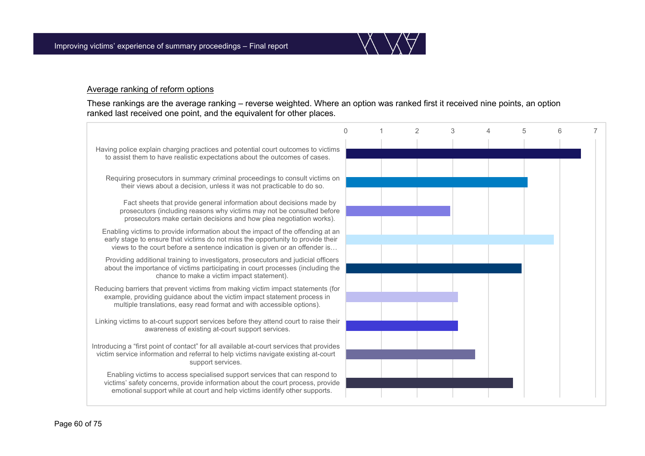

#### Average ranking of reform options

These rankings are the average ranking – reverse weighted. Where an option was ranked first it received nine points, an option ranked last received one point, and the equivalent for other places.

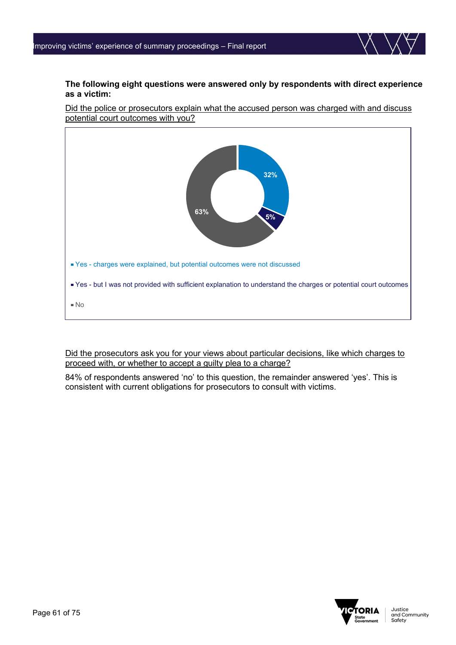

### **The following eight questions were answered only by respondents with direct experience as a victim:**

Did the police or prosecutors explain what the accused person was charged with and discuss potential court outcomes with you?



Did the prosecutors ask you for your views about particular decisions, like which charges to proceed with, or whether to accept a guilty plea to a charge?

84% of respondents answered 'no' to this question, the remainder answered 'yes'. This is consistent with current obligations for prosecutors to consult with victims.

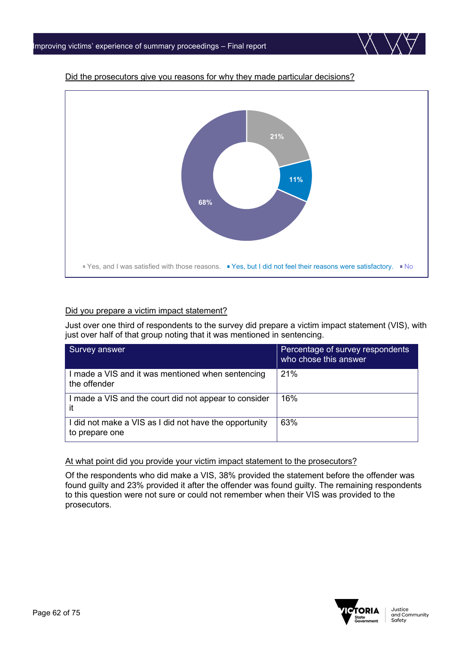

### Did the prosecutors give you reasons for why they made particular decisions?

### Did you prepare a victim impact statement?

Just over one third of respondents to the survey did prepare a victim impact statement (VIS), with just over half of that group noting that it was mentioned in sentencing.

| Survey answer                                                            | Percentage of survey respondents<br>who chose this answer |
|--------------------------------------------------------------------------|-----------------------------------------------------------|
| I made a VIS and it was mentioned when sentencing<br>the offender        | 21%                                                       |
| I made a VIS and the court did not appear to consider<br>-it             | 16%                                                       |
| I did not make a VIS as I did not have the opportunity<br>to prepare one | 63%                                                       |

### At what point did you provide your victim impact statement to the prosecutors?

Of the respondents who did make a VIS, 38% provided the statement before the offender was found guilty and 23% provided it after the offender was found guilty. The remaining respondents to this question were not sure or could not remember when their VIS was provided to the prosecutors.

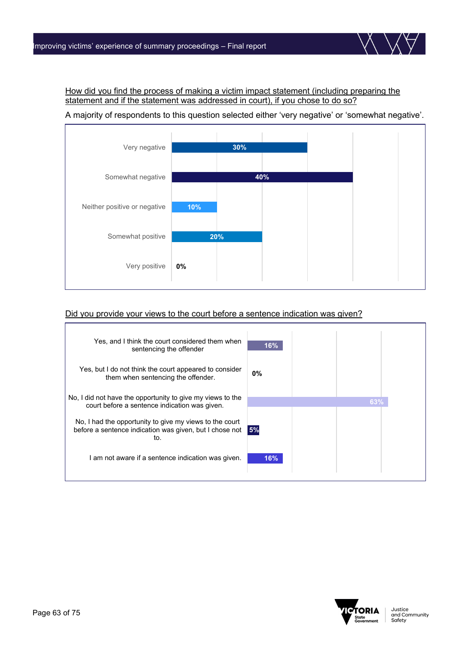How did you find the process of making a victim impact statement (including preparing the statement and if the statement was addressed in court), if you chose to do so?

A majority of respondents to this question selected either 'very negative' or 'somewhat negative'.



### Did you provide your views to the court before a sentence indication was given?



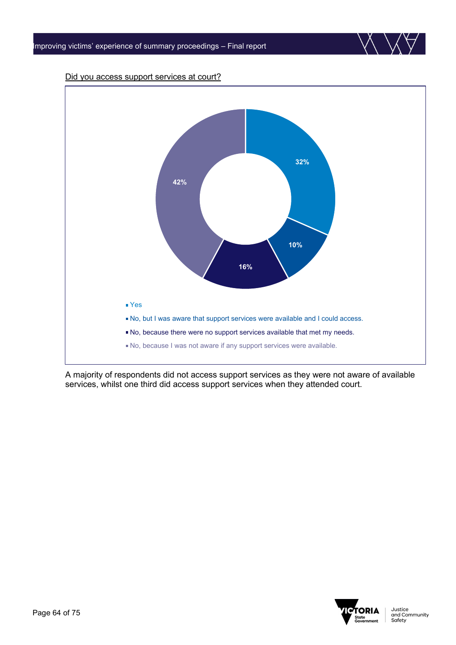

A majority of respondents did not access support services as they were not aware of available services, whilst one third did access support services when they attended court.

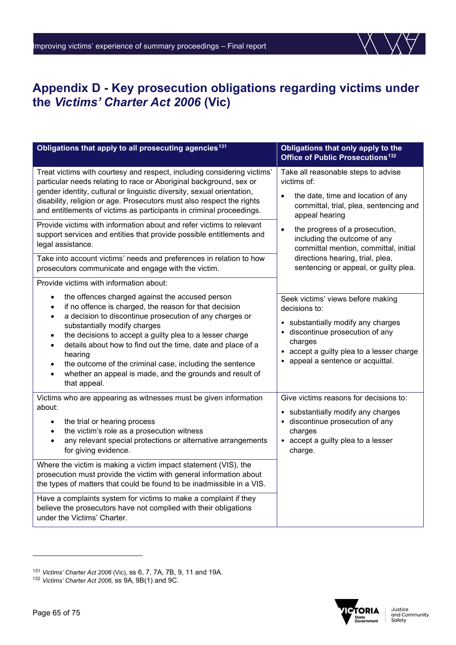

# **Appendix D - Key prosecution obligations regarding victims under the** *Victims' Charter Act 2006* **(Vic)**

| Obligations that apply to all prosecuting agencies <sup>131</sup>                                                                                                                                                                                                                                                                                                                                                                                                                                                                      | Obligations that only apply to the<br>Office of Public Prosecutions <sup>132</sup>                                                                                                                                                                                                        |
|----------------------------------------------------------------------------------------------------------------------------------------------------------------------------------------------------------------------------------------------------------------------------------------------------------------------------------------------------------------------------------------------------------------------------------------------------------------------------------------------------------------------------------------|-------------------------------------------------------------------------------------------------------------------------------------------------------------------------------------------------------------------------------------------------------------------------------------------|
| Treat victims with courtesy and respect, including considering victims'<br>particular needs relating to race or Aboriginal background, sex or<br>gender identity, cultural or linguistic diversity, sexual orientation,<br>disability, religion or age. Prosecutors must also respect the rights<br>and entitlements of victims as participants in criminal proceedings.                                                                                                                                                               | Take all reasonable steps to advise<br>victims of:<br>the date, time and location of any<br>$\bullet$<br>committal, trial, plea, sentencing and<br>appeal hearing<br>the progress of a prosecution,<br>$\bullet$<br>including the outcome of any<br>committal mention, committal, initial |
| Provide victims with information about and refer victims to relevant<br>support services and entities that provide possible entitlements and<br>legal assistance.                                                                                                                                                                                                                                                                                                                                                                      |                                                                                                                                                                                                                                                                                           |
| Take into account victims' needs and preferences in relation to how<br>prosecutors communicate and engage with the victim.                                                                                                                                                                                                                                                                                                                                                                                                             | directions hearing, trial, plea,<br>sentencing or appeal, or guilty plea.                                                                                                                                                                                                                 |
| Provide victims with information about:                                                                                                                                                                                                                                                                                                                                                                                                                                                                                                |                                                                                                                                                                                                                                                                                           |
| the offences charged against the accused person<br>$\bullet$<br>if no offence is charged, the reason for that decision<br>a decision to discontinue prosecution of any charges or<br>substantially modify charges<br>the decisions to accept a guilty plea to a lesser charge<br>$\bullet$<br>details about how to find out the time, date and place of a<br>$\bullet$<br>hearing<br>the outcome of the criminal case, including the sentence<br>$\bullet$<br>whether an appeal is made, and the grounds and result of<br>that appeal. | Seek victims' views before making<br>decisions to:<br>• substantially modify any charges<br>discontinue prosecution of any<br>charges<br>accept a guilty plea to a lesser charge<br>appeal a sentence or acquittal.                                                                       |
| Victims who are appearing as witnesses must be given information<br>about:<br>the trial or hearing process<br>$\bullet$<br>the victim's role as a prosecution witness<br>$\bullet$<br>any relevant special protections or alternative arrangements<br>$\bullet$<br>for giving evidence.                                                                                                                                                                                                                                                | Give victims reasons for decisions to:<br>• substantially modify any charges<br>· discontinue prosecution of any<br>charges<br>• accept a guilty plea to a lesser<br>charge.                                                                                                              |
| Where the victim is making a victim impact statement (VIS), the<br>prosecution must provide the victim with general information about<br>the types of matters that could be found to be inadmissible in a VIS.                                                                                                                                                                                                                                                                                                                         |                                                                                                                                                                                                                                                                                           |
| Have a complaints system for victims to make a complaint if they<br>believe the prosecutors have not complied with their obligations<br>under the Victims' Charter.                                                                                                                                                                                                                                                                                                                                                                    |                                                                                                                                                                                                                                                                                           |



<span id="page-64-0"></span><sup>131</sup> *Victims' Charter Act 2006* (Vic), ss 6, 7, 7A, 7B, 9, 11 and 19A.

<span id="page-64-1"></span><sup>132</sup> *Victims' Charter Act 2006,* ss 9A, 9B(1) and 9C.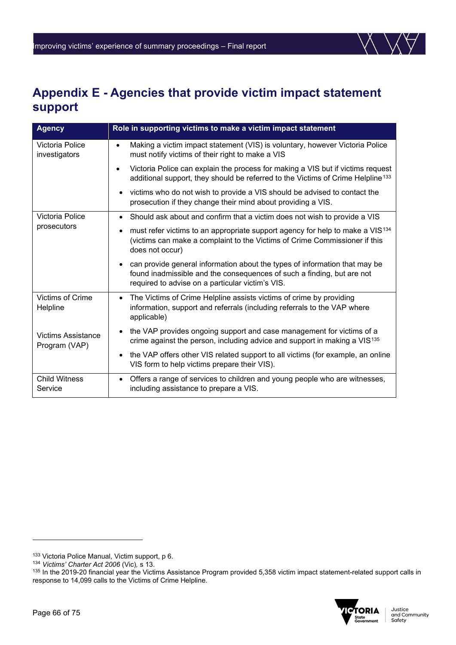

# **Appendix E - Agencies that provide victim impact statement support**

| <b>Agency</b>                              | Role in supporting victims to make a victim impact statement                                                                                                                                             |
|--------------------------------------------|----------------------------------------------------------------------------------------------------------------------------------------------------------------------------------------------------------|
| Victoria Police<br>investigators           | Making a victim impact statement (VIS) is voluntary, however Victoria Police<br>$\bullet$<br>must notify victims of their right to make a VIS                                                            |
|                                            | Victoria Police can explain the process for making a VIS but if victims request<br>$\bullet$<br>additional support, they should be referred to the Victims of Crime Helpline <sup>133</sup>              |
|                                            | victims who do not wish to provide a VIS should be advised to contact the<br>prosecution if they change their mind about providing a VIS.                                                                |
| Victoria Police<br>prosecutors             | Should ask about and confirm that a victim does not wish to provide a VIS                                                                                                                                |
|                                            | must refer victims to an appropriate support agency for help to make a VIS <sup>134</sup><br>(victims can make a complaint to the Victims of Crime Commissioner if this<br>does not occur)               |
|                                            | can provide general information about the types of information that may be<br>found inadmissible and the consequences of such a finding, but are not<br>required to advise on a particular victim's VIS. |
| <b>Victims of Crime</b><br>Helpline        | • The Victims of Crime Helpline assists victims of crime by providing<br>information, support and referrals (including referrals to the VAP where<br>applicable)                                         |
| <b>Victims Assistance</b><br>Program (VAP) | the VAP provides ongoing support and case management for victims of a<br>crime against the person, including advice and support in making a VIS <sup>135</sup>                                           |
|                                            | the VAP offers other VIS related support to all victims (for example, an online<br>VIS form to help victims prepare their VIS).                                                                          |
| <b>Child Witness</b><br>Service            | Offers a range of services to children and young people who are witnesses,<br>including assistance to prepare a VIS.                                                                                     |

<span id="page-65-2"></span><sup>135</sup> In the 2019-20 financial year the Victims Assistance Program provided 5,358 victim impact statement-related support calls in response to 14,099 calls to the Victims of Crime Helpline.



<span id="page-65-0"></span><sup>133</sup> Victoria Police Manual, Victim support, p 6.

<span id="page-65-1"></span><sup>134</sup> *Victims' Charter Act 2006* (Vic)*,* s 13.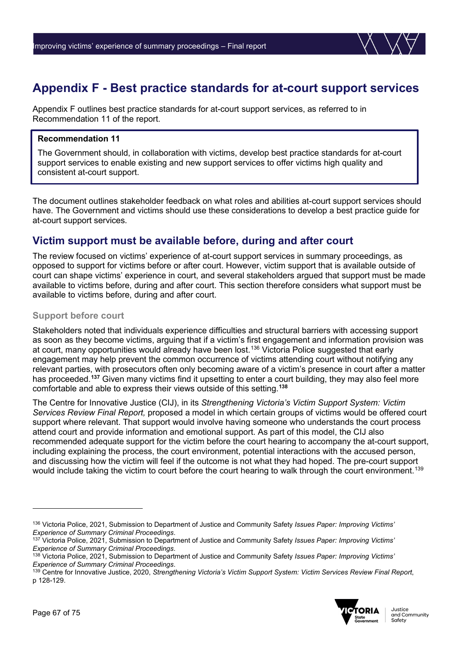# **Appendix F - Best practice standards for at-court support services**

Appendix F outlines best practice standards for at-court support services, as referred to in Recommendation 11 of the report.

### **Recommendation 11**

The Government should, in collaboration with victims, develop best practice standards for at-court support services to enable existing and new support services to offer victims high quality and consistent at-court support.

The document outlines stakeholder feedback on what roles and abilities at-court support services should have. The Government and victims should use these considerations to develop a best practice guide for at-court support services.

### **Victim support must be available before, during and after court**

The review focused on victims' experience of at-court support services in summary proceedings, as opposed to support for victims before or after court. However, victim support that is available outside of court can shape victims' experience in court, and several stakeholders argued that support must be made available to victims before, during and after court. This section therefore considers what support must be available to victims before, during and after court.

### **Support before court**

Stakeholders noted that individuals experience difficulties and structural barriers with accessing support as soon as they become victims, arguing that if a victim's first engagement and information provision was at court, many opportunities would already have been lost.<sup>136</sup> Victoria Police suggested that early engagement may help prevent the common occurrence of victims attending court without notifying any relevant parties, with prosecutors often only becoming aware of a victim's presence in court after a matter has proceeded.**[137](#page-66-1)** Given many victims find it upsetting to enter a court building, they may also feel more comfortable and able to express their views outside of this setting.**[138](#page-66-2)**

The Centre for Innovative Justice (CIJ), in its *Strengthening Victoria's Victim Support System: Victim Services Review Final Report,* proposed a model in which certain groups of victims would be offered court support where relevant. That support would involve having someone who understands the court process attend court and provide information and emotional support. As part of this model, the CIJ also recommended adequate support for the victim before the court hearing to accompany the at-court support, including explaining the process, the court environment, potential interactions with the accused person, and discussing how the victim will feel if the outcome is not what they had hoped. The pre-court support would include taking the victim to court before the court hearing to walk through the court environment.<sup>[139](#page-66-3)</sup>

<span id="page-66-3"></span><sup>139</sup> Centre for Innovative Justice, 2020, *Strengthening Victoria's Victim Support System: Victim Services Review Final Report*, p 128-129.



<span id="page-66-0"></span><sup>136</sup> Victoria Police, 2021, Submission to Department of Justice and Community Safety *Issues Paper: Improving Victims' Experience of Summary Criminal Proceedings*.

<span id="page-66-1"></span><sup>137</sup> Victoria Police, 2021, Submission to Department of Justice and Community Safety *Issues Paper: Improving Victims' Experience of Summary Criminal Proceedings*.

<span id="page-66-2"></span><sup>138</sup> Victoria Police, 2021, Submission to Department of Justice and Community Safety *Issues Paper: Improving Victims' Experience of Summary Criminal Proceedings*.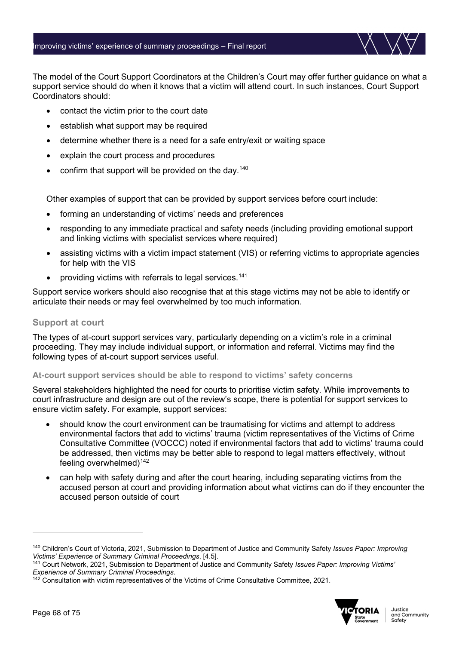The model of the Court Support Coordinators at the Children's Court may offer further guidance on what a support service should do when it knows that a victim will attend court. In such instances, Court Support Coordinators should:

- contact the victim prior to the court date
- establish what support may be required
- determine whether there is a need for a safe entry/exit or waiting space
- explain the court process and procedures
- confirm that support will be provided on the day.<sup>[140](#page-67-0)</sup>

Other examples of support that can be provided by support services before court include:

- forming an understanding of victims' needs and preferences
- responding to any immediate practical and safety needs (including providing emotional support and linking victims with specialist services where required)
- assisting victims with a victim impact statement (VIS) or referring victims to appropriate agencies for help with the VIS
- providing victims with referrals to legal services.<sup>[141](#page-67-1)</sup>

Support service workers should also recognise that at this stage victims may not be able to identify or articulate their needs or may feel overwhelmed by too much information.

### **Support at court**

The types of at-court support services vary, particularly depending on a victim's role in a criminal proceeding. They may include individual support, or information and referral. Victims may find the following types of at-court support services useful.

### **At-court support services should be able to respond to victims' safety concerns**

Several stakeholders highlighted the need for courts to prioritise victim safety. While improvements to court infrastructure and design are out of the review's scope, there is potential for support services to ensure victim safety. For example, support services:

- should know the court environment can be traumatising for victims and attempt to address environmental factors that add to victims' trauma (victim representatives of the Victims of Crime Consultative Committee (VOCCC) noted if environmental factors that add to victims' trauma could be addressed, then victims may be better able to respond to legal matters effectively, without feeling overwhelmed) $142$
- can help with safety during and after the court hearing, including separating victims from the accused person at court and providing information about what victims can do if they encounter the accused person outside of court

<span id="page-67-2"></span>*Experience of Summary Criminal Proceedings*. 142 Consultation with victim representatives of the Victims of Crime Consultative Committee, 2021.



<span id="page-67-0"></span><sup>140</sup> Children's Court of Victoria, 2021, Submission to Department of Justice and Community Safety *Issues Paper: Improving* 

<span id="page-67-1"></span><sup>&</sup>lt;sup>141</sup> Court Network, 2021, Submission to Department of Justice and Community Safety *Issues Paper: Improving Victims'* Experience of Summary Criminal Proceedings.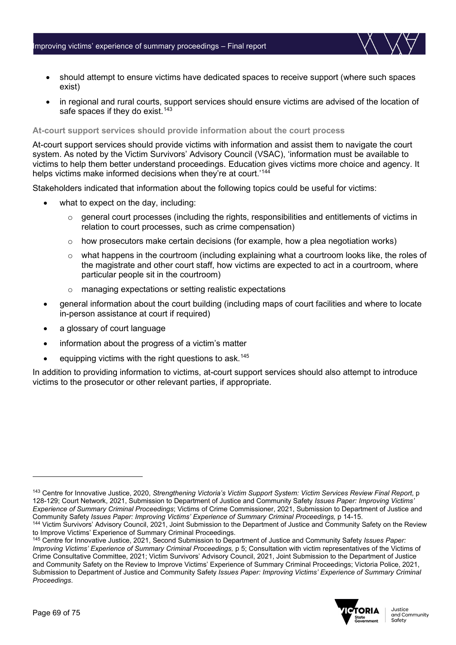- should attempt to ensure victims have dedicated spaces to receive support (where such spaces exist)
- in regional and rural courts, support services should ensure victims are advised of the location of safe spaces if they do exist.<sup>[143](#page-68-0)</sup>

### **At-court support services should provide information about the court process**

At-court support services should provide victims with information and assist them to navigate the court system. As noted by the Victim Survivors' Advisory Council (VSAC), 'information must be available to victims to help them better understand proceedings. Education gives victims more choice and agency. It helps victims make informed decisions when they're at court.' [144](#page-68-1)

Stakeholders indicated that information about the following topics could be useful for victims:

- what to expect on the day, including:
	- o general court processes (including the rights, responsibilities and entitlements of victims in relation to court processes, such as crime compensation)
	- $\circ$  how prosecutors make certain decisions (for example, how a plea negotiation works)
	- $\circ$  what happens in the courtroom (including explaining what a courtroom looks like, the roles of the magistrate and other court staff, how victims are expected to act in a courtroom, where particular people sit in the courtroom)
	- o managing expectations or setting realistic expectations
- general information about the court building (including maps of court facilities and where to locate in-person assistance at court if required)
- a glossary of court language
- information about the progress of a victim's matter
- $\bullet$  equipping victims with the right questions to ask.<sup>[145](#page-68-2)</sup>

In addition to providing information to victims, at-court support services should also attempt to introduce victims to the prosecutor or other relevant parties, if appropriate.

<span id="page-68-2"></span><sup>145</sup> Centre for Innovative Justice, 2021, Second Submission to Department of Justice and Community Safety *Issues Paper: Improving Victims' Experience of Summary Criminal Proceedings, p 5; Consultation with victim representatives of the Victims of* Crime Consultative Committee, 2021; Victim Survivors' Advisory Council, 2021, Joint Submission to the Department of Justice and Community Safety on the Review to Improve Victims' Experience of Summary Criminal Proceedings; Victoria Police, 2021, Submission to Department of Justice and Community Safety *Issues Paper: Improving Victims' Experience of Summary Criminal Proceedings*.



<span id="page-68-0"></span><sup>143</sup> Centre for Innovative Justice, 2020, *Strengthening Victoria's Victim Support System: Victim Services Review Final Report*, p 128-129; Court Network, 2021, Submission to Department of Justice and Community Safety *Issues Paper: Improving Victims' Experience of Summary Criminal Proceedings*; Victims of Crime Commissioner, 2021, Submission to Department of Justice and Community Safety *Issues Paper: Improving Victims' Experience of Summary Criminal Proceedings, p* 14-15.

<span id="page-68-1"></span><sup>144</sup> Victim Survivors' Advisory Council, 2021, Joint Submission to the Department of Justice and Community Safety on the Review to Improve Victims' Experience of Summary Criminal Proceedings.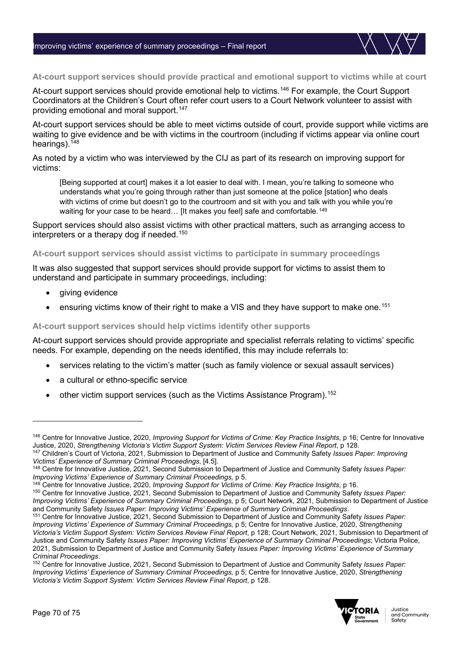

At-court support services should provide emotional help to victims.<sup>[146](#page-69-0)</sup> For example, the Court Support Coordinators at the Children's Court often refer court users to a Court Network volunteer to assist with providing emotional and moral support.<sup>[147](#page-69-1)</sup>

At-court support services should be able to meet victims outside of court, provide support while victims are waiting to give evidence and be with victims in the courtroom (including if victims appear via online court hearings).<sup>[148](#page-69-2)</sup>

As noted by a victim who was interviewed by the CIJ as part of its research on improving support for victims:

[Being supported at court] makes it a lot easier to deal with. I mean, you're talking to someone who understands what you're going through rather than just someone at the police [station] who deals with victims of crime but doesn't go to the courtroom and sit with you and talk with you while you're waiting for your case to be heard... Ilt makes you feell safe and comfortable.<sup>[149](#page-69-3)</sup>

Support services should also assist victims with other practical matters, such as arranging access to interpreters or a therapy dog if needed. $^{\rm 150}$  $^{\rm 150}$  $^{\rm 150}$ 

#### **At-court support services should assist victims to participate in summary proceedings**

It was also suggested that support services should provide support for victims to assist them to understand and participate in summary proceedings, including:

- giving evidence
- ensuring victims know of their right to make a VIS and they have support to make one.<sup>[151](#page-69-5)</sup>

### **At-court support services should help victims identify other supports**

At-court support services should provide appropriate and specialist referrals relating to victims' specific needs. For example, depending on the needs identified, this may include referrals to:

- services relating to the victim's matter (such as family violence or sexual assault services)
- a cultural or ethno-specific service
- other victim support services (such as the Victims Assistance Program).<sup>[152](#page-69-6)</sup>

<span id="page-69-6"></span><sup>152</sup> Centre for Innovative Justice, 2021, Second Submission to Department of Justice and Community Safety *Issues Paper: Improving Victims' Experience of Summary Criminal Proceedings,* p 5; Centre for Innovative Justice, 2020, *Strengthening Victoria's Victim Support System: Victim Services Review Final Report*, p 128.



<span id="page-69-0"></span><sup>146</sup> Centre for Innovative Justice, 2020, *Improving Support for Victims of Crime: Key Practice Insights*, p 16; Centre for Innovative Justice, 2020, *Strengthening Victoria's Victim Support System: Victim Services Review Final Report*, p 128.

<span id="page-69-1"></span><sup>147</sup> Children's Court of Victoria, 2021, Submission to Department of Justice and Community Safety *Issues Paper: Improving Victims' Experience of Summary Criminal Proceedings*, [4.5].

<span id="page-69-2"></span><sup>148</sup> Centre for Innovative Justice, 2021, Second Submission to Department of Justice and Community Safety *Issues Paper: Improving Victims' Experience of Summary Criminal Proceedings,* p 5.

<span id="page-69-3"></span><sup>149</sup> Centre for Innovative Justice, 2020, *Improving Support for Victims of Crime: Key Practice Insights*, p 16.

<span id="page-69-4"></span><sup>150</sup> Centre for Innovative Justice, 2021, Second Submission to Department of Justice and Community Safety *Issues Paper: Improving Victims' Experience of Summary Criminal Proceedings, p 5; Court Network, 2021, Submission to Department of Justice* and Community Safety *Issues Paper: Improving Victims' Experience of Summary Criminal Proceedings*.

<span id="page-69-5"></span><sup>151</sup> Centre for Innovative Justice, 2021, Second Submission to Department of Justice and Community Safety *Issues Paper: Improving Victims' Experience of Summary Criminal Proceedings,* p 5; Centre for Innovative Justice, 2020, *Strengthening Victoria's Victim Support System: Victim Services Review Final Report*, p 128; Court Network, 2021, Submission to Department of Justice and Community Safety *Issues Paper: Improving Victims' Experience of Summary Criminal Proceedings*; Victoria Police, 2021, Submission to Department of Justice and Community Safety *Issues Paper: Improving Victims' Experience of Summary Criminal Proceedings*.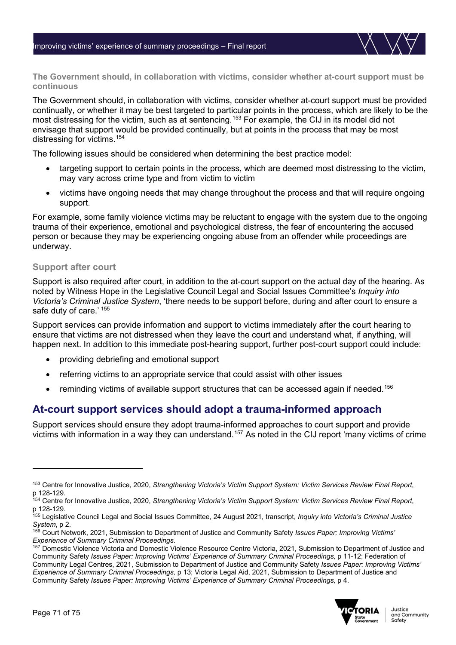**The Government should, in collaboration with victims, consider whether at-court support must be continuous** 

The Government should, in collaboration with victims, consider whether at-court support must be provided continually, or whether it may be best targeted to particular points in the process, which are likely to be the most distressing for the victim, such as at sentencing.[153](#page-70-0) For example, the CIJ in its model did not envisage that support would be provided continually, but at points in the process that may be most distressing for victims. [154](#page-70-1)

The following issues should be considered when determining the best practice model:

- targeting support to certain points in the process, which are deemed most distressing to the victim, may vary across crime type and from victim to victim
- victims have ongoing needs that may change throughout the process and that will require ongoing support.

For example, some family violence victims may be reluctant to engage with the system due to the ongoing trauma of their experience, emotional and psychological distress, the fear of encountering the accused person or because they may be experiencing ongoing abuse from an offender while proceedings are underway.

### **Support after court**

Support is also required after court, in addition to the at-court support on the actual day of the hearing. As noted by Witness Hope in the Legislative Council Legal and Social Issues Committee's *Inquiry into Victoria's Criminal Justice System*, 'there needs to be support before, during and after court to ensure a safe duty of care.' [155](#page-70-2)

Support services can provide information and support to victims immediately after the court hearing to ensure that victims are not distressed when they leave the court and understand what, if anything, will happen next. In addition to this immediate post-hearing support, further post-court support could include:

- providing debriefing and emotional support
- referring victims to an appropriate service that could assist with other issues
- reminding victims of available support structures that can be accessed again if needed.<sup>[156](#page-70-3)</sup>

### **At-court support services should adopt a trauma-informed approach**

Support services should ensure they adopt trauma-informed approaches to court support and provide victims with information in a way they can understand.<sup>[157](#page-70-4)</sup> As noted in the CIJ report 'many victims of crime

<span id="page-70-4"></span><sup>&</sup>lt;sup>157</sup> Domestic Violence Victoria and Domestic Violence Resource Centre Victoria, 2021, Submission to Department of Justice and Community Safety *Issues Paper: Improving Victims' Experience of Summary Criminal Proceedings*, p 11-12; Federation of Community Legal Centres, 2021, Submission to Department of Justice and Community Safety *Issues Paper: Improving Victims' Experience of Summary Criminal Proceedings,* p 13; Victoria Legal Aid, 2021, Submission to Department of Justice and Community Safety *Issues Paper: Improving Victims' Experience of Summary Criminal Proceedings,* p 4.



<span id="page-70-0"></span><sup>153</sup> Centre for Innovative Justice, 2020, *Strengthening Victoria's Victim Support System: Victim Services Review Final Report*, p 128-129.

<span id="page-70-1"></span><sup>154</sup> Centre for Innovative Justice, 2020, *Strengthening Victoria's Victim Support System: Victim Services Review Final Report*, p 128-129.

<span id="page-70-2"></span><sup>155</sup> Legislative Council Legal and Social Issues Committee, 24 August 2021, transcript, *Inquiry into Victoria's Criminal Justice System*, p 2.

<span id="page-70-3"></span><sup>156</sup> Court Network, 2021, Submission to Department of Justice and Community Safety *Issues Paper: Improving Victims'*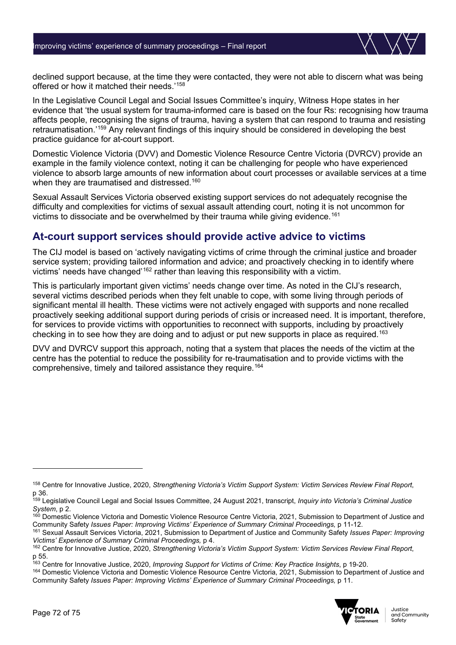

declined support because, at the time they were contacted, they were not able to discern what was being offered or how it matched their needs.'[158](#page-71-0)

In the Legislative Council Legal and Social Issues Committee's inquiry, Witness Hope states in her evidence that 'the usual system for trauma-informed care is based on the four Rs: recognising how trauma affects people, recognising the signs of trauma, having a system that can respond to trauma and resisting retraumatisation.['159](#page-71-1) Any relevant findings of this inquiry should be considered in developing the best practice guidance for at-court support.

Domestic Violence Victoria (DVV) and Domestic Violence Resource Centre Victoria (DVRCV) provide an example in the family violence context, noting it can be challenging for people who have experienced violence to absorb large amounts of new information about court processes or available services at a time when they are traumatised and distressed.<sup>[160](#page-71-2)</sup>

Sexual Assault Services Victoria observed existing support services do not adequately recognise the difficulty and complexities for victims of sexual assault attending court, noting it is not uncommon for victims to dissociate and be overwhelmed by their trauma while giving evidence.<sup>[161](#page-71-3)</sup>

### **At-court support services should provide active advice to victims**

The CIJ model is based on 'actively navigating victims of crime through the criminal justice and broader service system; providing tailored information and advice; and proactively checking in to identify where victims' needs have changed'[162](#page-71-4) rather than leaving this responsibility with a victim.

This is particularly important given victims' needs change over time. As noted in the CIJ's research, several victims described periods when they felt unable to cope, with some living through periods of significant mental ill health. These victims were not actively engaged with supports and none recalled proactively seeking additional support during periods of crisis or increased need. It is important, therefore, for services to provide victims with opportunities to reconnect with supports, including by proactively checking in to see how they are doing and to adjust or put new supports in place as required.<sup>[163](#page-71-5)</sup>

DVV and DVRCV support this approach, noting that a system that places the needs of the victim at the centre has the potential to reduce the possibility for re-traumatisation and to provide victims with the comprehensive, timely and tailored assistance they require.<sup>[164](#page-71-6)</sup>

<span id="page-71-6"></span><sup>164</sup> Domestic Violence Victoria and Domestic Violence Resource Centre Victoria, 2021, Submission to Department of Justice and Community Safety *Issues Paper: Improving Victims' Experience of Summary Criminal Proceedings,* p 11.



<span id="page-71-0"></span><sup>158</sup> Centre for Innovative Justice, 2020, *Strengthening Victoria's Victim Support System: Victim Services Review Final Report*, p 36.

<span id="page-71-1"></span><sup>159</sup> Legislative Council Legal and Social Issues Committee, 24 August 2021, transcript, *Inquiry into Victoria's Criminal Justice System*, p 2.

<span id="page-71-2"></span><sup>&</sup>lt;sup>160</sup> Domestic Violence Victoria and Domestic Violence Resource Centre Victoria, 2021, Submission to Department of Justice and<br>Community Safety *Issues Paper: Improving Victims' Experience of Summary Criminal Proceedings*.

<span id="page-71-3"></span><sup>&</sup>lt;sup>161</sup> Sexual Assault Services Victoria, 2021, Submission to Department of Justice and Community Safety *Issues Paper: Improving*<br>Victims' Experience of Summary Criminal Proceedings, p 4.

<span id="page-71-4"></span><sup>&</sup>lt;sup>162</sup> Centre for Innovative Justice, 2020, *Strengthening Victoria's Victim Support System: Victim Services Review Final Report*, p 55.

<span id="page-71-5"></span><sup>163</sup> Centre for Innovative Justice, 2020, *Improving Support for Victims of Crime: Key Practice Insights*, p 19-20.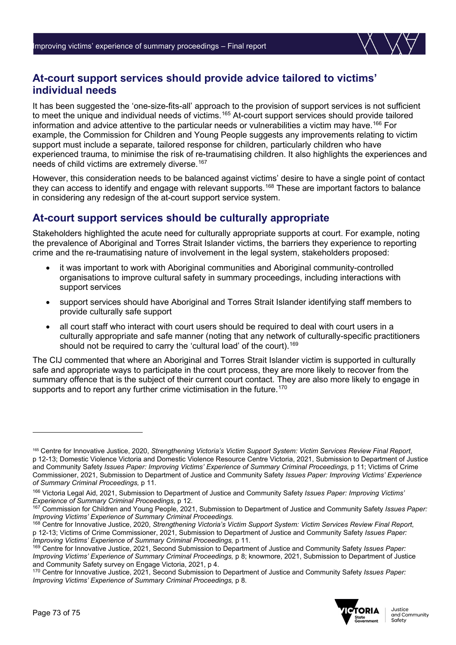

## **At-court support services should provide advice tailored to victims' individual needs**

It has been suggested the 'one-size-fits-all' approach to the provision of support services is not sufficient to meet the unique and individual needs of victims.<sup>[165](#page-72-0)</sup> At-court support services should provide tailored information and advice attentive to the particular needs or vulnerabilities a victim may have.[166](#page-72-1) For example, the Commission for Children and Young People suggests any improvements relating to victim support must include a separate, tailored response for children, particularly children who have experienced trauma, to minimise the risk of re-traumatising children. It also highlights the experiences and needs of child victims are extremely diverse.<sup>[167](#page-72-2)</sup>

However, this consideration needs to be balanced against victims' desire to have a single point of contact they can access to identify and engage with relevant supports.<sup>168</sup> These are important factors to balance in considering any redesign of the at-court support service system.

# **At-court support services should be culturally appropriate**

Stakeholders highlighted the acute need for culturally appropriate supports at court. For example, noting the prevalence of Aboriginal and Torres Strait Islander victims, the barriers they experience to reporting crime and the re-traumatising nature of involvement in the legal system, stakeholders proposed:

- it was important to work with Aboriginal communities and Aboriginal community-controlled organisations to improve cultural safety in summary proceedings, including interactions with support services
- support services should have Aboriginal and Torres Strait Islander identifying staff members to provide culturally safe support
- all court staff who interact with court users should be required to deal with court users in a culturally appropriate and safe manner (noting that any network of culturally-specific practitioners should not be required to carry the 'cultural load' of the court).<sup>[169](#page-72-4)</sup>

The CIJ commented that where an Aboriginal and Torres Strait Islander victim is supported in culturally safe and appropriate ways to participate in the court process, they are more likely to recover from the summary offence that is the subject of their current court contact. They are also more likely to engage in supports and to report any further crime victimisation in the future.<sup>170</sup>

<span id="page-72-5"></span><sup>170</sup> Centre for Innovative Justice, 2021, Second Submission to Department of Justice and Community Safety *Issues Paper: Improving Victims' Experience of Summary Criminal Proceedings,* p 8.



<span id="page-72-0"></span><sup>165</sup> Centre for Innovative Justice, 2020, *Strengthening Victoria's Victim Support System: Victim Services Review Final Report*, p 12-13; Domestic Violence Victoria and Domestic Violence Resource Centre Victoria, 2021, Submission to Department of Justice and Community Safety *Issues Paper: Improving Victims' Experience of Summary Criminal Proceedings,* p 11; Victims of Crime Commissioner, 2021, Submission to Department of Justice and Community Safety *Issues Paper: Improving Victims' Experience of Summary Criminal Proceedings,* p 11.

<span id="page-72-1"></span><sup>166</sup> Victoria Legal Aid, 2021, Submission to Department of Justice and Community Safety *Issues Paper: Improving Victims'* 

<span id="page-72-2"></span><sup>&</sup>lt;sup>167</sup> Commission for Children and Young People, 2021, Submission to Department of Justice and Community Safety *Issues Paper: Improving Victims' Experience of Summary Criminal Proceedings.*

<span id="page-72-3"></span><sup>168</sup> Centre for Innovative Justice, 2020, *Strengthening Victoria's Victim Support System: Victim Services Review Final Report*, p 12-13; Victims of Crime Commissioner, 2021, Submission to Department of Justice and Community Safety *Issues Paper:* 

<span id="page-72-4"></span><sup>&</sup>lt;sup>169</sup> Centre for Innovative Justice, 2021, Second Submission to Department of Justice and Community Safety *Issues Paper: Improving Victims' Experience of Summary Criminal Proceedings, p 8; knowmore, 2021, Submission to Department of Justice* and Community Safety survey on Engage Victoria, 2021, p 4.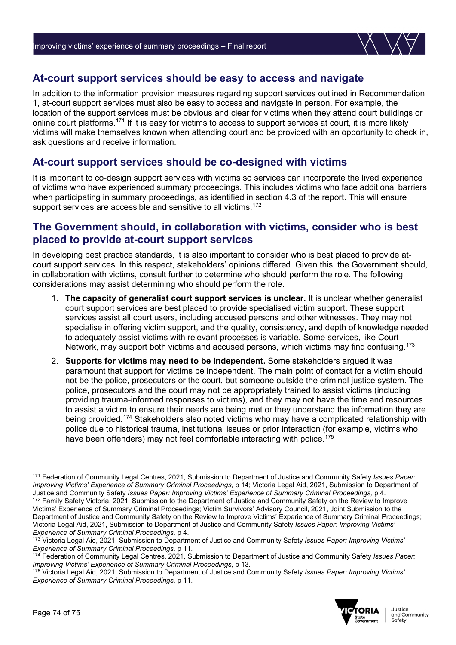

## **At-court support services should be easy to access and navigate**

In addition to the information provision measures regarding support services outlined in Recommendation 1, at-court support services must also be easy to access and navigate in person. For example, the location of the support services must be obvious and clear for victims when they attend court buildings or online court platforms.[171](#page-73-0) If it is easy for victims to access to support services at court, it is more likely victims will make themselves known when attending court and be provided with an opportunity to check in, ask questions and receive information.

### **At-court support services should be co-designed with victims**

It is important to co-design support services with victims so services can incorporate the lived experience of victims who have experienced summary proceedings. This includes victims who face additional barriers when participating in summary proceedings, as identified in section 4.3 of the report. This will ensure support services are accessible and sensitive to all victims.<sup>[172](#page-73-1)</sup>

### **The Government should, in collaboration with victims, consider who is best placed to provide at-court support services**

In developing best practice standards, it is also important to consider who is best placed to provide atcourt support services. In this respect, stakeholders' opinions differed. Given this, the Government should, in collaboration with victims, consult further to determine who should perform the role. The following considerations may assist determining who should perform the role.

- 1. **The capacity of generalist court support services is unclear.** It is unclear whether generalist court support services are best placed to provide specialised victim support. These support services assist all court users, including accused persons and other witnesses. They may not specialise in offering victim support, and the quality, consistency, and depth of knowledge needed to adequately assist victims with relevant processes is variable. Some services, like Court Network, may support both victims and accused persons, which victims may find confusing.<sup>[173](#page-73-2)</sup>
- 2. **Supports for victims may need to be independent.** Some stakeholders argued it was paramount that support for victims be independent. The main point of contact for a victim should not be the police, prosecutors or the court, but someone outside the criminal justice system. The police, prosecutors and the court may not be appropriately trained to assist victims (including providing trauma-informed responses to victims), and they may not have the time and resources to assist a victim to ensure their needs are being met or they understand the information they are being provided.<sup>[174](#page-73-3)</sup> Stakeholders also noted victims who may have a complicated relationship with police due to historical trauma, institutional issues or prior interaction (for example, victims who have been offenders) may not feel comfortable interacting with police.<sup>175</sup>

<span id="page-73-4"></span><sup>175</sup> Victoria Legal Aid, 2021, Submission to Department of Justice and Community Safety *Issues Paper: Improving Victims' Experience of Summary Criminal Proceedings,* p 11.



<span id="page-73-1"></span><span id="page-73-0"></span><sup>171</sup> Federation of Community Legal Centres, 2021, Submission to Department of Justice and Community Safety *Issues Paper: Improving Victims' Experience of Summary Criminal Proceedings, p 14; Victoria Legal Aid, 2021, Submission to Department of* Justice and Community Safety Issues Paper: Improving Victims' Experience of Summary Criminal Proceedings, p 4.<br><sup>172</sup> Family Safety Victoria, 2021, Submission to the Department of Justice and Community Safety on the Review Victims' Experience of Summary Criminal Proceedings; Victim Survivors' Advisory Council, 2021, Joint Submission to the Department of Justice and Community Safety on the Review to Improve Victims' Experience of Summary Criminal Proceedings; Victoria Legal Aid, 2021, Submission to Department of Justice and Community Safety *Issues Paper: Improving Victims' Experience of Summary Criminal Proceedings,* p 4.

<span id="page-73-2"></span><sup>173</sup> Victoria Legal Aid, 2021, Submission to Department of Justice and Community Safety *Issues Paper: Improving Victims' Experience of Summary Criminal Proceedings,* p 11.

<span id="page-73-3"></span><sup>174</sup> Federation of Community Legal Centres, 2021, Submission to Department of Justice and Community Safety *Issues Paper: Improving Victims' Experience of Summary Criminal Proceedings,* p 13.